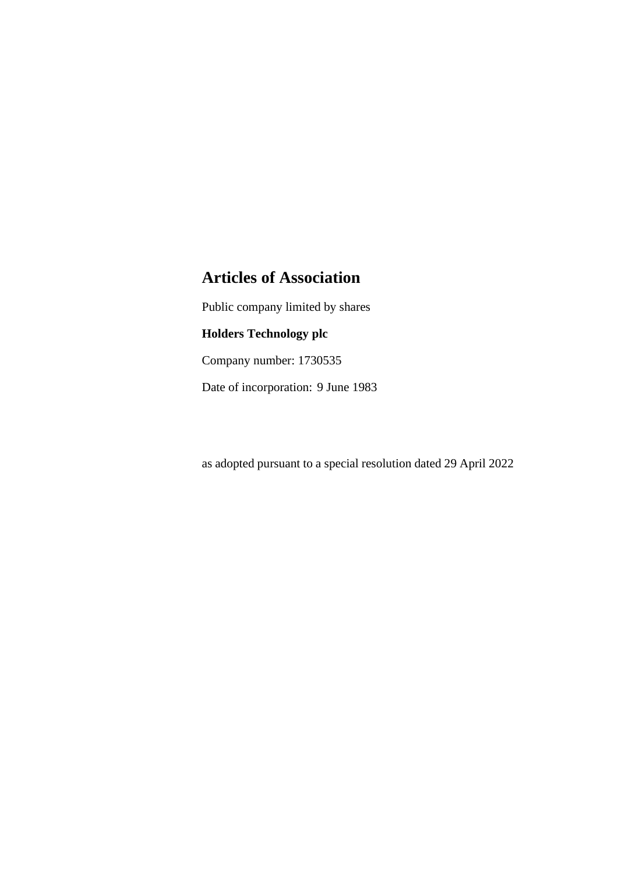# **Articles of Association**

Public company limited by shares

# **Holders Technology plc**

Company number: 1730535

Date of incorporation: 9 June 1983

as adopted pursuant to a special resolution dated 29 April 2022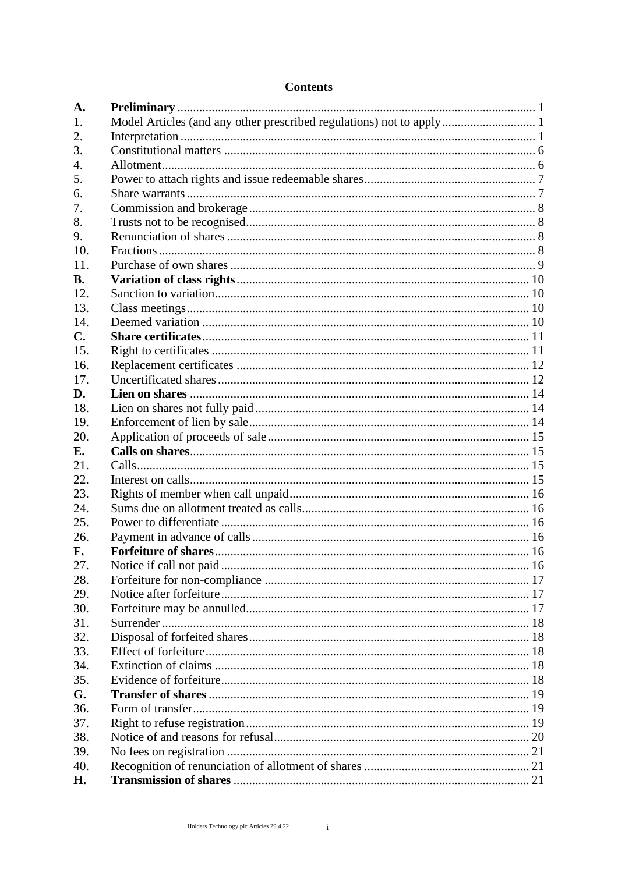# **Contents**

| A.        |                                                                      |  |
|-----------|----------------------------------------------------------------------|--|
| 1.        | Model Articles (and any other prescribed regulations) not to apply 1 |  |
| 2.        |                                                                      |  |
| 3.        |                                                                      |  |
| 4.        |                                                                      |  |
| 5.        |                                                                      |  |
| 6.        |                                                                      |  |
| 7.        |                                                                      |  |
| 8.        |                                                                      |  |
| 9.        |                                                                      |  |
| 10.       |                                                                      |  |
| 11.       |                                                                      |  |
| <b>B.</b> |                                                                      |  |
| 12.       |                                                                      |  |
| 13.       |                                                                      |  |
| 14.       |                                                                      |  |
| C.        |                                                                      |  |
| 15.       |                                                                      |  |
| 16.       |                                                                      |  |
| 17.       |                                                                      |  |
| D.        |                                                                      |  |
| 18.       |                                                                      |  |
| 19.       |                                                                      |  |
| 20.       |                                                                      |  |
| Е.        |                                                                      |  |
| 21.       |                                                                      |  |
| 22.       |                                                                      |  |
| 23.       |                                                                      |  |
| 24.       |                                                                      |  |
| 25.       |                                                                      |  |
| 26.       |                                                                      |  |
| F.        |                                                                      |  |
| 27.       |                                                                      |  |
| 28.       |                                                                      |  |
| 29.       |                                                                      |  |
| 30.       |                                                                      |  |
| 31.       |                                                                      |  |
| 32.       |                                                                      |  |
| 33.       |                                                                      |  |
| 34.       |                                                                      |  |
| 35.       |                                                                      |  |
| G.        |                                                                      |  |
| 36.       |                                                                      |  |
| 37.       |                                                                      |  |
| 38.       |                                                                      |  |
| 39.       |                                                                      |  |
| 40.       |                                                                      |  |
| Н.        |                                                                      |  |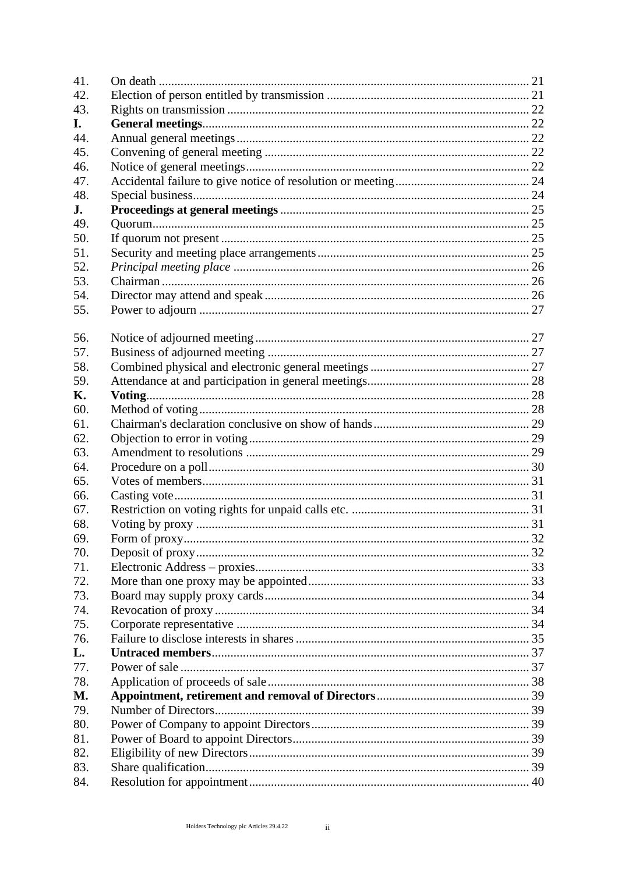| 41. |  |
|-----|--|
| 42. |  |
| 43. |  |
| I.  |  |
| 44. |  |
| 45. |  |
| 46. |  |
| 47. |  |
| 48. |  |
| J.  |  |
| 49. |  |
| 50. |  |
| 51. |  |
| 52. |  |
| 53. |  |
| 54. |  |
| 55. |  |
|     |  |
| 56. |  |
| 57. |  |
| 58. |  |
| 59. |  |
| Κ.  |  |
| 60. |  |
| 61. |  |
| 62. |  |
| 63. |  |
| 64. |  |
| 65. |  |
|     |  |
| 66. |  |
| 67. |  |
| 68. |  |
| 69. |  |
| 70. |  |
| 71. |  |
| 72. |  |
| 73. |  |
| 74. |  |
| 75. |  |
| 76. |  |
| L.  |  |
| 77. |  |
| 78. |  |
| M.  |  |
| 79. |  |
| 80. |  |
| 81. |  |
| 82. |  |
| 83. |  |
| 84. |  |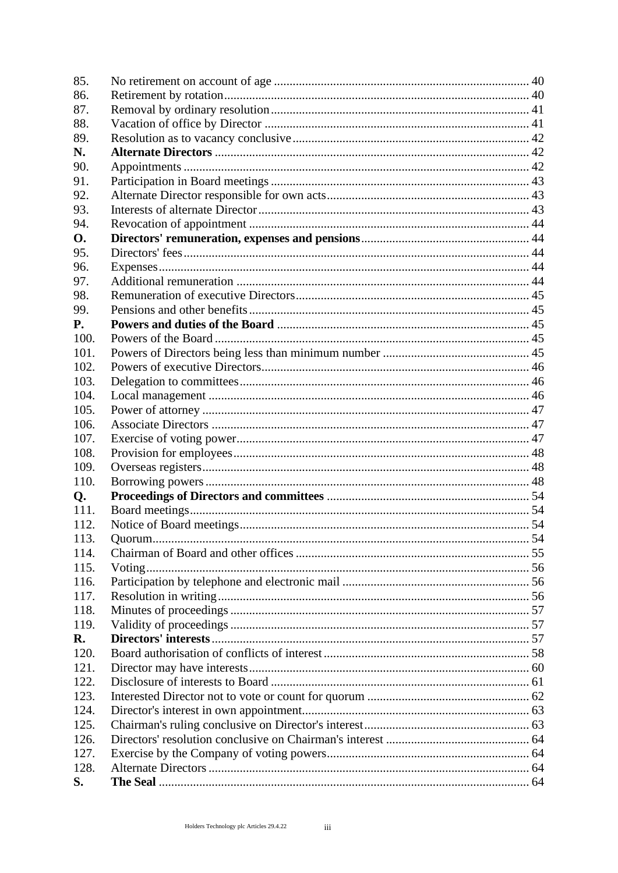| 85.        |  |
|------------|--|
| 86.        |  |
| 87.        |  |
| 88.        |  |
| 89.        |  |
| N.         |  |
| 90.        |  |
| 91.        |  |
| 92.        |  |
| 93.        |  |
| 94.        |  |
| <b>O.</b>  |  |
| 95.        |  |
| 96.        |  |
| 97.        |  |
| 98.        |  |
| 99.        |  |
| <b>P.</b>  |  |
| 100.       |  |
| 101.       |  |
| 102.       |  |
| 103.       |  |
| 104.       |  |
| 105.       |  |
| 106.       |  |
| 107.       |  |
| 108.       |  |
| 109.       |  |
| 110.       |  |
|            |  |
| Q.<br>111. |  |
| 112.       |  |
|            |  |
| 113.       |  |
| 114.       |  |
| 115.       |  |
| 116.       |  |
| 117.       |  |
| 118.       |  |
| 119.       |  |
| R.         |  |
| 120.       |  |
| 121.       |  |
| 122.       |  |
| 123.       |  |
| 124.       |  |
| 125.       |  |
| 126.       |  |
| 127.       |  |
| 128.       |  |
| S.         |  |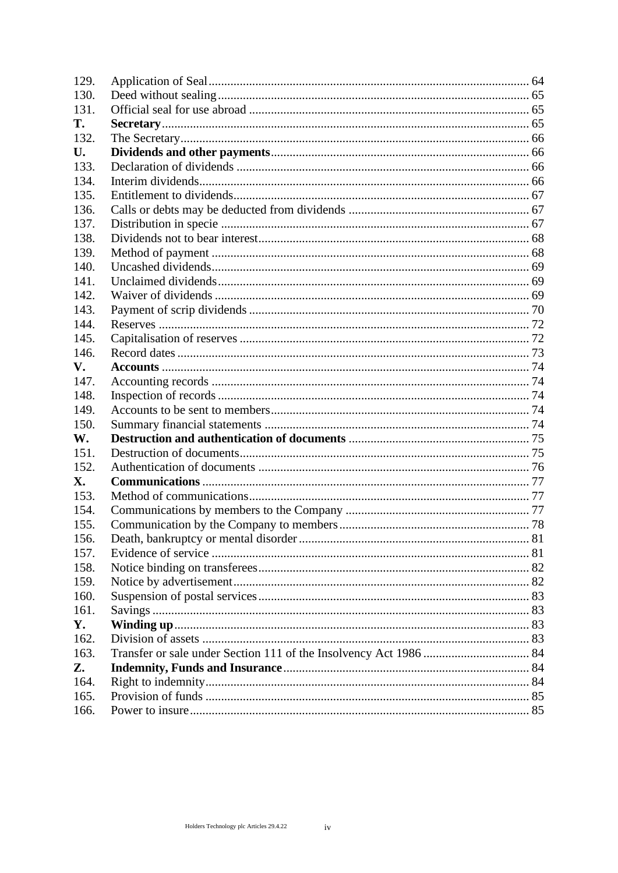| 129. |  |
|------|--|
| 130. |  |
| 131. |  |
| Т.   |  |
| 132. |  |
| U.   |  |
| 133. |  |
| 134. |  |
| 135. |  |
| 136. |  |
| 137. |  |
| 138. |  |
| 139. |  |
| 140. |  |
| 141. |  |
| 142. |  |
| 143. |  |
| 144. |  |
| 145. |  |
| 146. |  |
| V.   |  |
| 147. |  |
| 148. |  |
| 149. |  |
| 150. |  |
| W.   |  |
| 151. |  |
| 152. |  |
| X.   |  |
| 153. |  |
| 154. |  |
| 155. |  |
| 156. |  |
| 157. |  |
| 158. |  |
| 159. |  |
| 160. |  |
| 161. |  |
| Y.   |  |
| 162. |  |
| 163. |  |
| Z.   |  |
| 164. |  |
| 165. |  |
| 166. |  |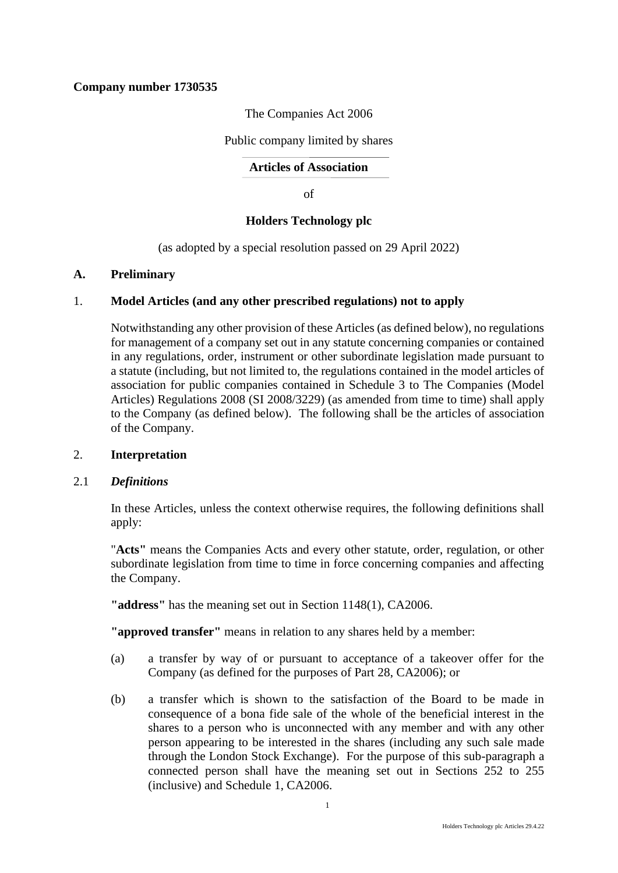# **Company number 1730535**

The Companies Act 2006

Public company limited by shares

**Articles of Association**

of

# **Holders Technology plc**

(as adopted by a special resolution passed on 29 April 2022)

# <span id="page-5-0"></span>**A. Preliminary**

# 1. **Model Articles (and any other prescribed regulations) not to apply**

<span id="page-5-1"></span>Notwithstanding any other provision of these Articles (as defined below), no regulations for management of a company set out in any statute concerning companies or contained in any regulations, order, instrument or other subordinate legislation made pursuant to a statute (including, but not limited to, the regulations contained in the model articles of association for public companies contained in Schedule 3 to The Companies (Model Articles) Regulations 2008 (SI 2008/3229) (as amended from time to time) shall apply to the Company (as defined below). The following shall be the articles of association of the Company.

# <span id="page-5-2"></span>2. **Interpretation**

# 2.1 *Definitions*

In these Articles, unless the context otherwise requires, the following definitions shall apply:

"**Acts"** means the Companies Acts and every other statute, order, regulation, or other subordinate legislation from time to time in force concerning companies and affecting the Company.

**"address"** has the meaning set out in Section 1148(1), CA2006.

**"approved transfer"** means in relation to any shares held by a member:

- (a) a transfer by way of or pursuant to acceptance of a takeover offer for the Company (as defined for the purposes of Part 28, CA2006); or
- (b) a transfer which is shown to the satisfaction of the Board to be made in consequence of a bona fide sale of the whole of the beneficial interest in the shares to a person who is unconnected with any member and with any other person appearing to be interested in the shares (including any such sale made through the London Stock Exchange). For the purpose of this sub-paragraph a connected person shall have the meaning set out in Sections 252 to 255 (inclusive) and Schedule 1, CA2006.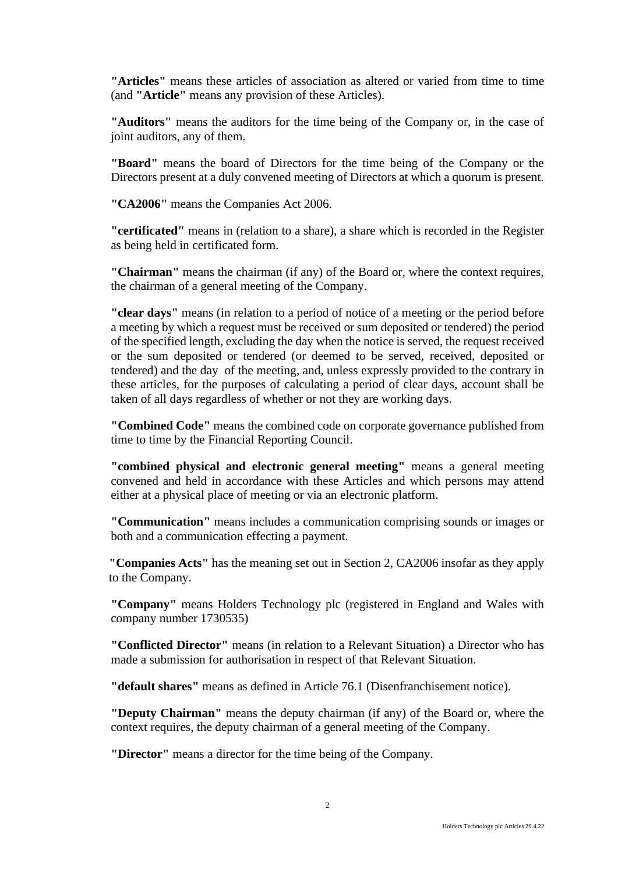**"Articles"** means these articles of association as altered or varied from time to time (and **"Article"** means any provision of these Articles).

**"Auditors"** means the auditors for the time being of the Company or, in the case of joint auditors, any of them.

**"Board"** means the board of Directors for the time being of the Company or the Directors present at a duly convened meeting of Directors at which a quorum is present.

**"CA2006"** means the Companies Act 2006.

**"certificated"** means in (relation to a share), a share which is recorded in the Register as being held in certificated form.

**"Chairman"** means the chairman (if any) of the Board or, where the context requires, the chairman of a general meeting of the Company.

**"clear days"** means (in relation to a period of notice of a meeting or the period before a meeting by which a request must be received or sum deposited or tendered) the period of the specified length, excluding the day when the notice is served, the request received or the sum deposited or tendered (or deemed to be served, received, deposited or tendered) and the day of the meeting, and, unless expressly provided to the contrary in these articles, for the purposes of calculating a period of clear days, account shall be taken of all days regardless of whether or not they are working days.

**"Combined Code"** means the combined code on corporate governance published from time to time by the Financial Reporting Council.

**"combined physical and electronic general meeting"** means a general meeting convened and held in accordance with these Articles and which persons may attend either at a physical place of meeting or via an electronic platform.

**"Communication"** means includes a communication comprising sounds or images or both and a communication effecting a payment.

**"Companies Acts"** has the meaning set out in Section 2, CA2006 insofar as they apply to the Company.

**"Company"** means Holders Technology plc (registered in England and Wales with company number 1730535)

**"Conflicted Director"** means (in relation to a Relevant Situation) a Director who has made a submission for authorisation in respect of that Relevant Situation.

**"default shares"** means as defined in Article 76.1 (Disenfranchisement notice).

**"Deputy Chairman"** means the deputy chairman (if any) of the Board or, where the context requires, the deputy chairman of a general meeting of the Company.

**"Director"** means a director for the time being of the Company.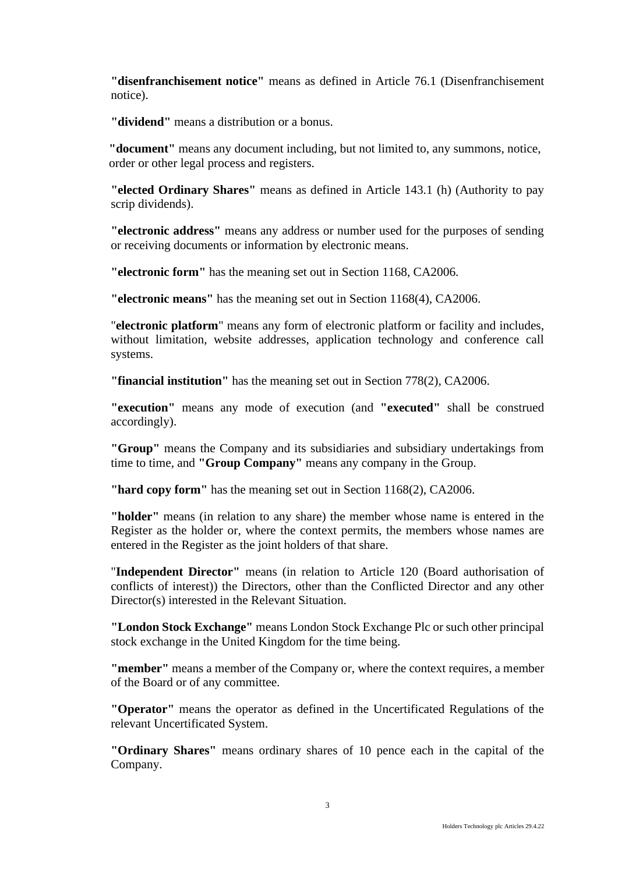**"disenfranchisement notice"** means as defined in Article 76.1 (Disenfranchisement notice).

**"dividend"** means a distribution or a bonus.

**"document"** means any document including, but not limited to, any summons, notice, order or other legal process and registers.

**"elected Ordinary Shares"** means as defined in Article 143.1 (h) (Authority to pay scrip dividends).

**"electronic address"** means any address or number used for the purposes of sending or receiving documents or information by electronic means.

**"electronic form"** has the meaning set out in Section 1168, CA2006.

**"electronic means"** has the meaning set out in Section 1168(4), CA2006.

"**electronic platform**" means any form of electronic platform or facility and includes, without limitation, website addresses, application technology and conference call systems.

**"financial institution"** has the meaning set out in Section 778(2), CA2006.

**"execution"** means any mode of execution (and **"executed"** shall be construed accordingly).

**"Group"** means the Company and its subsidiaries and subsidiary undertakings from time to time, and **"Group Company"** means any company in the Group.

**"hard copy form"** has the meaning set out in Section 1168(2), CA2006.

**"holder"** means (in relation to any share) the member whose name is entered in the Register as the holder or, where the context permits, the members whose names are entered in the Register as the joint holders of that share.

"**Independent Director"** means (in relation to Article 120 (Board authorisation of conflicts of interest)) the Directors, other than the Conflicted Director and any other Director(s) interested in the Relevant Situation.

**"London Stock Exchange"** means London Stock Exchange Plc or such other principal stock exchange in the United Kingdom for the time being.

**"member"** means a member of the Company or, where the context requires, a member of the Board or of any committee.

**"Operator"** means the operator as defined in the Uncertificated Regulations of the relevant Uncertificated System.

**"Ordinary Shares"** means ordinary shares of 10 pence each in the capital of the Company.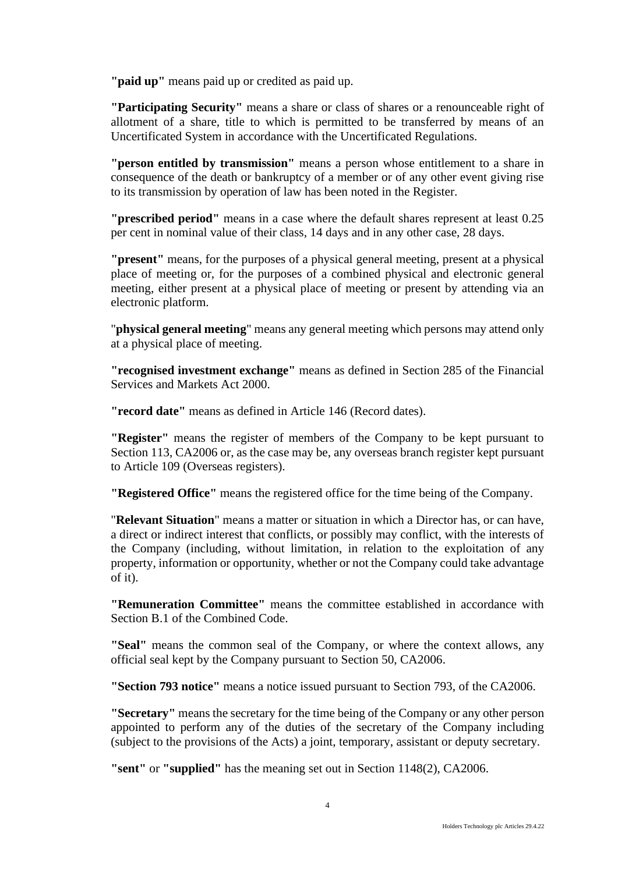**"paid up"** means paid up or credited as paid up.

**"Participating Security"** means a share or class of shares or a renounceable right of allotment of a share, title to which is permitted to be transferred by means of an Uncertificated System in accordance with the Uncertificated Regulations.

**"person entitled by transmission"** means a person whose entitlement to a share in consequence of the death or bankruptcy of a member or of any other event giving rise to its transmission by operation of law has been noted in the Register.

**"prescribed period"** means in a case where the default shares represent at least 0.25 per cent in nominal value of their class, 14 days and in any other case, 28 days.

**"present"** means, for the purposes of a physical general meeting, present at a physical place of meeting or, for the purposes of a combined physical and electronic general meeting, either present at a physical place of meeting or present by attending via an electronic platform.

"**physical general meeting**" means any general meeting which persons may attend only at a physical place of meeting.

**"recognised investment exchange"** means as defined in Section 285 of the Financial Services and Markets Act 2000.

**"record date"** means as defined in Article 146 (Record dates).

**"Register"** means the register of members of the Company to be kept pursuant to Section 113, CA2006 or, as the case may be, any overseas branch register kept pursuant to Article 109 (Overseas registers).

**"Registered Office"** means the registered office for the time being of the Company.

"**Relevant Situation**" means a matter or situation in which a Director has, or can have, a direct or indirect interest that conflicts, or possibly may conflict, with the interests of the Company (including, without limitation, in relation to the exploitation of any property, information or opportunity, whether or not the Company could take advantage of it).

**"Remuneration Committee"** means the committee established in accordance with Section B.1 of the Combined Code.

**"Seal"** means the common seal of the Company, or where the context allows, any official seal kept by the Company pursuant to Section 50, CA2006.

**"Section 793 notice"** means a notice issued pursuant to Section 793, of the CA2006.

**"Secretary"** means the secretary for the time being of the Company or any other person appointed to perform any of the duties of the secretary of the Company including (subject to the provisions of the Acts) a joint, temporary, assistant or deputy secretary.

**"sent"** or **"supplied"** has the meaning set out in Section 1148(2), CA2006.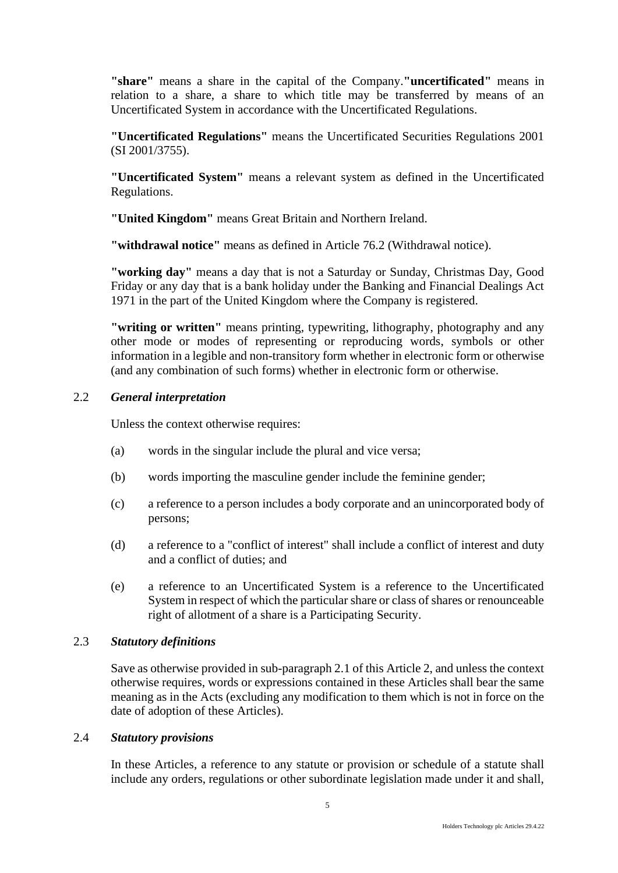**"share"** means a share in the capital of the Company.**"uncertificated"** means in relation to a share, a share to which title may be transferred by means of an Uncertificated System in accordance with the Uncertificated Regulations.

**"Uncertificated Regulations"** means the Uncertificated Securities Regulations 2001 (SI 2001/3755).

**"Uncertificated System"** means a relevant system as defined in the Uncertificated Regulations.

**"United Kingdom"** means Great Britain and Northern Ireland.

**"withdrawal notice"** means as defined in Article 76.2 (Withdrawal notice).

**"working day"** means a day that is not a Saturday or Sunday, Christmas Day, Good Friday or any day that is a bank holiday under the Banking and Financial Dealings Act 1971 in the part of the United Kingdom where the Company is registered.

**"writing or written"** means printing, typewriting, lithography, photography and any other mode or modes of representing or reproducing words, symbols or other information in a legible and non-transitory form whether in electronic form or otherwise (and any combination of such forms) whether in electronic form or otherwise.

# 2.2 *General interpretation*

Unless the context otherwise requires:

- (a) words in the singular include the plural and vice versa;
- (b) words importing the masculine gender include the feminine gender;
- (c) a reference to a person includes a body corporate and an unincorporated body of persons;
- (d) a reference to a "conflict of interest" shall include a conflict of interest and duty and a conflict of duties; and
- (e) a reference to an Uncertificated System is a reference to the Uncertificated System in respect of which the particular share or class of shares or renounceable right of allotment of a share is a Participating Security.

# 2.3 *Statutory definitions*

Save as otherwise provided in sub-paragraph 2.1 of this Article 2, and unless the context otherwise requires, words or expressions contained in these Articles shall bear the same meaning as in the Acts (excluding any modification to them which is not in force on the date of adoption of these Articles).

# 2.4 *Statutory provisions*

In these Articles, a reference to any statute or provision or schedule of a statute shall include any orders, regulations or other subordinate legislation made under it and shall,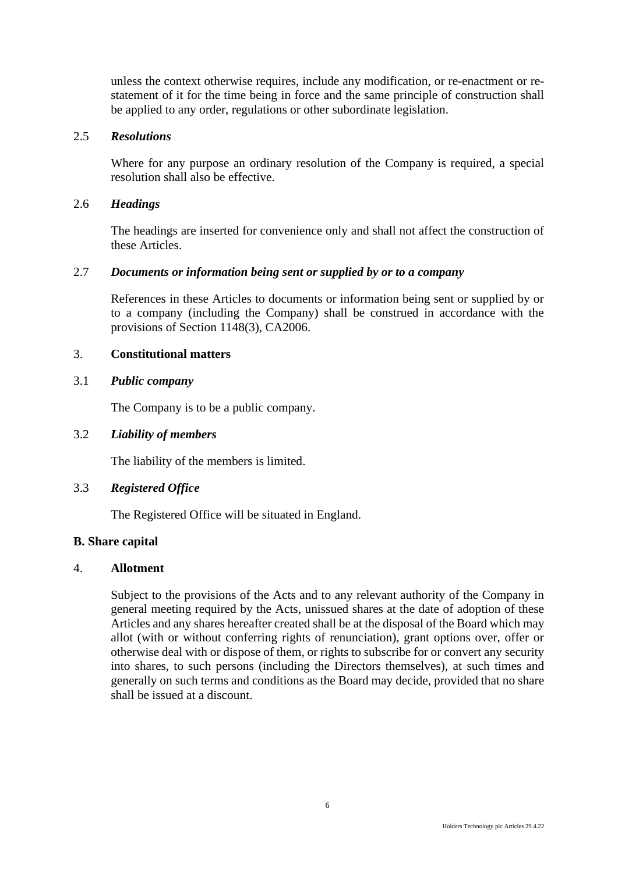unless the context otherwise requires, include any modification, or re-enactment or restatement of it for the time being in force and the same principle of construction shall be applied to any order, regulations or other subordinate legislation.

### 2.5 *Resolutions*

Where for any purpose an ordinary resolution of the Company is required, a special resolution shall also be effective.

# 2.6 *Headings*

The headings are inserted for convenience only and shall not affect the construction of these Articles.

# 2.7 *Documents or information being sent or supplied by or to a company*

References in these Articles to documents or information being sent or supplied by or to a company (including the Company) shall be construed in accordance with the provisions of Section 1148(3), CA2006.

#### <span id="page-10-0"></span>3. **Constitutional matters**

# 3.1 *Public company*

The Company is to be a public company.

### 3.2 *Liability of members*

The liability of the members is limited.

# 3.3 *Registered Office*

The Registered Office will be situated in England.

### **B. Share capital**

#### <span id="page-10-1"></span>4. **Allotment**

Subject to the provisions of the Acts and to any relevant authority of the Company in general meeting required by the Acts, unissued shares at the date of adoption of these Articles and any shares hereafter created shall be at the disposal of the Board which may allot (with or without conferring rights of renunciation), grant options over, offer or otherwise deal with or dispose of them, or rights to subscribe for or convert any security into shares, to such persons (including the Directors themselves), at such times and generally on such terms and conditions as the Board may decide, provided that no share shall be issued at a discount.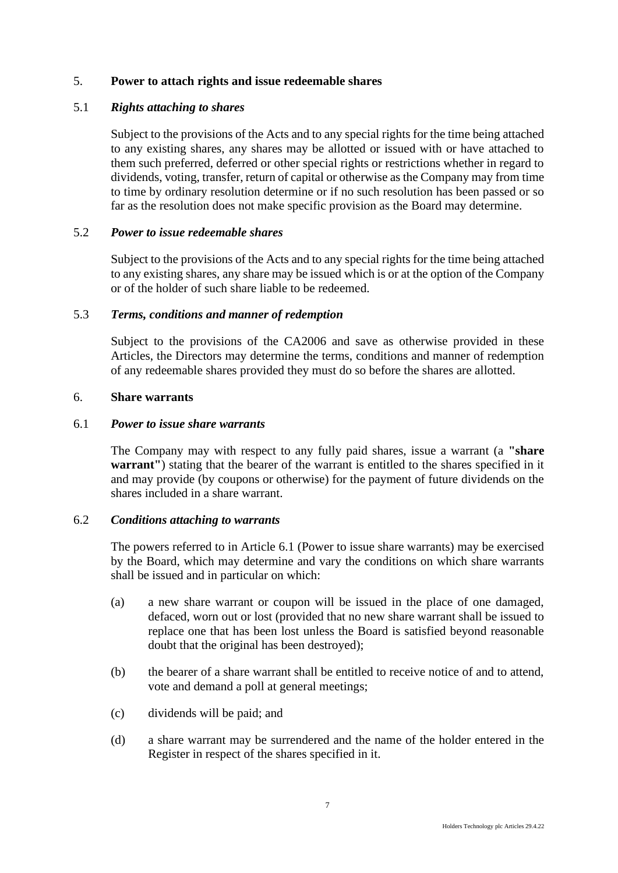# <span id="page-11-0"></span>5. **Power to attach rights and issue redeemable shares**

# 5.1 *Rights attaching to shares*

Subject to the provisions of the Acts and to any special rights for the time being attached to any existing shares, any shares may be allotted or issued with or have attached to them such preferred, deferred or other special rights or restrictions whether in regard to dividends, voting, transfer, return of capital or otherwise as the Company may from time to time by ordinary resolution determine or if no such resolution has been passed or so far as the resolution does not make specific provision as the Board may determine.

# 5.2 *Power to issue redeemable shares*

Subject to the provisions of the Acts and to any special rights for the time being attached to any existing shares, any share may be issued which is or at the option of the Company or of the holder of such share liable to be redeemed.

# 5.3 *Terms, conditions and manner of redemption*

Subject to the provisions of the CA2006 and save as otherwise provided in these Articles, the Directors may determine the terms, conditions and manner of redemption of any redeemable shares provided they must do so before the shares are allotted.

# <span id="page-11-1"></span>6. **Share warrants**

# 6.1 *Power to issue share warrants*

The Company may with respect to any fully paid shares, issue a warrant (a **"share warrant"**) stating that the bearer of the warrant is entitled to the shares specified in it and may provide (by coupons or otherwise) for the payment of future dividends on the shares included in a share warrant.

# 6.2 *Conditions attaching to warrants*

The powers referred to in Article 6.1 (Power to issue share warrants) may be exercised by the Board, which may determine and vary the conditions on which share warrants shall be issued and in particular on which:

- (a) a new share warrant or coupon will be issued in the place of one damaged, defaced, worn out or lost (provided that no new share warrant shall be issued to replace one that has been lost unless the Board is satisfied beyond reasonable doubt that the original has been destroyed);
- (b) the bearer of a share warrant shall be entitled to receive notice of and to attend, vote and demand a poll at general meetings;
- (c) dividends will be paid; and
- (d) a share warrant may be surrendered and the name of the holder entered in the Register in respect of the shares specified in it.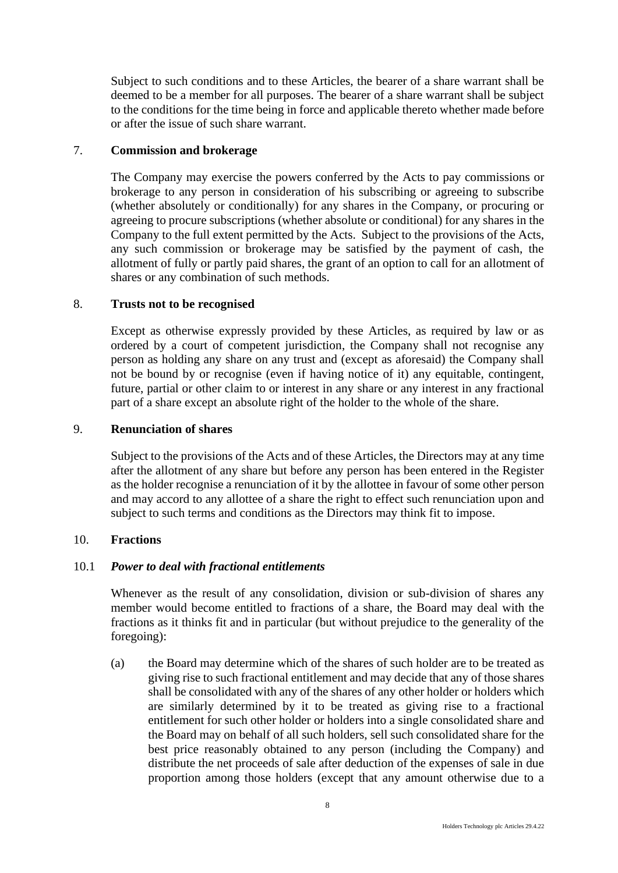Subject to such conditions and to these Articles, the bearer of a share warrant shall be deemed to be a member for all purposes. The bearer of a share warrant shall be subject to the conditions for the time being in force and applicable thereto whether made before or after the issue of such share warrant.

# <span id="page-12-0"></span>7. **Commission and brokerage**

The Company may exercise the powers conferred by the Acts to pay commissions or brokerage to any person in consideration of his subscribing or agreeing to subscribe (whether absolutely or conditionally) for any shares in the Company, or procuring or agreeing to procure subscriptions (whether absolute or conditional) for any shares in the Company to the full extent permitted by the Acts. Subject to the provisions of the Acts, any such commission or brokerage may be satisfied by the payment of cash, the allotment of fully or partly paid shares, the grant of an option to call for an allotment of shares or any combination of such methods.

#### <span id="page-12-1"></span>8. **Trusts not to be recognised**

Except as otherwise expressly provided by these Articles, as required by law or as ordered by a court of competent jurisdiction, the Company shall not recognise any person as holding any share on any trust and (except as aforesaid) the Company shall not be bound by or recognise (even if having notice of it) any equitable, contingent, future, partial or other claim to or interest in any share or any interest in any fractional part of a share except an absolute right of the holder to the whole of the share.

# <span id="page-12-2"></span>9. **Renunciation of shares**

Subject to the provisions of the Acts and of these Articles, the Directors may at any time after the allotment of any share but before any person has been entered in the Register as the holder recognise a renunciation of it by the allottee in favour of some other person and may accord to any allottee of a share the right to effect such renunciation upon and subject to such terms and conditions as the Directors may think fit to impose.

#### <span id="page-12-3"></span>10. **Fractions**

# 10.1 *Power to deal with fractional entitlements*

Whenever as the result of any consolidation, division or sub-division of shares any member would become entitled to fractions of a share, the Board may deal with the fractions as it thinks fit and in particular (but without prejudice to the generality of the foregoing):

(a) the Board may determine which of the shares of such holder are to be treated as giving rise to such fractional entitlement and may decide that any of those shares shall be consolidated with any of the shares of any other holder or holders which are similarly determined by it to be treated as giving rise to a fractional entitlement for such other holder or holders into a single consolidated share and the Board may on behalf of all such holders, sell such consolidated share for the best price reasonably obtained to any person (including the Company) and distribute the net proceeds of sale after deduction of the expenses of sale in due proportion among those holders (except that any amount otherwise due to a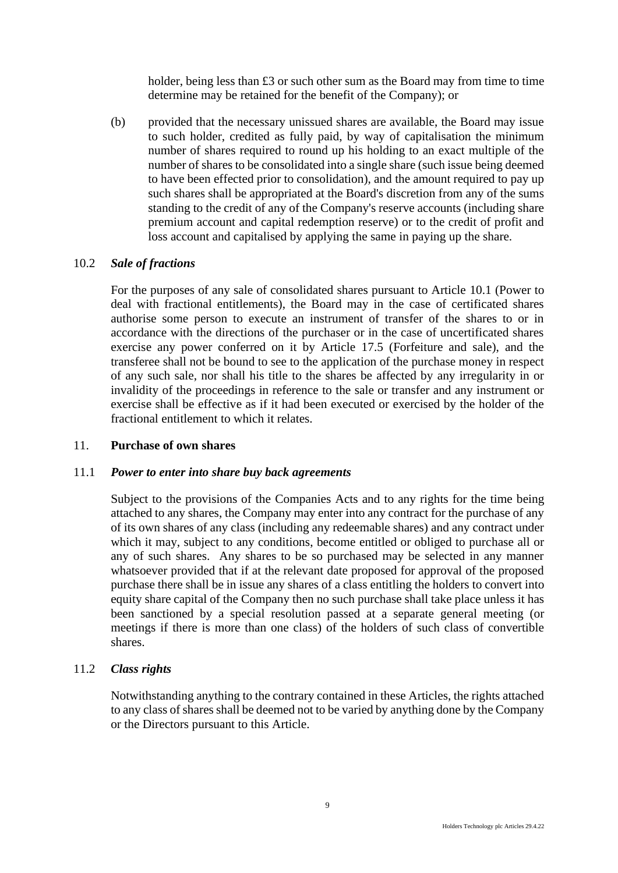holder, being less than £3 or such other sum as the Board may from time to time determine may be retained for the benefit of the Company); or

(b) provided that the necessary unissued shares are available, the Board may issue to such holder, credited as fully paid, by way of capitalisation the minimum number of shares required to round up his holding to an exact multiple of the number of shares to be consolidated into a single share (such issue being deemed to have been effected prior to consolidation), and the amount required to pay up such shares shall be appropriated at the Board's discretion from any of the sums standing to the credit of any of the Company's reserve accounts (including share premium account and capital redemption reserve) or to the credit of profit and loss account and capitalised by applying the same in paying up the share.

# 10.2 *Sale of fractions*

For the purposes of any sale of consolidated shares pursuant to Article 10.1 (Power to deal with fractional entitlements), the Board may in the case of certificated shares authorise some person to execute an instrument of transfer of the shares to or in accordance with the directions of the purchaser or in the case of uncertificated shares exercise any power conferred on it by Article 17.5 (Forfeiture and sale), and the transferee shall not be bound to see to the application of the purchase money in respect of any such sale, nor shall his title to the shares be affected by any irregularity in or invalidity of the proceedings in reference to the sale or transfer and any instrument or exercise shall be effective as if it had been executed or exercised by the holder of the fractional entitlement to which it relates.

# <span id="page-13-0"></span>11. **Purchase of own shares**

# 11.1 *Power to enter into share buy back agreements*

Subject to the provisions of the Companies Acts and to any rights for the time being attached to any shares, the Company may enter into any contract for the purchase of any of its own shares of any class (including any redeemable shares) and any contract under which it may, subject to any conditions, become entitled or obliged to purchase all or any of such shares. Any shares to be so purchased may be selected in any manner whatsoever provided that if at the relevant date proposed for approval of the proposed purchase there shall be in issue any shares of a class entitling the holders to convert into equity share capital of the Company then no such purchase shall take place unless it has been sanctioned by a special resolution passed at a separate general meeting (or meetings if there is more than one class) of the holders of such class of convertible shares.

# 11.2 *Class rights*

Notwithstanding anything to the contrary contained in these Articles, the rights attached to any class of shares shall be deemed not to be varied by anything done by the Company or the Directors pursuant to this Article.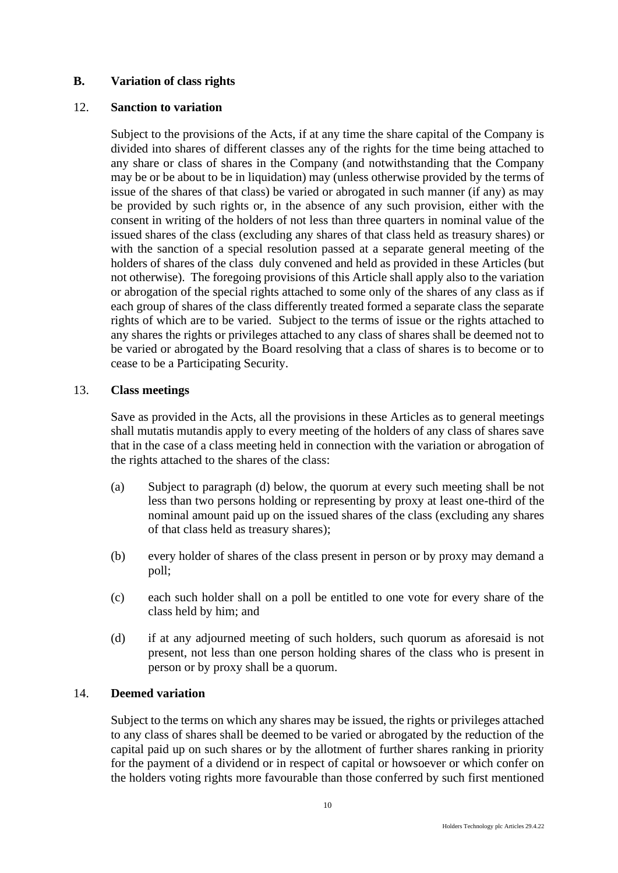# <span id="page-14-0"></span>**B. Variation of class rights**

# <span id="page-14-1"></span>12. **Sanction to variation**

Subject to the provisions of the Acts, if at any time the share capital of the Company is divided into shares of different classes any of the rights for the time being attached to any share or class of shares in the Company (and notwithstanding that the Company may be or be about to be in liquidation) may (unless otherwise provided by the terms of issue of the shares of that class) be varied or abrogated in such manner (if any) as may be provided by such rights or, in the absence of any such provision, either with the consent in writing of the holders of not less than three quarters in nominal value of the issued shares of the class (excluding any shares of that class held as treasury shares) or with the sanction of a special resolution passed at a separate general meeting of the holders of shares of the class duly convened and held as provided in these Articles (but not otherwise). The foregoing provisions of this Article shall apply also to the variation or abrogation of the special rights attached to some only of the shares of any class as if each group of shares of the class differently treated formed a separate class the separate rights of which are to be varied. Subject to the terms of issue or the rights attached to any shares the rights or privileges attached to any class of shares shall be deemed not to be varied or abrogated by the Board resolving that a class of shares is to become or to cease to be a Participating Security.

#### <span id="page-14-2"></span>13. **Class meetings**

Save as provided in the Acts, all the provisions in these Articles as to general meetings shall mutatis mutandis apply to every meeting of the holders of any class of shares save that in the case of a class meeting held in connection with the variation or abrogation of the rights attached to the shares of the class:

- (a) Subject to paragraph (d) below, the quorum at every such meeting shall be not less than two persons holding or representing by proxy at least one-third of the nominal amount paid up on the issued shares of the class (excluding any shares of that class held as treasury shares);
- (b) every holder of shares of the class present in person or by proxy may demand a poll;
- (c) each such holder shall on a poll be entitled to one vote for every share of the class held by him; and
- (d) if at any adjourned meeting of such holders, such quorum as aforesaid is not present, not less than one person holding shares of the class who is present in person or by proxy shall be a quorum.

# <span id="page-14-3"></span>14. **Deemed variation**

Subject to the terms on which any shares may be issued, the rights or privileges attached to any class of shares shall be deemed to be varied or abrogated by the reduction of the capital paid up on such shares or by the allotment of further shares ranking in priority for the payment of a dividend or in respect of capital or howsoever or which confer on the holders voting rights more favourable than those conferred by such first mentioned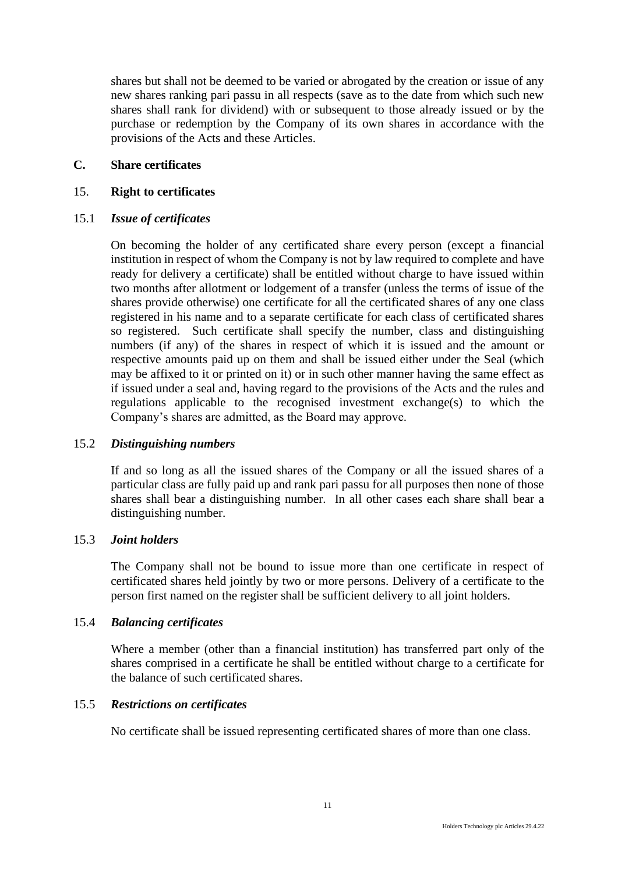shares but shall not be deemed to be varied or abrogated by the creation or issue of any new shares ranking pari passu in all respects (save as to the date from which such new shares shall rank for dividend) with or subsequent to those already issued or by the purchase or redemption by the Company of its own shares in accordance with the provisions of the Acts and these Articles.

# <span id="page-15-0"></span>**C. Share certificates**

### <span id="page-15-1"></span>15. **Right to certificates**

#### 15.1 *Issue of certificates*

On becoming the holder of any certificated share every person (except a financial institution in respect of whom the Company is not by law required to complete and have ready for delivery a certificate) shall be entitled without charge to have issued within two months after allotment or lodgement of a transfer (unless the terms of issue of the shares provide otherwise) one certificate for all the certificated shares of any one class registered in his name and to a separate certificate for each class of certificated shares so registered. Such certificate shall specify the number, class and distinguishing numbers (if any) of the shares in respect of which it is issued and the amount or respective amounts paid up on them and shall be issued either under the Seal (which may be affixed to it or printed on it) or in such other manner having the same effect as if issued under a seal and, having regard to the provisions of the Acts and the rules and regulations applicable to the recognised investment exchange(s) to which the Company's shares are admitted, as the Board may approve.

# 15.2 *Distinguishing numbers*

If and so long as all the issued shares of the Company or all the issued shares of a particular class are fully paid up and rank pari passu for all purposes then none of those shares shall bear a distinguishing number. In all other cases each share shall bear a distinguishing number.

#### 15.3 *Joint holders*

The Company shall not be bound to issue more than one certificate in respect of certificated shares held jointly by two or more persons. Delivery of a certificate to the person first named on the register shall be sufficient delivery to all joint holders.

#### 15.4 *Balancing certificates*

Where a member (other than a financial institution) has transferred part only of the shares comprised in a certificate he shall be entitled without charge to a certificate for the balance of such certificated shares.

#### 15.5 *Restrictions on certificates*

No certificate shall be issued representing certificated shares of more than one class.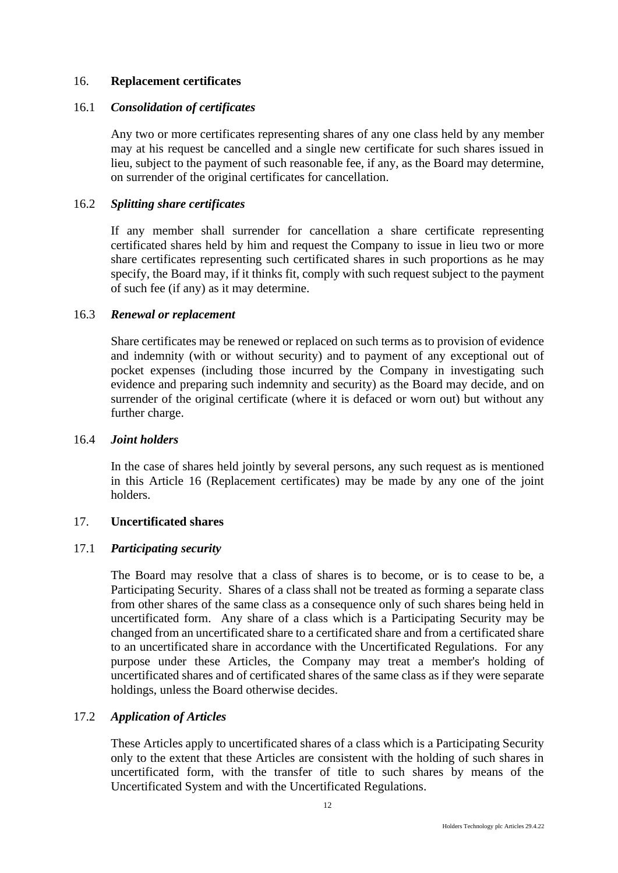# <span id="page-16-0"></span>16. **Replacement certificates**

#### 16.1 *Consolidation of certificates*

Any two or more certificates representing shares of any one class held by any member may at his request be cancelled and a single new certificate for such shares issued in lieu, subject to the payment of such reasonable fee, if any, as the Board may determine, on surrender of the original certificates for cancellation.

#### 16.2 *Splitting share certificates*

If any member shall surrender for cancellation a share certificate representing certificated shares held by him and request the Company to issue in lieu two or more share certificates representing such certificated shares in such proportions as he may specify, the Board may, if it thinks fit, comply with such request subject to the payment of such fee (if any) as it may determine.

### 16.3 *Renewal or replacement*

Share certificates may be renewed or replaced on such terms as to provision of evidence and indemnity (with or without security) and to payment of any exceptional out of pocket expenses (including those incurred by the Company in investigating such evidence and preparing such indemnity and security) as the Board may decide, and on surrender of the original certificate (where it is defaced or worn out) but without any further charge.

#### 16.4 *Joint holders*

In the case of shares held jointly by several persons, any such request as is mentioned in this Article 16 (Replacement certificates) may be made by any one of the joint holders.

# <span id="page-16-1"></span>17. **Uncertificated shares**

# 17.1 *Participating security*

The Board may resolve that a class of shares is to become, or is to cease to be, a Participating Security. Shares of a class shall not be treated as forming a separate class from other shares of the same class as a consequence only of such shares being held in uncertificated form. Any share of a class which is a Participating Security may be changed from an uncertificated share to a certificated share and from a certificated share to an uncertificated share in accordance with the Uncertificated Regulations. For any purpose under these Articles, the Company may treat a member's holding of uncertificated shares and of certificated shares of the same class as if they were separate holdings, unless the Board otherwise decides.

# 17.2 *Application of Articles*

These Articles apply to uncertificated shares of a class which is a Participating Security only to the extent that these Articles are consistent with the holding of such shares in uncertificated form, with the transfer of title to such shares by means of the Uncertificated System and with the Uncertificated Regulations.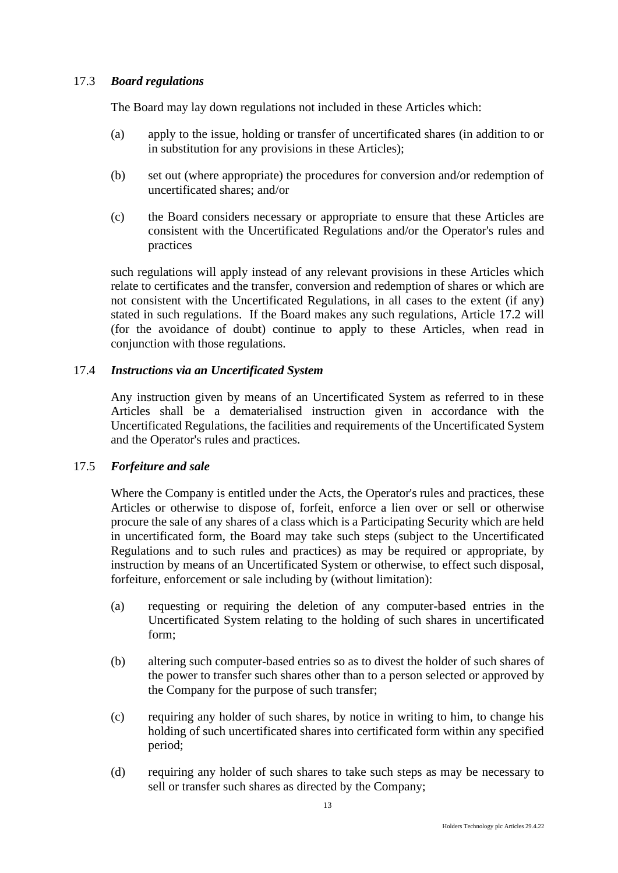# 17.3 *Board regulations*

The Board may lay down regulations not included in these Articles which:

- (a) apply to the issue, holding or transfer of uncertificated shares (in addition to or in substitution for any provisions in these Articles);
- (b) set out (where appropriate) the procedures for conversion and/or redemption of uncertificated shares; and/or
- (c) the Board considers necessary or appropriate to ensure that these Articles are consistent with the Uncertificated Regulations and/or the Operator's rules and practices

such regulations will apply instead of any relevant provisions in these Articles which relate to certificates and the transfer, conversion and redemption of shares or which are not consistent with the Uncertificated Regulations, in all cases to the extent (if any) stated in such regulations. If the Board makes any such regulations, Article 17.2 will (for the avoidance of doubt) continue to apply to these Articles, when read in conjunction with those regulations.

# 17.4 *Instructions via an Uncertificated System*

Any instruction given by means of an Uncertificated System as referred to in these Articles shall be a dematerialised instruction given in accordance with the Uncertificated Regulations, the facilities and requirements of the Uncertificated System and the Operator's rules and practices.

# 17.5 *Forfeiture and sale*

Where the Company is entitled under the Acts, the Operator's rules and practices, these Articles or otherwise to dispose of, forfeit, enforce a lien over or sell or otherwise procure the sale of any shares of a class which is a Participating Security which are held in uncertificated form, the Board may take such steps (subject to the Uncertificated Regulations and to such rules and practices) as may be required or appropriate, by instruction by means of an Uncertificated System or otherwise, to effect such disposal, forfeiture, enforcement or sale including by (without limitation):

- (a) requesting or requiring the deletion of any computer-based entries in the Uncertificated System relating to the holding of such shares in uncertificated form;
- (b) altering such computer-based entries so as to divest the holder of such shares of the power to transfer such shares other than to a person selected or approved by the Company for the purpose of such transfer;
- (c) requiring any holder of such shares, by notice in writing to him, to change his holding of such uncertificated shares into certificated form within any specified period;
- (d) requiring any holder of such shares to take such steps as may be necessary to sell or transfer such shares as directed by the Company;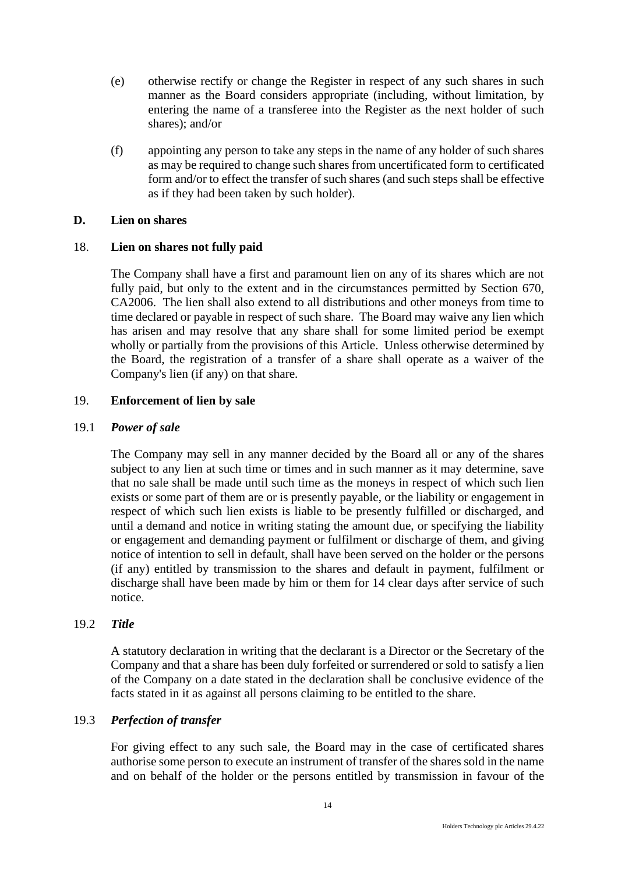- (e) otherwise rectify or change the Register in respect of any such shares in such manner as the Board considers appropriate (including, without limitation, by entering the name of a transferee into the Register as the next holder of such shares); and/or
- (f) appointing any person to take any steps in the name of any holder of such shares as may be required to change such shares from uncertificated form to certificated form and/or to effect the transfer of such shares (and such steps shall be effective as if they had been taken by such holder).

# <span id="page-18-0"></span>**D. Lien on shares**

# <span id="page-18-1"></span>18. **Lien on shares not fully paid**

The Company shall have a first and paramount lien on any of its shares which are not fully paid, but only to the extent and in the circumstances permitted by Section 670, CA2006. The lien shall also extend to all distributions and other moneys from time to time declared or payable in respect of such share. The Board may waive any lien which has arisen and may resolve that any share shall for some limited period be exempt wholly or partially from the provisions of this Article. Unless otherwise determined by the Board, the registration of a transfer of a share shall operate as a waiver of the Company's lien (if any) on that share.

# <span id="page-18-2"></span>19. **Enforcement of lien by sale**

# 19.1 *Power of sale*

The Company may sell in any manner decided by the Board all or any of the shares subject to any lien at such time or times and in such manner as it may determine, save that no sale shall be made until such time as the moneys in respect of which such lien exists or some part of them are or is presently payable, or the liability or engagement in respect of which such lien exists is liable to be presently fulfilled or discharged, and until a demand and notice in writing stating the amount due, or specifying the liability or engagement and demanding payment or fulfilment or discharge of them, and giving notice of intention to sell in default, shall have been served on the holder or the persons (if any) entitled by transmission to the shares and default in payment, fulfilment or discharge shall have been made by him or them for 14 clear days after service of such notice.

# 19.2 *Title*

A statutory declaration in writing that the declarant is a Director or the Secretary of the Company and that a share has been duly forfeited or surrendered or sold to satisfy a lien of the Company on a date stated in the declaration shall be conclusive evidence of the facts stated in it as against all persons claiming to be entitled to the share.

# 19.3 *Perfection of transfer*

For giving effect to any such sale, the Board may in the case of certificated shares authorise some person to execute an instrument of transfer of the shares sold in the name and on behalf of the holder or the persons entitled by transmission in favour of the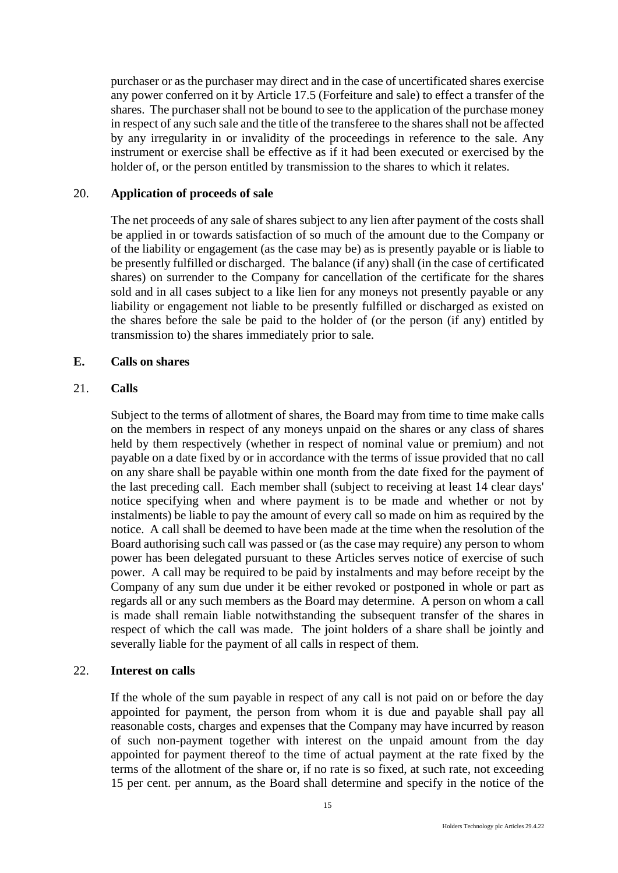purchaser or as the purchaser may direct and in the case of uncertificated shares exercise any power conferred on it by Article 17.5 (Forfeiture and sale) to effect a transfer of the shares. The purchaser shall not be bound to see to the application of the purchase money in respect of any such sale and the title of the transferee to the shares shall not be affected by any irregularity in or invalidity of the proceedings in reference to the sale. Any instrument or exercise shall be effective as if it had been executed or exercised by the holder of, or the person entitled by transmission to the shares to which it relates.

# <span id="page-19-0"></span>20. **Application of proceeds of sale**

The net proceeds of any sale of shares subject to any lien after payment of the costs shall be applied in or towards satisfaction of so much of the amount due to the Company or of the liability or engagement (as the case may be) as is presently payable or is liable to be presently fulfilled or discharged. The balance (if any) shall (in the case of certificated shares) on surrender to the Company for cancellation of the certificate for the shares sold and in all cases subject to a like lien for any moneys not presently payable or any liability or engagement not liable to be presently fulfilled or discharged as existed on the shares before the sale be paid to the holder of (or the person (if any) entitled by transmission to) the shares immediately prior to sale.

#### <span id="page-19-1"></span>**E. Calls on shares**

#### <span id="page-19-2"></span>21. **Calls**

Subject to the terms of allotment of shares, the Board may from time to time make calls on the members in respect of any moneys unpaid on the shares or any class of shares held by them respectively (whether in respect of nominal value or premium) and not payable on a date fixed by or in accordance with the terms of issue provided that no call on any share shall be payable within one month from the date fixed for the payment of the last preceding call. Each member shall (subject to receiving at least 14 clear days' notice specifying when and where payment is to be made and whether or not by instalments) be liable to pay the amount of every call so made on him as required by the notice. A call shall be deemed to have been made at the time when the resolution of the Board authorising such call was passed or (as the case may require) any person to whom power has been delegated pursuant to these Articles serves notice of exercise of such power. A call may be required to be paid by instalments and may before receipt by the Company of any sum due under it be either revoked or postponed in whole or part as regards all or any such members as the Board may determine. A person on whom a call is made shall remain liable notwithstanding the subsequent transfer of the shares in respect of which the call was made. The joint holders of a share shall be jointly and severally liable for the payment of all calls in respect of them.

### <span id="page-19-3"></span>22. **Interest on calls**

If the whole of the sum payable in respect of any call is not paid on or before the day appointed for payment, the person from whom it is due and payable shall pay all reasonable costs, charges and expenses that the Company may have incurred by reason of such non-payment together with interest on the unpaid amount from the day appointed for payment thereof to the time of actual payment at the rate fixed by the terms of the allotment of the share or, if no rate is so fixed, at such rate, not exceeding 15 per cent. per annum, as the Board shall determine and specify in the notice of the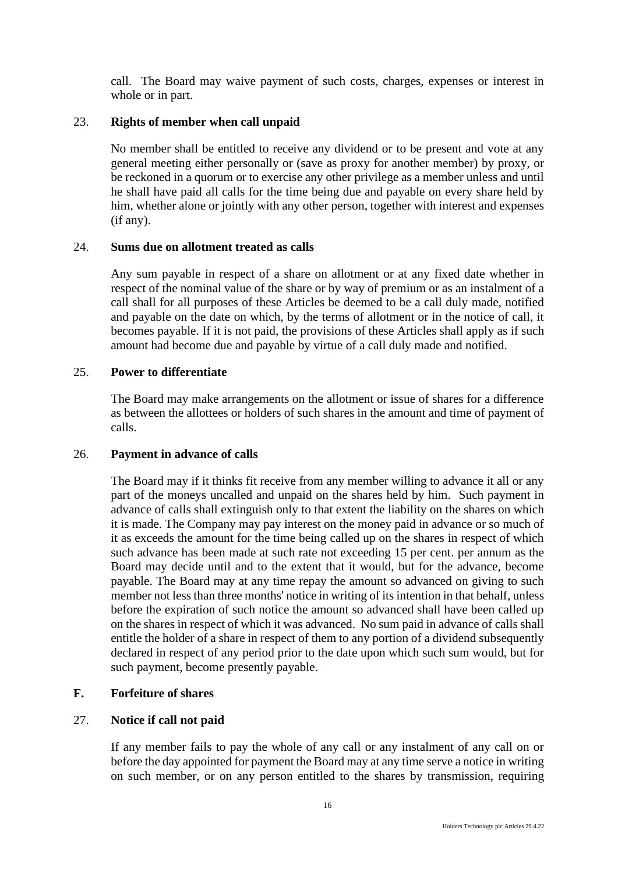call. The Board may waive payment of such costs, charges, expenses or interest in whole or in part.

# <span id="page-20-0"></span>23. **Rights of member when call unpaid**

No member shall be entitled to receive any dividend or to be present and vote at any general meeting either personally or (save as proxy for another member) by proxy, or be reckoned in a quorum or to exercise any other privilege as a member unless and until he shall have paid all calls for the time being due and payable on every share held by him, whether alone or jointly with any other person, together with interest and expenses (if any).

# <span id="page-20-1"></span>24. **Sums due on allotment treated as calls**

Any sum payable in respect of a share on allotment or at any fixed date whether in respect of the nominal value of the share or by way of premium or as an instalment of a call shall for all purposes of these Articles be deemed to be a call duly made, notified and payable on the date on which, by the terms of allotment or in the notice of call, it becomes payable. If it is not paid, the provisions of these Articles shall apply as if such amount had become due and payable by virtue of a call duly made and notified.

# <span id="page-20-2"></span>25. **Power to differentiate**

The Board may make arrangements on the allotment or issue of shares for a difference as between the allottees or holders of such shares in the amount and time of payment of calls.

# <span id="page-20-3"></span>26. **Payment in advance of calls**

The Board may if it thinks fit receive from any member willing to advance it all or any part of the moneys uncalled and unpaid on the shares held by him. Such payment in advance of calls shall extinguish only to that extent the liability on the shares on which it is made. The Company may pay interest on the money paid in advance or so much of it as exceeds the amount for the time being called up on the shares in respect of which such advance has been made at such rate not exceeding 15 per cent. per annum as the Board may decide until and to the extent that it would, but for the advance, become payable. The Board may at any time repay the amount so advanced on giving to such member not less than three months' notice in writing of its intention in that behalf, unless before the expiration of such notice the amount so advanced shall have been called up on the shares in respect of which it was advanced. No sum paid in advance of calls shall entitle the holder of a share in respect of them to any portion of a dividend subsequently declared in respect of any period prior to the date upon which such sum would, but for such payment, become presently payable.

# <span id="page-20-4"></span>**F. Forfeiture of shares**

# <span id="page-20-5"></span>27. **Notice if call not paid**

If any member fails to pay the whole of any call or any instalment of any call on or before the day appointed for payment the Board may at any time serve a notice in writing on such member, or on any person entitled to the shares by transmission, requiring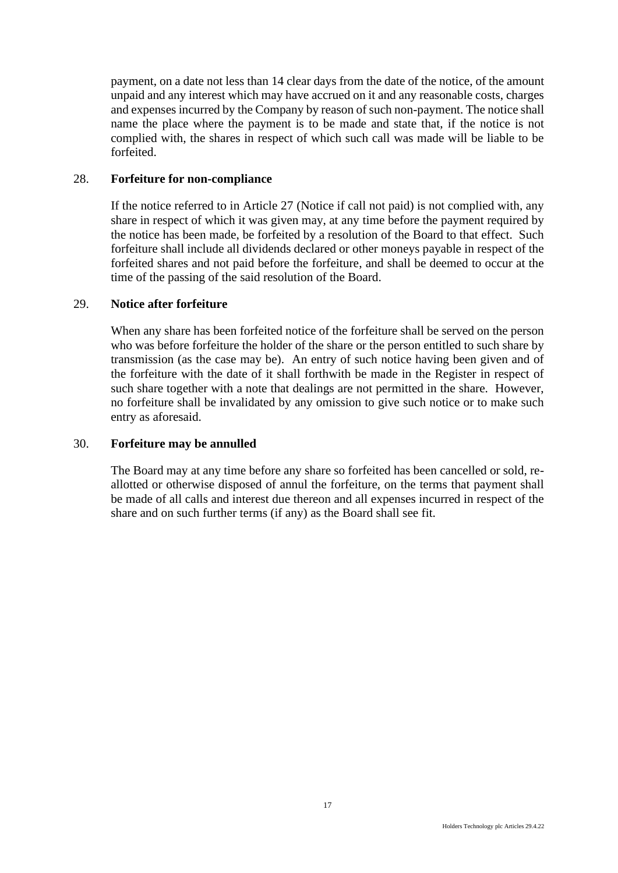payment, on a date not less than 14 clear days from the date of the notice, of the amount unpaid and any interest which may have accrued on it and any reasonable costs, charges and expenses incurred by the Company by reason of such non-payment. The notice shall name the place where the payment is to be made and state that, if the notice is not complied with, the shares in respect of which such call was made will be liable to be forfeited.

### <span id="page-21-0"></span>28. **Forfeiture for non-compliance**

If the notice referred to in Article 27 (Notice if call not paid) is not complied with, any share in respect of which it was given may, at any time before the payment required by the notice has been made, be forfeited by a resolution of the Board to that effect. Such forfeiture shall include all dividends declared or other moneys payable in respect of the forfeited shares and not paid before the forfeiture, and shall be deemed to occur at the time of the passing of the said resolution of the Board.

### <span id="page-21-1"></span>29. **Notice after forfeiture**

When any share has been forfeited notice of the forfeiture shall be served on the person who was before forfeiture the holder of the share or the person entitled to such share by transmission (as the case may be). An entry of such notice having been given and of the forfeiture with the date of it shall forthwith be made in the Register in respect of such share together with a note that dealings are not permitted in the share. However, no forfeiture shall be invalidated by any omission to give such notice or to make such entry as aforesaid.

# <span id="page-21-2"></span>30. **Forfeiture may be annulled**

The Board may at any time before any share so forfeited has been cancelled or sold, reallotted or otherwise disposed of annul the forfeiture, on the terms that payment shall be made of all calls and interest due thereon and all expenses incurred in respect of the share and on such further terms (if any) as the Board shall see fit.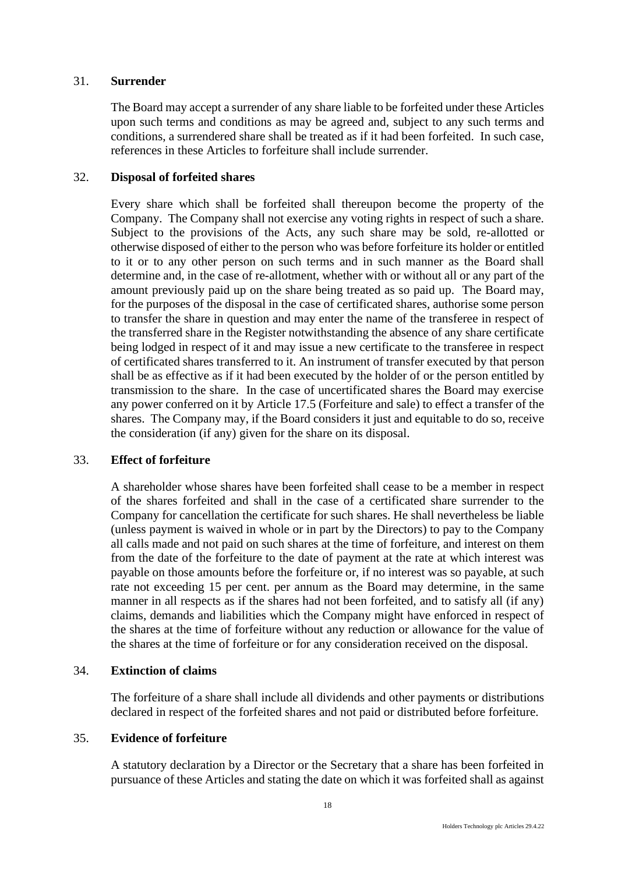# <span id="page-22-0"></span>31. **Surrender**

The Board may accept a surrender of any share liable to be forfeited under these Articles upon such terms and conditions as may be agreed and, subject to any such terms and conditions, a surrendered share shall be treated as if it had been forfeited. In such case, references in these Articles to forfeiture shall include surrender.

# <span id="page-22-1"></span>32. **Disposal of forfeited shares**

Every share which shall be forfeited shall thereupon become the property of the Company. The Company shall not exercise any voting rights in respect of such a share. Subject to the provisions of the Acts, any such share may be sold, re-allotted or otherwise disposed of either to the person who was before forfeiture its holder or entitled to it or to any other person on such terms and in such manner as the Board shall determine and, in the case of re-allotment, whether with or without all or any part of the amount previously paid up on the share being treated as so paid up. The Board may, for the purposes of the disposal in the case of certificated shares, authorise some person to transfer the share in question and may enter the name of the transferee in respect of the transferred share in the Register notwithstanding the absence of any share certificate being lodged in respect of it and may issue a new certificate to the transferee in respect of certificated shares transferred to it. An instrument of transfer executed by that person shall be as effective as if it had been executed by the holder of or the person entitled by transmission to the share. In the case of uncertificated shares the Board may exercise any power conferred on it by Article 17.5 (Forfeiture and sale) to effect a transfer of the shares. The Company may, if the Board considers it just and equitable to do so, receive the consideration (if any) given for the share on its disposal.

# <span id="page-22-2"></span>33. **Effect of forfeiture**

A shareholder whose shares have been forfeited shall cease to be a member in respect of the shares forfeited and shall in the case of a certificated share surrender to the Company for cancellation the certificate for such shares. He shall nevertheless be liable (unless payment is waived in whole or in part by the Directors) to pay to the Company all calls made and not paid on such shares at the time of forfeiture, and interest on them from the date of the forfeiture to the date of payment at the rate at which interest was payable on those amounts before the forfeiture or, if no interest was so payable, at such rate not exceeding 15 per cent. per annum as the Board may determine, in the same manner in all respects as if the shares had not been forfeited, and to satisfy all (if any) claims, demands and liabilities which the Company might have enforced in respect of the shares at the time of forfeiture without any reduction or allowance for the value of the shares at the time of forfeiture or for any consideration received on the disposal.

# <span id="page-22-3"></span>34. **Extinction of claims**

The forfeiture of a share shall include all dividends and other payments or distributions declared in respect of the forfeited shares and not paid or distributed before forfeiture.

# <span id="page-22-4"></span>35. **Evidence of forfeiture**

A statutory declaration by a Director or the Secretary that a share has been forfeited in pursuance of these Articles and stating the date on which it was forfeited shall as against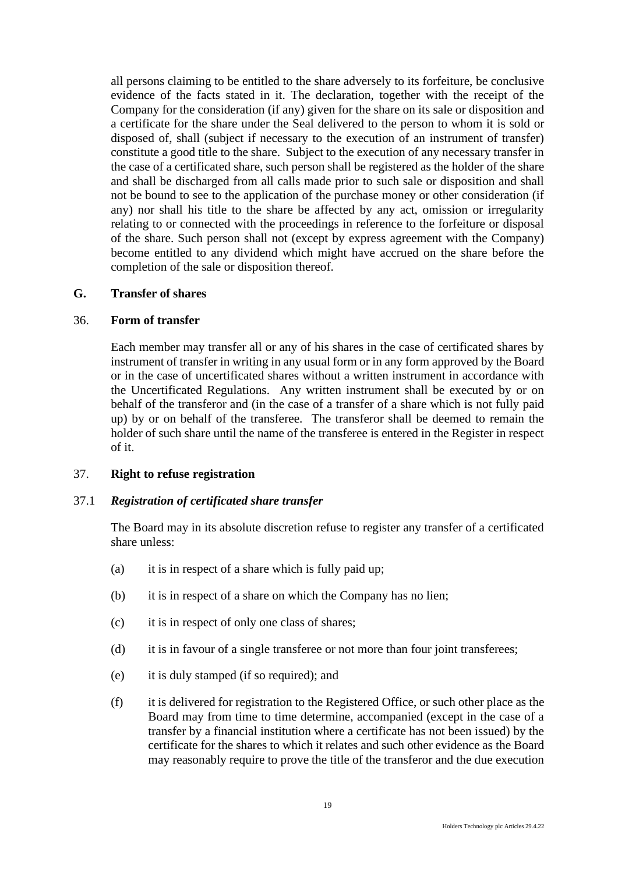all persons claiming to be entitled to the share adversely to its forfeiture, be conclusive evidence of the facts stated in it. The declaration, together with the receipt of the Company for the consideration (if any) given for the share on its sale or disposition and a certificate for the share under the Seal delivered to the person to whom it is sold or disposed of, shall (subject if necessary to the execution of an instrument of transfer) constitute a good title to the share. Subject to the execution of any necessary transfer in the case of a certificated share, such person shall be registered as the holder of the share and shall be discharged from all calls made prior to such sale or disposition and shall not be bound to see to the application of the purchase money or other consideration (if any) nor shall his title to the share be affected by any act, omission or irregularity relating to or connected with the proceedings in reference to the forfeiture or disposal of the share. Such person shall not (except by express agreement with the Company) become entitled to any dividend which might have accrued on the share before the completion of the sale or disposition thereof.

#### <span id="page-23-0"></span>**G. Transfer of shares**

# <span id="page-23-1"></span>36. **Form of transfer**

Each member may transfer all or any of his shares in the case of certificated shares by instrument of transfer in writing in any usual form or in any form approved by the Board or in the case of uncertificated shares without a written instrument in accordance with the Uncertificated Regulations. Any written instrument shall be executed by or on behalf of the transferor and (in the case of a transfer of a share which is not fully paid up) by or on behalf of the transferee. The transferor shall be deemed to remain the holder of such share until the name of the transferee is entered in the Register in respect of it.

# <span id="page-23-2"></span>37. **Right to refuse registration**

# 37.1 *Registration of certificated share transfer*

The Board may in its absolute discretion refuse to register any transfer of a certificated share unless:

- (a) it is in respect of a share which is fully paid up;
- (b) it is in respect of a share on which the Company has no lien;
- (c) it is in respect of only one class of shares;
- (d) it is in favour of a single transferee or not more than four joint transferees;
- (e) it is duly stamped (if so required); and
- (f) it is delivered for registration to the Registered Office, or such other place as the Board may from time to time determine, accompanied (except in the case of a transfer by a financial institution where a certificate has not been issued) by the certificate for the shares to which it relates and such other evidence as the Board may reasonably require to prove the title of the transferor and the due execution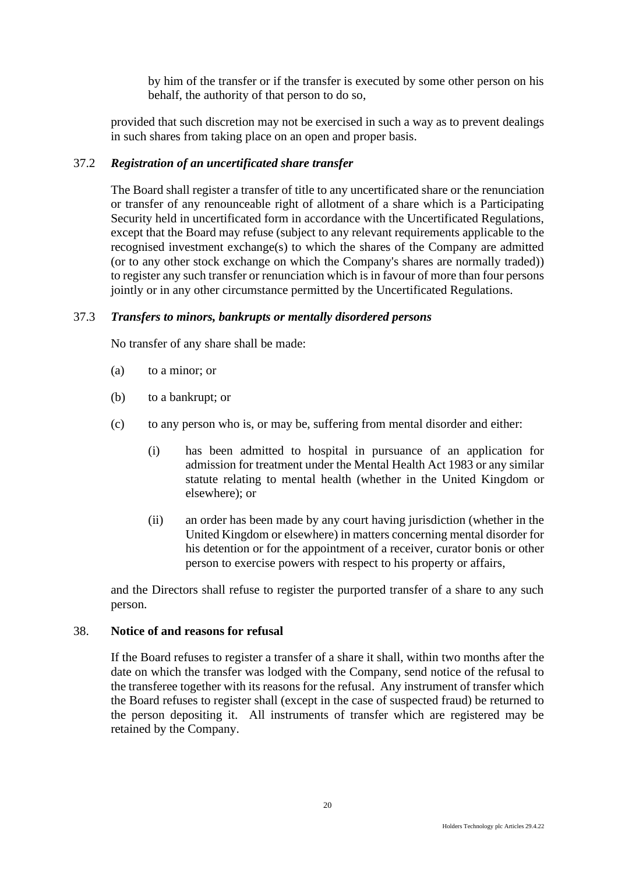by him of the transfer or if the transfer is executed by some other person on his behalf, the authority of that person to do so,

provided that such discretion may not be exercised in such a way as to prevent dealings in such shares from taking place on an open and proper basis.

# 37.2 *Registration of an uncertificated share transfer*

The Board shall register a transfer of title to any uncertificated share or the renunciation or transfer of any renounceable right of allotment of a share which is a Participating Security held in uncertificated form in accordance with the Uncertificated Regulations, except that the Board may refuse (subject to any relevant requirements applicable to the recognised investment exchange(s) to which the shares of the Company are admitted (or to any other stock exchange on which the Company's shares are normally traded)) to register any such transfer or renunciation which is in favour of more than four persons jointly or in any other circumstance permitted by the Uncertificated Regulations.

# 37.3 *Transfers to minors, bankrupts or mentally disordered persons*

No transfer of any share shall be made:

- (a) to a minor; or
- (b) to a bankrupt; or
- (c) to any person who is, or may be, suffering from mental disorder and either:
	- (i) has been admitted to hospital in pursuance of an application for admission for treatment under the Mental Health Act 1983 or any similar statute relating to mental health (whether in the United Kingdom or elsewhere); or
	- (ii) an order has been made by any court having jurisdiction (whether in the United Kingdom or elsewhere) in matters concerning mental disorder for his detention or for the appointment of a receiver, curator bonis or other person to exercise powers with respect to his property or affairs,

and the Directors shall refuse to register the purported transfer of a share to any such person.

# <span id="page-24-0"></span>38. **Notice of and reasons for refusal**

If the Board refuses to register a transfer of a share it shall, within two months after the date on which the transfer was lodged with the Company, send notice of the refusal to the transferee together with its reasons for the refusal. Any instrument of transfer which the Board refuses to register shall (except in the case of suspected fraud) be returned to the person depositing it. All instruments of transfer which are registered may be retained by the Company.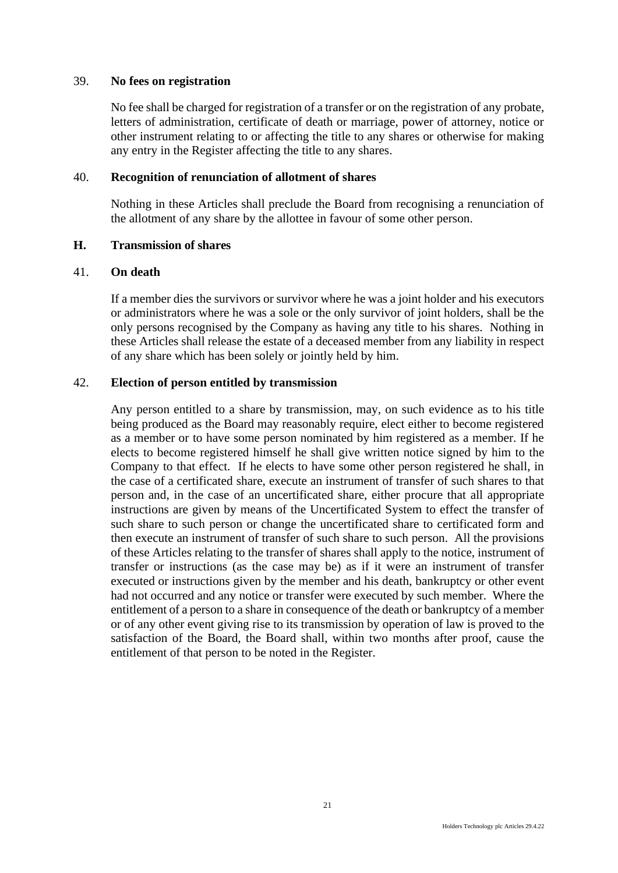### <span id="page-25-0"></span>39. **No fees on registration**

No fee shall be charged for registration of a transfer or on the registration of any probate, letters of administration, certificate of death or marriage, power of attorney, notice or other instrument relating to or affecting the title to any shares or otherwise for making any entry in the Register affecting the title to any shares.

#### <span id="page-25-1"></span>40. **Recognition of renunciation of allotment of shares**

Nothing in these Articles shall preclude the Board from recognising a renunciation of the allotment of any share by the allottee in favour of some other person.

#### <span id="page-25-2"></span>**H. Transmission of shares**

#### <span id="page-25-3"></span>41. **On death**

If a member dies the survivors or survivor where he was a joint holder and his executors or administrators where he was a sole or the only survivor of joint holders, shall be the only persons recognised by the Company as having any title to his shares. Nothing in these Articles shall release the estate of a deceased member from any liability in respect of any share which has been solely or jointly held by him.

#### <span id="page-25-4"></span>42. **Election of person entitled by transmission**

Any person entitled to a share by transmission, may, on such evidence as to his title being produced as the Board may reasonably require, elect either to become registered as a member or to have some person nominated by him registered as a member. If he elects to become registered himself he shall give written notice signed by him to the Company to that effect. If he elects to have some other person registered he shall, in the case of a certificated share, execute an instrument of transfer of such shares to that person and, in the case of an uncertificated share, either procure that all appropriate instructions are given by means of the Uncertificated System to effect the transfer of such share to such person or change the uncertificated share to certificated form and then execute an instrument of transfer of such share to such person. All the provisions of these Articles relating to the transfer of shares shall apply to the notice, instrument of transfer or instructions (as the case may be) as if it were an instrument of transfer executed or instructions given by the member and his death, bankruptcy or other event had not occurred and any notice or transfer were executed by such member. Where the entitlement of a person to a share in consequence of the death or bankruptcy of a member or of any other event giving rise to its transmission by operation of law is proved to the satisfaction of the Board, the Board shall, within two months after proof, cause the entitlement of that person to be noted in the Register.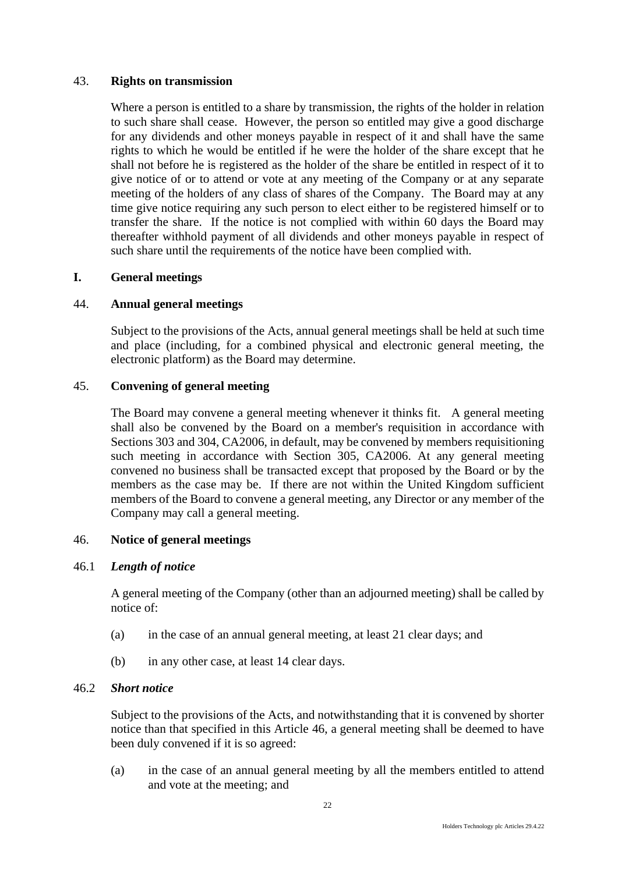# <span id="page-26-0"></span>43. **Rights on transmission**

Where a person is entitled to a share by transmission, the rights of the holder in relation to such share shall cease. However, the person so entitled may give a good discharge for any dividends and other moneys payable in respect of it and shall have the same rights to which he would be entitled if he were the holder of the share except that he shall not before he is registered as the holder of the share be entitled in respect of it to give notice of or to attend or vote at any meeting of the Company or at any separate meeting of the holders of any class of shares of the Company. The Board may at any time give notice requiring any such person to elect either to be registered himself or to transfer the share. If the notice is not complied with within 60 days the Board may thereafter withhold payment of all dividends and other moneys payable in respect of such share until the requirements of the notice have been complied with.

# <span id="page-26-1"></span>**I. General meetings**

# <span id="page-26-2"></span>44. **Annual general meetings**

Subject to the provisions of the Acts, annual general meetings shall be held at such time and place (including, for a combined physical and electronic general meeting, the electronic platform) as the Board may determine.

# <span id="page-26-3"></span>45. **Convening of general meeting**

The Board may convene a general meeting whenever it thinks fit. A general meeting shall also be convened by the Board on a member's requisition in accordance with Sections 303 and 304, CA2006, in default, may be convened by members requisitioning such meeting in accordance with Section 305, CA2006. At any general meeting convened no business shall be transacted except that proposed by the Board or by the members as the case may be. If there are not within the United Kingdom sufficient members of the Board to convene a general meeting, any Director or any member of the Company may call a general meeting.

# <span id="page-26-4"></span>46. **Notice of general meetings**

# 46.1 *Length of notice*

A general meeting of the Company (other than an adjourned meeting) shall be called by notice of:

- (a) in the case of an annual general meeting, at least 21 clear days; and
- (b) in any other case, at least 14 clear days.

# 46.2 *Short notice*

Subject to the provisions of the Acts, and notwithstanding that it is convened by shorter notice than that specified in this Article 46, a general meeting shall be deemed to have been duly convened if it is so agreed:

(a) in the case of an annual general meeting by all the members entitled to attend and vote at the meeting; and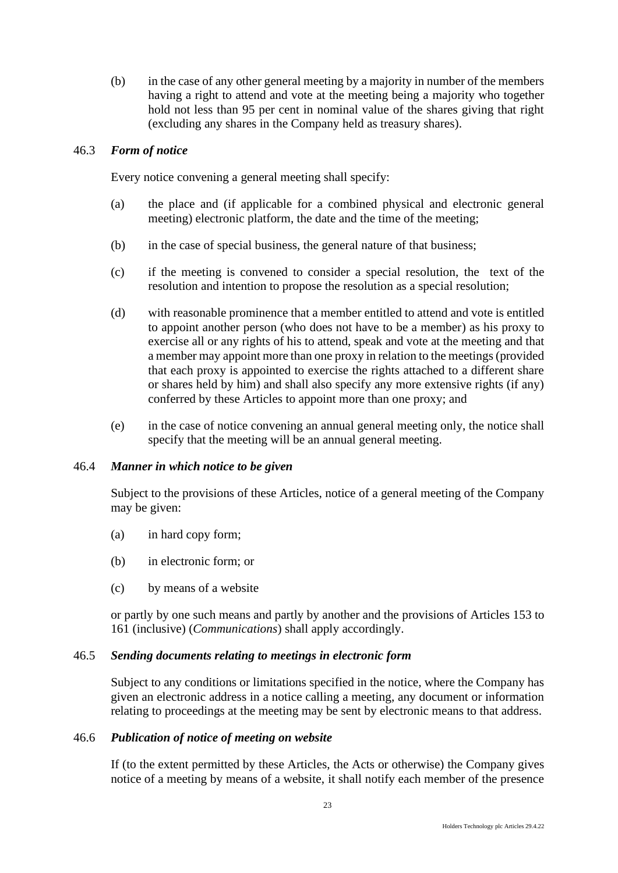(b) in the case of any other general meeting by a majority in number of the members having a right to attend and vote at the meeting being a majority who together hold not less than 95 per cent in nominal value of the shares giving that right (excluding any shares in the Company held as treasury shares).

# 46.3 *Form of notice*

Every notice convening a general meeting shall specify:

- (a) the place and (if applicable for a combined physical and electronic general meeting) electronic platform, the date and the time of the meeting;
- (b) in the case of special business, the general nature of that business;
- (c) if the meeting is convened to consider a special resolution, the text of the resolution and intention to propose the resolution as a special resolution;
- (d) with reasonable prominence that a member entitled to attend and vote is entitled to appoint another person (who does not have to be a member) as his proxy to exercise all or any rights of his to attend, speak and vote at the meeting and that a member may appoint more than one proxy in relation to the meetings (provided that each proxy is appointed to exercise the rights attached to a different share or shares held by him) and shall also specify any more extensive rights (if any) conferred by these Articles to appoint more than one proxy; and
- (e) in the case of notice convening an annual general meeting only, the notice shall specify that the meeting will be an annual general meeting.

# 46.4 *Manner in which notice to be given*

Subject to the provisions of these Articles, notice of a general meeting of the Company may be given:

- (a) in hard copy form;
- (b) in electronic form; or
- (c) by means of a website

or partly by one such means and partly by another and the provisions of Articles 153 to 161 (inclusive) (*Communications*) shall apply accordingly.

# 46.5 *Sending documents relating to meetings in electronic form*

Subject to any conditions or limitations specified in the notice, where the Company has given an electronic address in a notice calling a meeting, any document or information relating to proceedings at the meeting may be sent by electronic means to that address.

# 46.6 *Publication of notice of meeting on website*

If (to the extent permitted by these Articles, the Acts or otherwise) the Company gives notice of a meeting by means of a website, it shall notify each member of the presence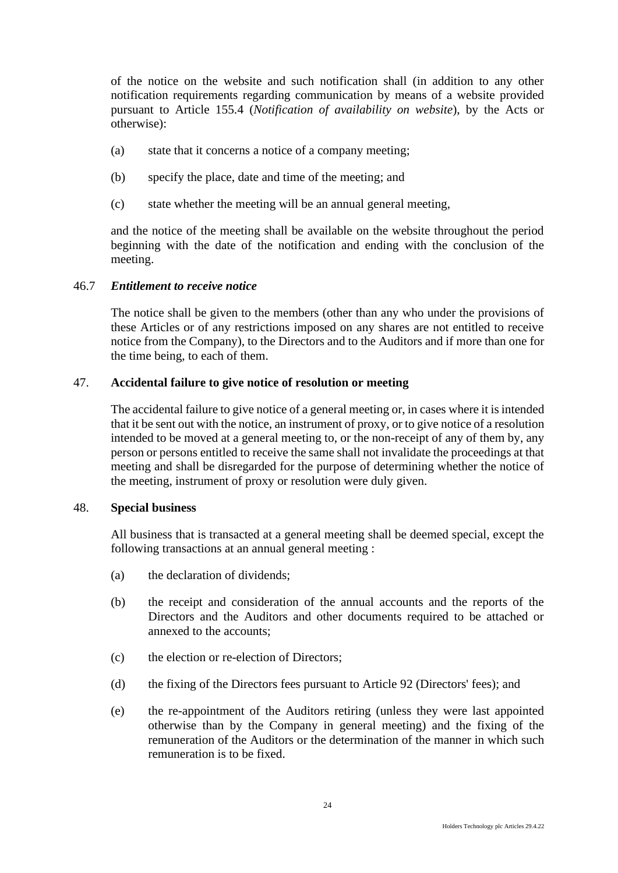of the notice on the website and such notification shall (in addition to any other notification requirements regarding communication by means of a website provided pursuant to Article 155.4 (*Notification of availability on website*), by the Acts or otherwise):

- (a) state that it concerns a notice of a company meeting;
- (b) specify the place, date and time of the meeting; and
- (c) state whether the meeting will be an annual general meeting,

and the notice of the meeting shall be available on the website throughout the period beginning with the date of the notification and ending with the conclusion of the meeting.

#### 46.7 *Entitlement to receive notice*

The notice shall be given to the members (other than any who under the provisions of these Articles or of any restrictions imposed on any shares are not entitled to receive notice from the Company), to the Directors and to the Auditors and if more than one for the time being, to each of them.

# <span id="page-28-0"></span>47. **Accidental failure to give notice of resolution or meeting**

The accidental failure to give notice of a general meeting or, in cases where it is intended that it be sent out with the notice, an instrument of proxy, or to give notice of a resolution intended to be moved at a general meeting to, or the non-receipt of any of them by, any person or persons entitled to receive the same shall not invalidate the proceedings at that meeting and shall be disregarded for the purpose of determining whether the notice of the meeting, instrument of proxy or resolution were duly given.

#### <span id="page-28-1"></span>48. **Special business**

All business that is transacted at a general meeting shall be deemed special, except the following transactions at an annual general meeting :

- (a) the declaration of dividends;
- (b) the receipt and consideration of the annual accounts and the reports of the Directors and the Auditors and other documents required to be attached or annexed to the accounts;
- (c) the election or re-election of Directors;
- (d) the fixing of the Directors fees pursuant to Article 92 (Directors' fees); and
- (e) the re-appointment of the Auditors retiring (unless they were last appointed otherwise than by the Company in general meeting) and the fixing of the remuneration of the Auditors or the determination of the manner in which such remuneration is to be fixed.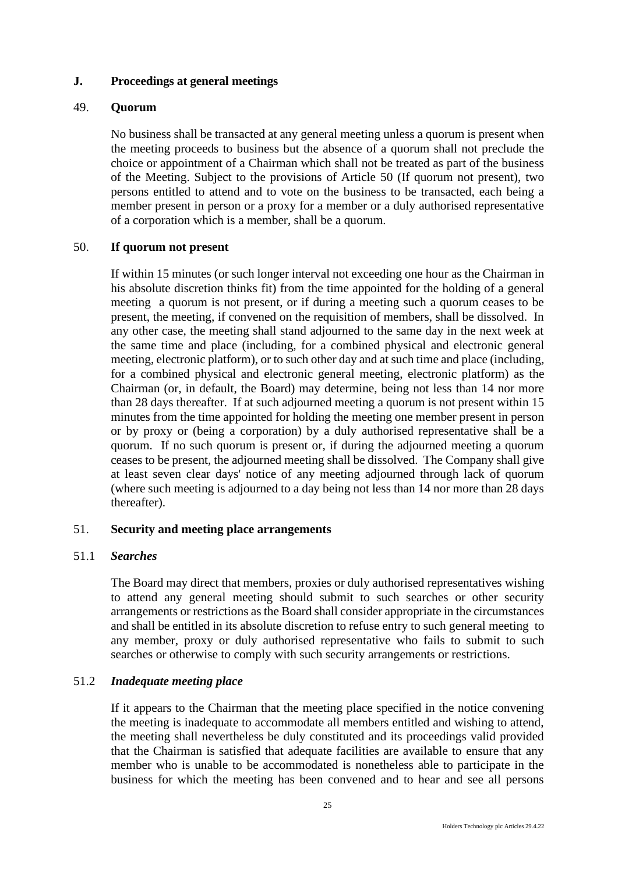# <span id="page-29-0"></span>**J. Proceedings at general meetings**

# <span id="page-29-1"></span>49. **Quorum**

No business shall be transacted at any general meeting unless a quorum is present when the meeting proceeds to business but the absence of a quorum shall not preclude the choice or appointment of a Chairman which shall not be treated as part of the business of the Meeting. Subject to the provisions of Article 50 (If quorum not present), two persons entitled to attend and to vote on the business to be transacted, each being a member present in person or a proxy for a member or a duly authorised representative of a corporation which is a member, shall be a quorum.

# <span id="page-29-2"></span>50. **If quorum not present**

If within 15 minutes (or such longer interval not exceeding one hour as the Chairman in his absolute discretion thinks fit) from the time appointed for the holding of a general meeting a quorum is not present, or if during a meeting such a quorum ceases to be present, the meeting, if convened on the requisition of members, shall be dissolved. In any other case, the meeting shall stand adjourned to the same day in the next week at the same time and place (including, for a combined physical and electronic general meeting, electronic platform), or to such other day and at such time and place (including, for a combined physical and electronic general meeting, electronic platform) as the Chairman (or, in default, the Board) may determine, being not less than 14 nor more than 28 days thereafter. If at such adjourned meeting a quorum is not present within 15 minutes from the time appointed for holding the meeting one member present in person or by proxy or (being a corporation) by a duly authorised representative shall be a quorum. If no such quorum is present or, if during the adjourned meeting a quorum ceases to be present, the adjourned meeting shall be dissolved. The Company shall give at least seven clear days' notice of any meeting adjourned through lack of quorum (where such meeting is adjourned to a day being not less than 14 nor more than 28 days thereafter).

# <span id="page-29-3"></span>51. **Security and meeting place arrangements**

# 51.1 *Searches*

The Board may direct that members, proxies or duly authorised representatives wishing to attend any general meeting should submit to such searches or other security arrangements or restrictions as the Board shall consider appropriate in the circumstances and shall be entitled in its absolute discretion to refuse entry to such general meeting to any member, proxy or duly authorised representative who fails to submit to such searches or otherwise to comply with such security arrangements or restrictions.

# 51.2 *Inadequate meeting place*

If it appears to the Chairman that the meeting place specified in the notice convening the meeting is inadequate to accommodate all members entitled and wishing to attend, the meeting shall nevertheless be duly constituted and its proceedings valid provided that the Chairman is satisfied that adequate facilities are available to ensure that any member who is unable to be accommodated is nonetheless able to participate in the business for which the meeting has been convened and to hear and see all persons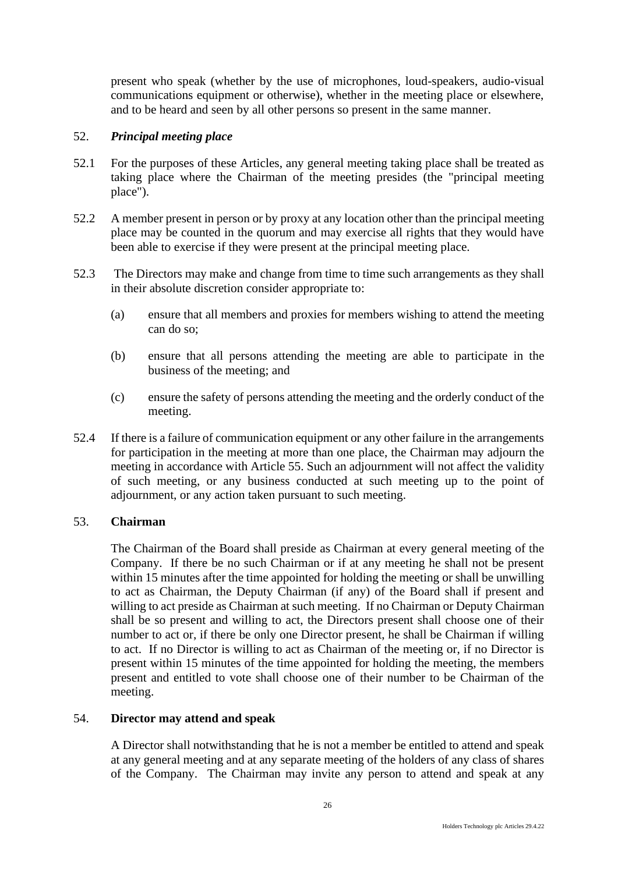present who speak (whether by the use of microphones, loud-speakers, audio-visual communications equipment or otherwise), whether in the meeting place or elsewhere, and to be heard and seen by all other persons so present in the same manner.

# <span id="page-30-0"></span>52. *Principal meeting place*

- 52.1 For the purposes of these Articles, any general meeting taking place shall be treated as taking place where the Chairman of the meeting presides (the "principal meeting place").
- 52.2 A member present in person or by proxy at any location other than the principal meeting place may be counted in the quorum and may exercise all rights that they would have been able to exercise if they were present at the principal meeting place.
- 52.3 The Directors may make and change from time to time such arrangements as they shall in their absolute discretion consider appropriate to:
	- (a) ensure that all members and proxies for members wishing to attend the meeting can do so;
	- (b) ensure that all persons attending the meeting are able to participate in the business of the meeting; and
	- (c) ensure the safety of persons attending the meeting and the orderly conduct of the meeting.
- 52.4 If there is a failure of communication equipment or any other failure in the arrangements for participation in the meeting at more than one place, the Chairman may adjourn the meeting in accordance with Article 55. Such an adjournment will not affect the validity of such meeting, or any business conducted at such meeting up to the point of adjournment, or any action taken pursuant to such meeting.

# <span id="page-30-1"></span>53. **Chairman**

The Chairman of the Board shall preside as Chairman at every general meeting of the Company. If there be no such Chairman or if at any meeting he shall not be present within 15 minutes after the time appointed for holding the meeting or shall be unwilling to act as Chairman, the Deputy Chairman (if any) of the Board shall if present and willing to act preside as Chairman at such meeting. If no Chairman or Deputy Chairman shall be so present and willing to act, the Directors present shall choose one of their number to act or, if there be only one Director present, he shall be Chairman if willing to act. If no Director is willing to act as Chairman of the meeting or, if no Director is present within 15 minutes of the time appointed for holding the meeting, the members present and entitled to vote shall choose one of their number to be Chairman of the meeting.

# <span id="page-30-2"></span>54. **Director may attend and speak**

A Director shall notwithstanding that he is not a member be entitled to attend and speak at any general meeting and at any separate meeting of the holders of any class of shares of the Company. The Chairman may invite any person to attend and speak at any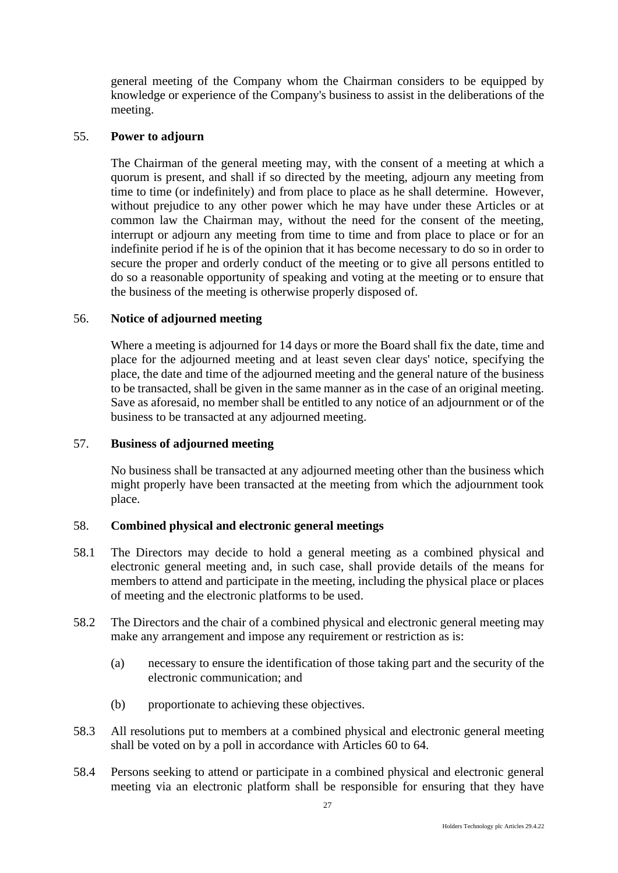general meeting of the Company whom the Chairman considers to be equipped by knowledge or experience of the Company's business to assist in the deliberations of the meeting.

### <span id="page-31-0"></span>55. **Power to adjourn**

The Chairman of the general meeting may, with the consent of a meeting at which a quorum is present, and shall if so directed by the meeting, adjourn any meeting from time to time (or indefinitely) and from place to place as he shall determine. However, without prejudice to any other power which he may have under these Articles or at common law the Chairman may, without the need for the consent of the meeting, interrupt or adjourn any meeting from time to time and from place to place or for an indefinite period if he is of the opinion that it has become necessary to do so in order to secure the proper and orderly conduct of the meeting or to give all persons entitled to do so a reasonable opportunity of speaking and voting at the meeting or to ensure that the business of the meeting is otherwise properly disposed of.

# <span id="page-31-1"></span>56. **Notice of adjourned meeting**

Where a meeting is adjourned for 14 days or more the Board shall fix the date, time and place for the adjourned meeting and at least seven clear days' notice, specifying the place, the date and time of the adjourned meeting and the general nature of the business to be transacted, shall be given in the same manner as in the case of an original meeting. Save as aforesaid, no member shall be entitled to any notice of an adjournment or of the business to be transacted at any adjourned meeting.

# <span id="page-31-2"></span>57. **Business of adjourned meeting**

No business shall be transacted at any adjourned meeting other than the business which might properly have been transacted at the meeting from which the adjournment took place.

#### <span id="page-31-3"></span>58. **Combined physical and electronic general meetings**

- 58.1 The Directors may decide to hold a general meeting as a combined physical and electronic general meeting and, in such case, shall provide details of the means for members to attend and participate in the meeting, including the physical place or places of meeting and the electronic platforms to be used.
- 58.2 The Directors and the chair of a combined physical and electronic general meeting may make any arrangement and impose any requirement or restriction as is:
	- (a) necessary to ensure the identification of those taking part and the security of the electronic communication; and
	- (b) proportionate to achieving these objectives.
- 58.3 All resolutions put to members at a combined physical and electronic general meeting shall be voted on by a poll in accordance with Articles 60 to 64.
- 58.4 Persons seeking to attend or participate in a combined physical and electronic general meeting via an electronic platform shall be responsible for ensuring that they have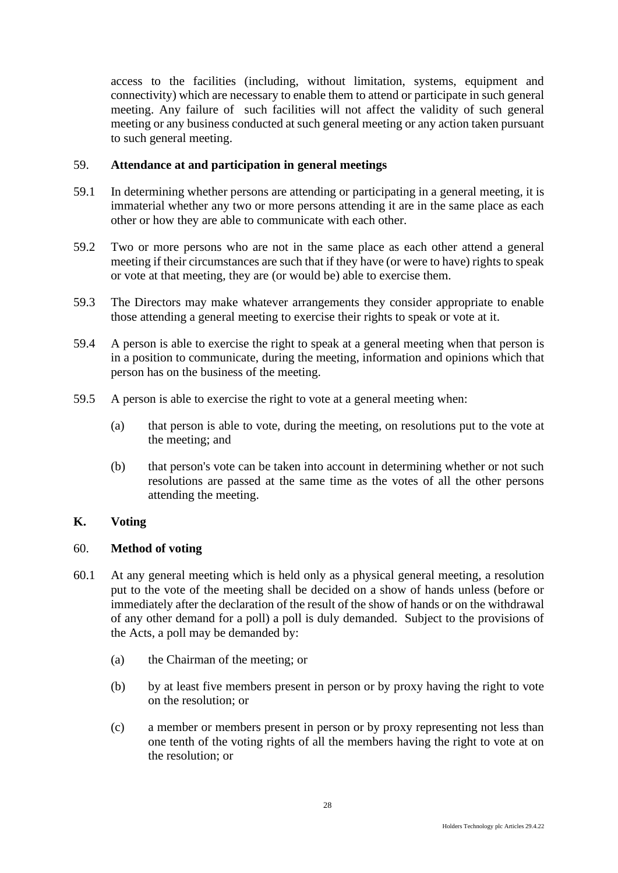access to the facilities (including, without limitation, systems, equipment and connectivity) which are necessary to enable them to attend or participate in such general meeting. Any failure of such facilities will not affect the validity of such general meeting or any business conducted at such general meeting or any action taken pursuant to such general meeting.

# <span id="page-32-0"></span>59. **Attendance at and participation in general meetings**

- 59.1 In determining whether persons are attending or participating in a general meeting, it is immaterial whether any two or more persons attending it are in the same place as each other or how they are able to communicate with each other.
- 59.2 Two or more persons who are not in the same place as each other attend a general meeting if their circumstances are such that if they have (or were to have) rights to speak or vote at that meeting, they are (or would be) able to exercise them.
- 59.3 The Directors may make whatever arrangements they consider appropriate to enable those attending a general meeting to exercise their rights to speak or vote at it.
- 59.4 A person is able to exercise the right to speak at a general meeting when that person is in a position to communicate, during the meeting, information and opinions which that person has on the business of the meeting.
- 59.5 A person is able to exercise the right to vote at a general meeting when:
	- (a) that person is able to vote, during the meeting, on resolutions put to the vote at the meeting; and
	- (b) that person's vote can be taken into account in determining whether or not such resolutions are passed at the same time as the votes of all the other persons attending the meeting.

# <span id="page-32-1"></span>**K. Voting**

# <span id="page-32-2"></span>60. **Method of voting**

- 60.1 At any general meeting which is held only as a physical general meeting, a resolution put to the vote of the meeting shall be decided on a show of hands unless (before or immediately after the declaration of the result of the show of hands or on the withdrawal of any other demand for a poll) a poll is duly demanded. Subject to the provisions of the Acts, a poll may be demanded by:
	- (a) the Chairman of the meeting; or
	- (b) by at least five members present in person or by proxy having the right to vote on the resolution; or
	- (c) a member or members present in person or by proxy representing not less than one tenth of the voting rights of all the members having the right to vote at on the resolution; or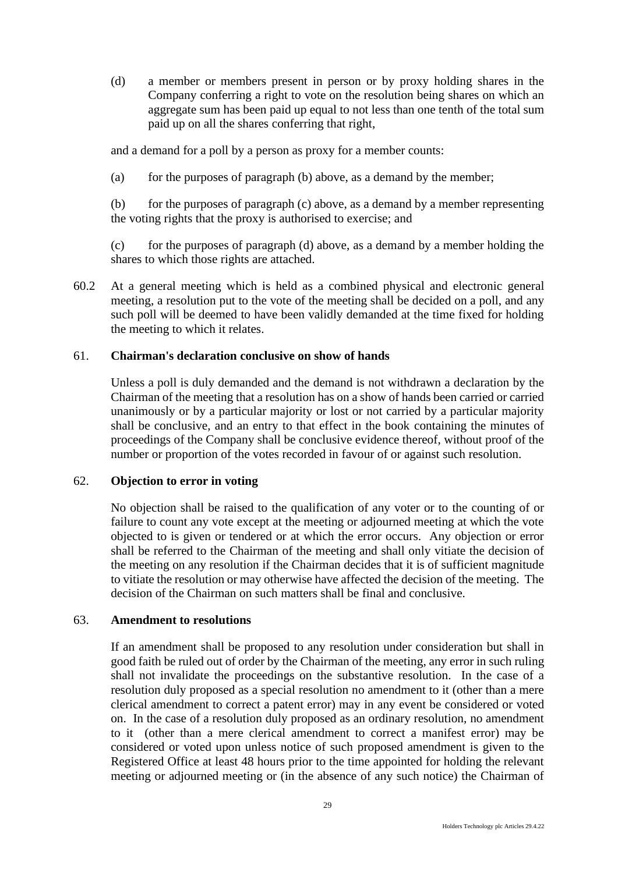(d) a member or members present in person or by proxy holding shares in the Company conferring a right to vote on the resolution being shares on which an aggregate sum has been paid up equal to not less than one tenth of the total sum paid up on all the shares conferring that right,

and a demand for a poll by a person as proxy for a member counts:

(a) for the purposes of paragraph (b) above, as a demand by the member;

(b) for the purposes of paragraph (c) above, as a demand by a member representing the voting rights that the proxy is authorised to exercise; and

(c) for the purposes of paragraph (d) above, as a demand by a member holding the shares to which those rights are attached.

60.2 At a general meeting which is held as a combined physical and electronic general meeting, a resolution put to the vote of the meeting shall be decided on a poll, and any such poll will be deemed to have been validly demanded at the time fixed for holding the meeting to which it relates.

# <span id="page-33-0"></span>61. **Chairman's declaration conclusive on show of hands**

Unless a poll is duly demanded and the demand is not withdrawn a declaration by the Chairman of the meeting that a resolution has on a show of hands been carried or carried unanimously or by a particular majority or lost or not carried by a particular majority shall be conclusive, and an entry to that effect in the book containing the minutes of proceedings of the Company shall be conclusive evidence thereof, without proof of the number or proportion of the votes recorded in favour of or against such resolution.

# <span id="page-33-1"></span>62. **Objection to error in voting**

No objection shall be raised to the qualification of any voter or to the counting of or failure to count any vote except at the meeting or adjourned meeting at which the vote objected to is given or tendered or at which the error occurs. Any objection or error shall be referred to the Chairman of the meeting and shall only vitiate the decision of the meeting on any resolution if the Chairman decides that it is of sufficient magnitude to vitiate the resolution or may otherwise have affected the decision of the meeting. The decision of the Chairman on such matters shall be final and conclusive.

# <span id="page-33-2"></span>63. **Amendment to resolutions**

If an amendment shall be proposed to any resolution under consideration but shall in good faith be ruled out of order by the Chairman of the meeting, any error in such ruling shall not invalidate the proceedings on the substantive resolution. In the case of a resolution duly proposed as a special resolution no amendment to it (other than a mere clerical amendment to correct a patent error) may in any event be considered or voted on. In the case of a resolution duly proposed as an ordinary resolution, no amendment to it (other than a mere clerical amendment to correct a manifest error) may be considered or voted upon unless notice of such proposed amendment is given to the Registered Office at least 48 hours prior to the time appointed for holding the relevant meeting or adjourned meeting or (in the absence of any such notice) the Chairman of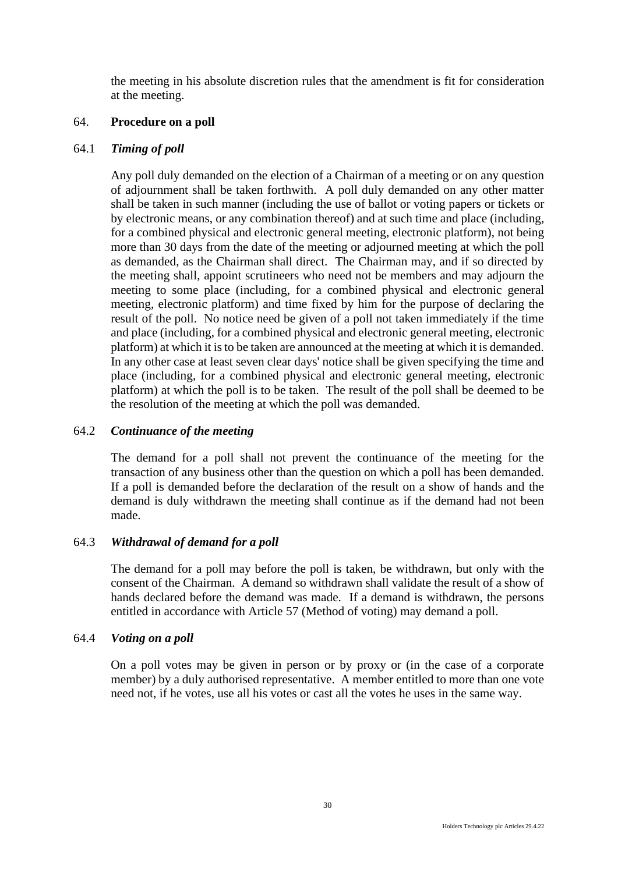the meeting in his absolute discretion rules that the amendment is fit for consideration at the meeting.

# <span id="page-34-0"></span>64. **Procedure on a poll**

# 64.1 *Timing of poll*

Any poll duly demanded on the election of a Chairman of a meeting or on any question of adjournment shall be taken forthwith. A poll duly demanded on any other matter shall be taken in such manner (including the use of ballot or voting papers or tickets or by electronic means, or any combination thereof) and at such time and place (including, for a combined physical and electronic general meeting, electronic platform), not being more than 30 days from the date of the meeting or adjourned meeting at which the poll as demanded, as the Chairman shall direct. The Chairman may, and if so directed by the meeting shall, appoint scrutineers who need not be members and may adjourn the meeting to some place (including, for a combined physical and electronic general meeting, electronic platform) and time fixed by him for the purpose of declaring the result of the poll. No notice need be given of a poll not taken immediately if the time and place (including, for a combined physical and electronic general meeting, electronic platform) at which it is to be taken are announced at the meeting at which it is demanded. In any other case at least seven clear days' notice shall be given specifying the time and place (including, for a combined physical and electronic general meeting, electronic platform) at which the poll is to be taken. The result of the poll shall be deemed to be the resolution of the meeting at which the poll was demanded.

# 64.2 *Continuance of the meeting*

The demand for a poll shall not prevent the continuance of the meeting for the transaction of any business other than the question on which a poll has been demanded. If a poll is demanded before the declaration of the result on a show of hands and the demand is duly withdrawn the meeting shall continue as if the demand had not been made.

# 64.3 *Withdrawal of demand for a poll*

The demand for a poll may before the poll is taken, be withdrawn, but only with the consent of the Chairman. A demand so withdrawn shall validate the result of a show of hands declared before the demand was made. If a demand is withdrawn, the persons entitled in accordance with Article 57 (Method of voting) may demand a poll.

# 64.4 *Voting on a poll*

On a poll votes may be given in person or by proxy or (in the case of a corporate member) by a duly authorised representative. A member entitled to more than one vote need not, if he votes, use all his votes or cast all the votes he uses in the same way.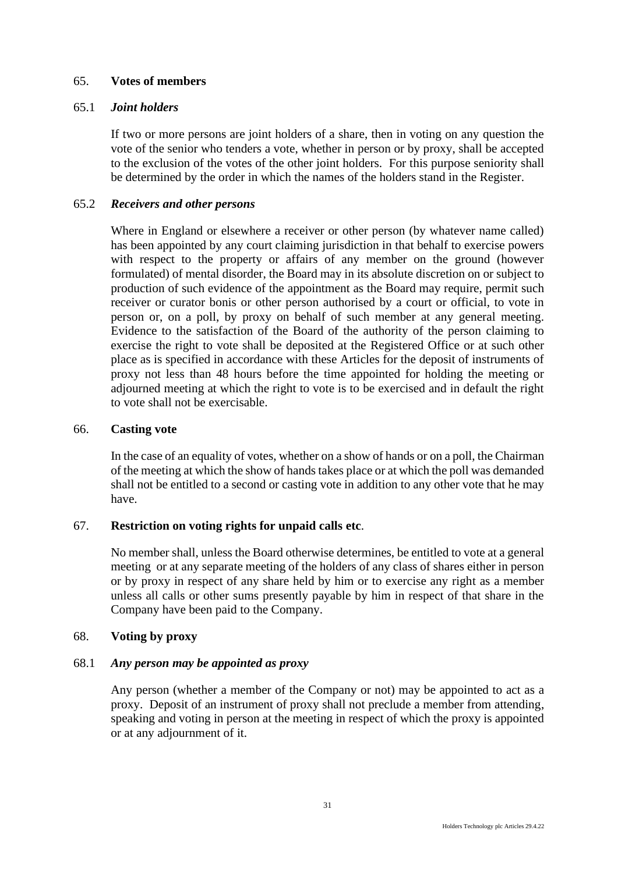# <span id="page-35-0"></span>65. **Votes of members**

# 65.1 *Joint holders*

If two or more persons are joint holders of a share, then in voting on any question the vote of the senior who tenders a vote, whether in person or by proxy, shall be accepted to the exclusion of the votes of the other joint holders. For this purpose seniority shall be determined by the order in which the names of the holders stand in the Register.

# 65.2 *Receivers and other persons*

Where in England or elsewhere a receiver or other person (by whatever name called) has been appointed by any court claiming jurisdiction in that behalf to exercise powers with respect to the property or affairs of any member on the ground (however formulated) of mental disorder, the Board may in its absolute discretion on or subject to production of such evidence of the appointment as the Board may require, permit such receiver or curator bonis or other person authorised by a court or official, to vote in person or, on a poll, by proxy on behalf of such member at any general meeting. Evidence to the satisfaction of the Board of the authority of the person claiming to exercise the right to vote shall be deposited at the Registered Office or at such other place as is specified in accordance with these Articles for the deposit of instruments of proxy not less than 48 hours before the time appointed for holding the meeting or adjourned meeting at which the right to vote is to be exercised and in default the right to vote shall not be exercisable.

# <span id="page-35-1"></span>66. **Casting vote**

In the case of an equality of votes, whether on a show of hands or on a poll, the Chairman of the meeting at which the show of hands takes place or at which the poll was demanded shall not be entitled to a second or casting vote in addition to any other vote that he may have.

# <span id="page-35-2"></span>67. **Restriction on voting rights for unpaid calls etc**.

No member shall, unless the Board otherwise determines, be entitled to vote at a general meeting or at any separate meeting of the holders of any class of shares either in person or by proxy in respect of any share held by him or to exercise any right as a member unless all calls or other sums presently payable by him in respect of that share in the Company have been paid to the Company.

# <span id="page-35-3"></span>68. **Voting by proxy**

# 68.1 *Any person may be appointed as proxy*

Any person (whether a member of the Company or not) may be appointed to act as a proxy. Deposit of an instrument of proxy shall not preclude a member from attending, speaking and voting in person at the meeting in respect of which the proxy is appointed or at any adjournment of it.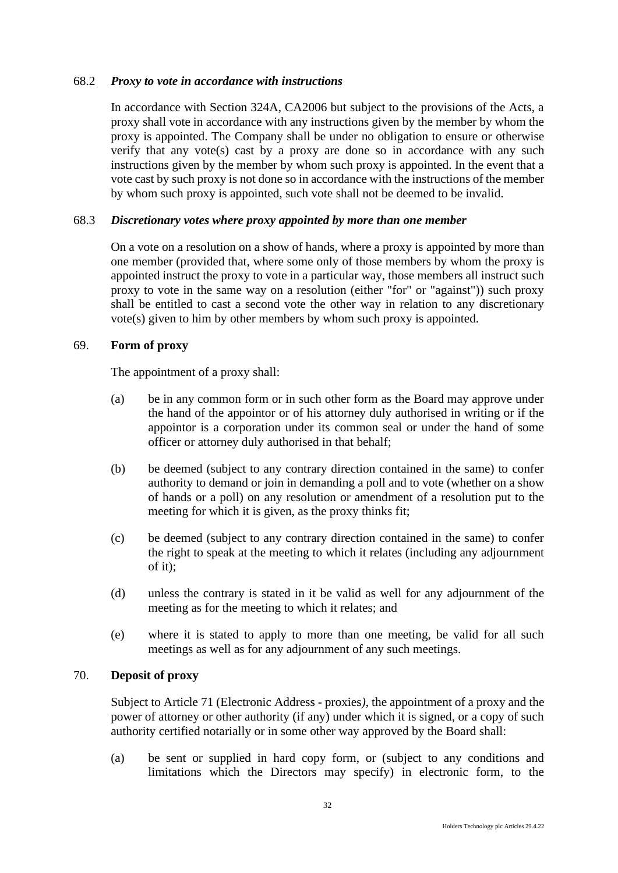### 68.2 *Proxy to vote in accordance with instructions*

In accordance with Section 324A, CA2006 but subject to the provisions of the Acts, a proxy shall vote in accordance with any instructions given by the member by whom the proxy is appointed. The Company shall be under no obligation to ensure or otherwise verify that any vote(s) cast by a proxy are done so in accordance with any such instructions given by the member by whom such proxy is appointed. In the event that a vote cast by such proxy is not done so in accordance with the instructions of the member by whom such proxy is appointed, such vote shall not be deemed to be invalid.

# 68.3 *Discretionary votes where proxy appointed by more than one member*

On a vote on a resolution on a show of hands, where a proxy is appointed by more than one member (provided that, where some only of those members by whom the proxy is appointed instruct the proxy to vote in a particular way, those members all instruct such proxy to vote in the same way on a resolution (either "for" or "against")) such proxy shall be entitled to cast a second vote the other way in relation to any discretionary vote(s) given to him by other members by whom such proxy is appointed.

### 69. **Form of proxy**

The appointment of a proxy shall:

- (a) be in any common form or in such other form as the Board may approve under the hand of the appointor or of his attorney duly authorised in writing or if the appointor is a corporation under its common seal or under the hand of some officer or attorney duly authorised in that behalf;
- (b) be deemed (subject to any contrary direction contained in the same) to confer authority to demand or join in demanding a poll and to vote (whether on a show of hands or a poll) on any resolution or amendment of a resolution put to the meeting for which it is given, as the proxy thinks fit;
- (c) be deemed (subject to any contrary direction contained in the same) to confer the right to speak at the meeting to which it relates (including any adjournment of it);
- (d) unless the contrary is stated in it be valid as well for any adjournment of the meeting as for the meeting to which it relates; and
- (e) where it is stated to apply to more than one meeting, be valid for all such meetings as well as for any adjournment of any such meetings.

# 70. **Deposit of proxy**

Subject to Article 71 (Electronic Address - proxies*)*, the appointment of a proxy and the power of attorney or other authority (if any) under which it is signed, or a copy of such authority certified notarially or in some other way approved by the Board shall:

(a) be sent or supplied in hard copy form, or (subject to any conditions and limitations which the Directors may specify) in electronic form, to the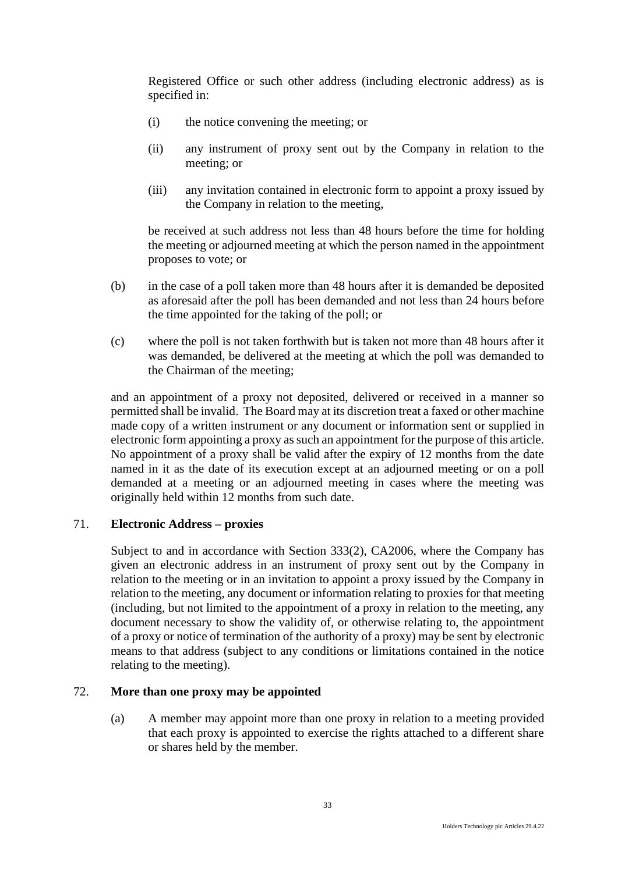Registered Office or such other address (including electronic address) as is specified in:

- (i) the notice convening the meeting; or
- (ii) any instrument of proxy sent out by the Company in relation to the meeting; or
- (iii) any invitation contained in electronic form to appoint a proxy issued by the Company in relation to the meeting,

be received at such address not less than 48 hours before the time for holding the meeting or adjourned meeting at which the person named in the appointment proposes to vote; or

- (b) in the case of a poll taken more than 48 hours after it is demanded be deposited as aforesaid after the poll has been demanded and not less than 24 hours before the time appointed for the taking of the poll; or
- (c) where the poll is not taken forthwith but is taken not more than 48 hours after it was demanded, be delivered at the meeting at which the poll was demanded to the Chairman of the meeting;

and an appointment of a proxy not deposited, delivered or received in a manner so permitted shall be invalid. The Board may at its discretion treat a faxed or other machine made copy of a written instrument or any document or information sent or supplied in electronic form appointing a proxy as such an appointment for the purpose of this article. No appointment of a proxy shall be valid after the expiry of 12 months from the date named in it as the date of its execution except at an adjourned meeting or on a poll demanded at a meeting or an adjourned meeting in cases where the meeting was originally held within 12 months from such date.

## 71. **Electronic Address – proxies**

Subject to and in accordance with Section 333(2), CA2006, where the Company has given an electronic address in an instrument of proxy sent out by the Company in relation to the meeting or in an invitation to appoint a proxy issued by the Company in relation to the meeting, any document or information relating to proxies for that meeting (including, but not limited to the appointment of a proxy in relation to the meeting, any document necessary to show the validity of, or otherwise relating to, the appointment of a proxy or notice of termination of the authority of a proxy) may be sent by electronic means to that address (subject to any conditions or limitations contained in the notice relating to the meeting).

# 72. **More than one proxy may be appointed**

(a) A member may appoint more than one proxy in relation to a meeting provided that each proxy is appointed to exercise the rights attached to a different share or shares held by the member.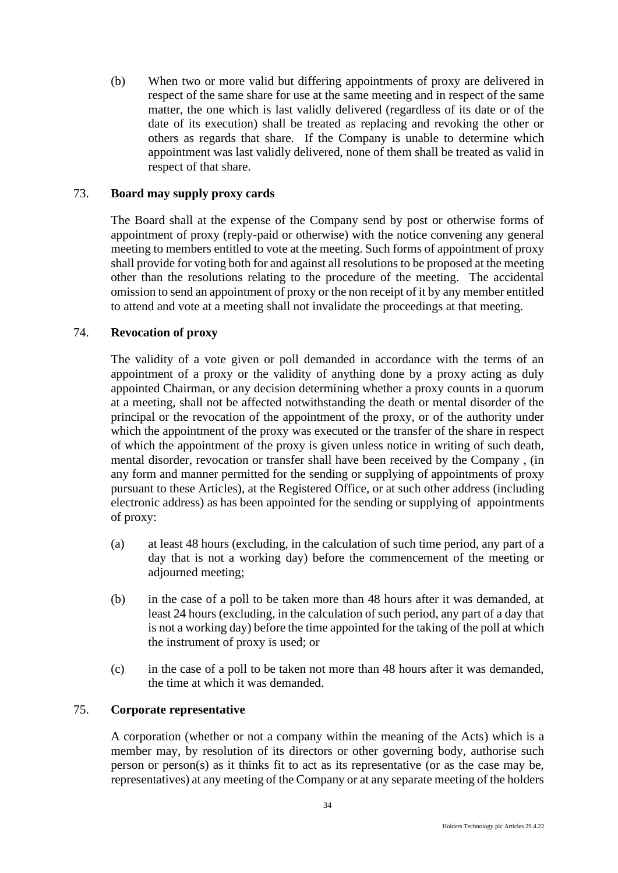(b) When two or more valid but differing appointments of proxy are delivered in respect of the same share for use at the same meeting and in respect of the same matter, the one which is last validly delivered (regardless of its date or of the date of its execution) shall be treated as replacing and revoking the other or others as regards that share. If the Company is unable to determine which appointment was last validly delivered, none of them shall be treated as valid in respect of that share.

# 73. **Board may supply proxy cards**

The Board shall at the expense of the Company send by post or otherwise forms of appointment of proxy (reply-paid or otherwise) with the notice convening any general meeting to members entitled to vote at the meeting. Such forms of appointment of proxy shall provide for voting both for and against all resolutions to be proposed at the meeting other than the resolutions relating to the procedure of the meeting. The accidental omission to send an appointment of proxy or the non receipt of it by any member entitled to attend and vote at a meeting shall not invalidate the proceedings at that meeting.

### 74. **Revocation of proxy**

The validity of a vote given or poll demanded in accordance with the terms of an appointment of a proxy or the validity of anything done by a proxy acting as duly appointed Chairman, or any decision determining whether a proxy counts in a quorum at a meeting, shall not be affected notwithstanding the death or mental disorder of the principal or the revocation of the appointment of the proxy, or of the authority under which the appointment of the proxy was executed or the transfer of the share in respect of which the appointment of the proxy is given unless notice in writing of such death, mental disorder, revocation or transfer shall have been received by the Company , (in any form and manner permitted for the sending or supplying of appointments of proxy pursuant to these Articles), at the Registered Office, or at such other address (including electronic address) as has been appointed for the sending or supplying of appointments of proxy:

- (a) at least 48 hours (excluding, in the calculation of such time period, any part of a day that is not a working day) before the commencement of the meeting or adjourned meeting;
- (b) in the case of a poll to be taken more than 48 hours after it was demanded, at least 24 hours (excluding, in the calculation of such period, any part of a day that is not a working day) before the time appointed for the taking of the poll at which the instrument of proxy is used; or
- (c) in the case of a poll to be taken not more than 48 hours after it was demanded, the time at which it was demanded.

# 75. **Corporate representative**

A corporation (whether or not a company within the meaning of the Acts) which is a member may, by resolution of its directors or other governing body, authorise such person or person(s) as it thinks fit to act as its representative (or as the case may be, representatives) at any meeting of the Company or at any separate meeting of the holders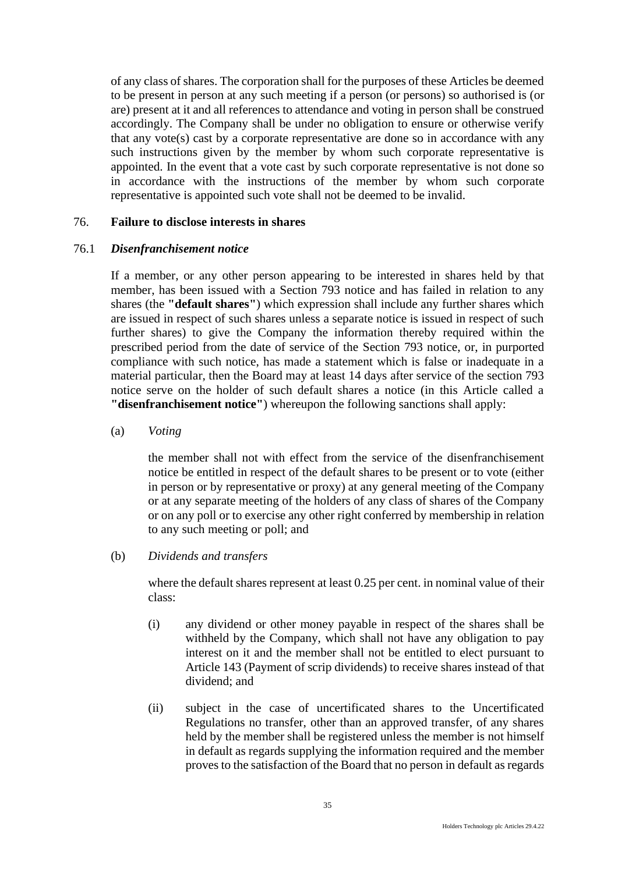of any class of shares. The corporation shall for the purposes of these Articles be deemed to be present in person at any such meeting if a person (or persons) so authorised is (or are) present at it and all references to attendance and voting in person shall be construed accordingly. The Company shall be under no obligation to ensure or otherwise verify that any vote(s) cast by a corporate representative are done so in accordance with any such instructions given by the member by whom such corporate representative is appointed. In the event that a vote cast by such corporate representative is not done so in accordance with the instructions of the member by whom such corporate representative is appointed such vote shall not be deemed to be invalid.

#### 76. **Failure to disclose interests in shares**

#### 76.1 *Disenfranchisement notice*

If a member, or any other person appearing to be interested in shares held by that member, has been issued with a Section 793 notice and has failed in relation to any shares (the **"default shares"**) which expression shall include any further shares which are issued in respect of such shares unless a separate notice is issued in respect of such further shares) to give the Company the information thereby required within the prescribed period from the date of service of the Section 793 notice, or, in purported compliance with such notice, has made a statement which is false or inadequate in a material particular, then the Board may at least 14 days after service of the section 793 notice serve on the holder of such default shares a notice (in this Article called a **"disenfranchisement notice"**) whereupon the following sanctions shall apply:

#### (a) *Voting*

the member shall not with effect from the service of the disenfranchisement notice be entitled in respect of the default shares to be present or to vote (either in person or by representative or proxy) at any general meeting of the Company or at any separate meeting of the holders of any class of shares of the Company or on any poll or to exercise any other right conferred by membership in relation to any such meeting or poll; and

### (b) *Dividends and transfers*

where the default shares represent at least 0.25 per cent. in nominal value of their class:

- (i) any dividend or other money payable in respect of the shares shall be withheld by the Company, which shall not have any obligation to pay interest on it and the member shall not be entitled to elect pursuant to Article 143 (Payment of scrip dividends) to receive shares instead of that dividend; and
- (ii) subject in the case of uncertificated shares to the Uncertificated Regulations no transfer, other than an approved transfer, of any shares held by the member shall be registered unless the member is not himself in default as regards supplying the information required and the member proves to the satisfaction of the Board that no person in default as regards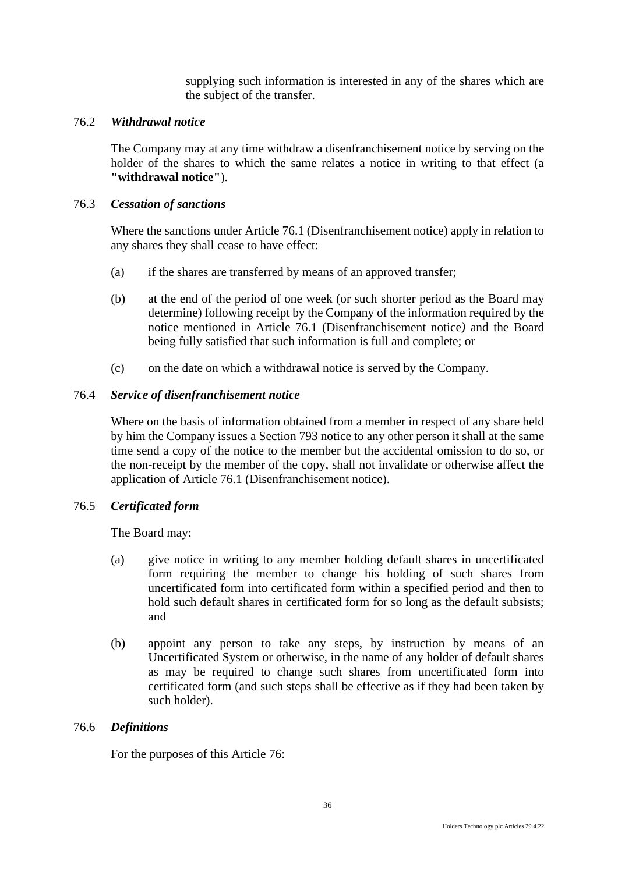supplying such information is interested in any of the shares which are the subject of the transfer.

### 76.2 *Withdrawal notice*

The Company may at any time withdraw a disenfranchisement notice by serving on the holder of the shares to which the same relates a notice in writing to that effect (a **"withdrawal notice"**).

#### 76.3 *Cessation of sanctions*

Where the sanctions under Article 76.1 (Disenfranchisement notice) apply in relation to any shares they shall cease to have effect:

- (a) if the shares are transferred by means of an approved transfer;
- (b) at the end of the period of one week (or such shorter period as the Board may determine) following receipt by the Company of the information required by the notice mentioned in Article 76.1 (Disenfranchisement notice*)* and the Board being fully satisfied that such information is full and complete; or
- (c) on the date on which a withdrawal notice is served by the Company.

#### 76.4 *Service of disenfranchisement notice*

Where on the basis of information obtained from a member in respect of any share held by him the Company issues a Section 793 notice to any other person it shall at the same time send a copy of the notice to the member but the accidental omission to do so, or the non-receipt by the member of the copy, shall not invalidate or otherwise affect the application of Article 76.1 (Disenfranchisement notice).

## 76.5 *Certificated form*

The Board may:

- (a) give notice in writing to any member holding default shares in uncertificated form requiring the member to change his holding of such shares from uncertificated form into certificated form within a specified period and then to hold such default shares in certificated form for so long as the default subsists; and
- (b) appoint any person to take any steps, by instruction by means of an Uncertificated System or otherwise, in the name of any holder of default shares as may be required to change such shares from uncertificated form into certificated form (and such steps shall be effective as if they had been taken by such holder).

#### 76.6 *Definitions*

For the purposes of this Article 76: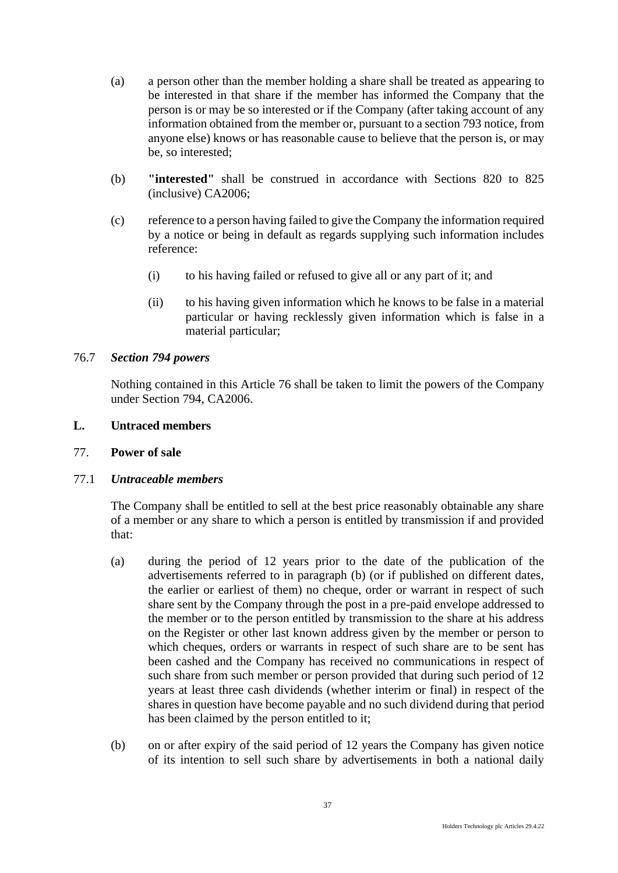- (a) a person other than the member holding a share shall be treated as appearing to be interested in that share if the member has informed the Company that the person is or may be so interested or if the Company (after taking account of any information obtained from the member or, pursuant to a section 793 notice, from anyone else) knows or has reasonable cause to believe that the person is, or may be, so interested;
- (b) **"interested"** shall be construed in accordance with Sections 820 to 825 (inclusive) CA2006;
- (c) reference to a person having failed to give the Company the information required by a notice or being in default as regards supplying such information includes reference:
	- (i) to his having failed or refused to give all or any part of it; and
	- (ii) to his having given information which he knows to be false in a material particular or having recklessly given information which is false in a material particular;

### 76.7 *Section 794 powers*

Nothing contained in this Article 76 shall be taken to limit the powers of the Company under Section 794, CA2006.

#### **L. Untraced members**

### 77. **Power of sale**

### 77.1 *Untraceable members*

The Company shall be entitled to sell at the best price reasonably obtainable any share of a member or any share to which a person is entitled by transmission if and provided that:

- (a) during the period of 12 years prior to the date of the publication of the advertisements referred to in paragraph (b) (or if published on different dates, the earlier or earliest of them) no cheque, order or warrant in respect of such share sent by the Company through the post in a pre-paid envelope addressed to the member or to the person entitled by transmission to the share at his address on the Register or other last known address given by the member or person to which cheques, orders or warrants in respect of such share are to be sent has been cashed and the Company has received no communications in respect of such share from such member or person provided that during such period of 12 years at least three cash dividends (whether interim or final) in respect of the shares in question have become payable and no such dividend during that period has been claimed by the person entitled to it;
- (b) on or after expiry of the said period of 12 years the Company has given notice of its intention to sell such share by advertisements in both a national daily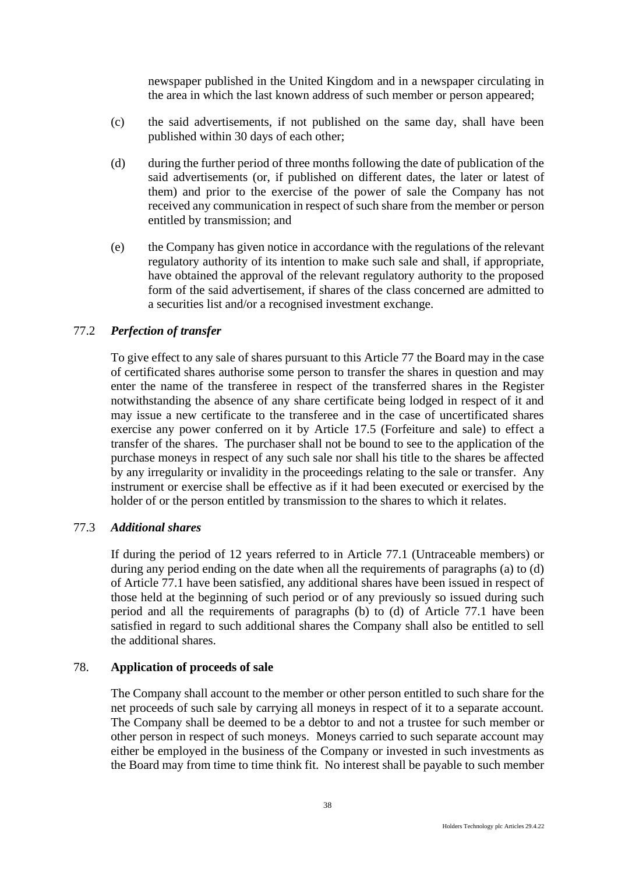newspaper published in the United Kingdom and in a newspaper circulating in the area in which the last known address of such member or person appeared;

- (c) the said advertisements, if not published on the same day, shall have been published within 30 days of each other;
- (d) during the further period of three months following the date of publication of the said advertisements (or, if published on different dates, the later or latest of them) and prior to the exercise of the power of sale the Company has not received any communication in respect of such share from the member or person entitled by transmission; and
- (e) the Company has given notice in accordance with the regulations of the relevant regulatory authority of its intention to make such sale and shall, if appropriate, have obtained the approval of the relevant regulatory authority to the proposed form of the said advertisement, if shares of the class concerned are admitted to a securities list and/or a recognised investment exchange.

# 77.2 *Perfection of transfer*

To give effect to any sale of shares pursuant to this Article 77 the Board may in the case of certificated shares authorise some person to transfer the shares in question and may enter the name of the transferee in respect of the transferred shares in the Register notwithstanding the absence of any share certificate being lodged in respect of it and may issue a new certificate to the transferee and in the case of uncertificated shares exercise any power conferred on it by Article 17.5 (Forfeiture and sale) to effect a transfer of the shares. The purchaser shall not be bound to see to the application of the purchase moneys in respect of any such sale nor shall his title to the shares be affected by any irregularity or invalidity in the proceedings relating to the sale or transfer. Any instrument or exercise shall be effective as if it had been executed or exercised by the holder of or the person entitled by transmission to the shares to which it relates.

## 77.3 *Additional shares*

If during the period of 12 years referred to in Article 77.1 (Untraceable members) or during any period ending on the date when all the requirements of paragraphs (a) to (d) of Article 77.1 have been satisfied, any additional shares have been issued in respect of those held at the beginning of such period or of any previously so issued during such period and all the requirements of paragraphs (b) to (d) of Article 77.1 have been satisfied in regard to such additional shares the Company shall also be entitled to sell the additional shares.

#### 78. **Application of proceeds of sale**

The Company shall account to the member or other person entitled to such share for the net proceeds of such sale by carrying all moneys in respect of it to a separate account. The Company shall be deemed to be a debtor to and not a trustee for such member or other person in respect of such moneys. Moneys carried to such separate account may either be employed in the business of the Company or invested in such investments as the Board may from time to time think fit. No interest shall be payable to such member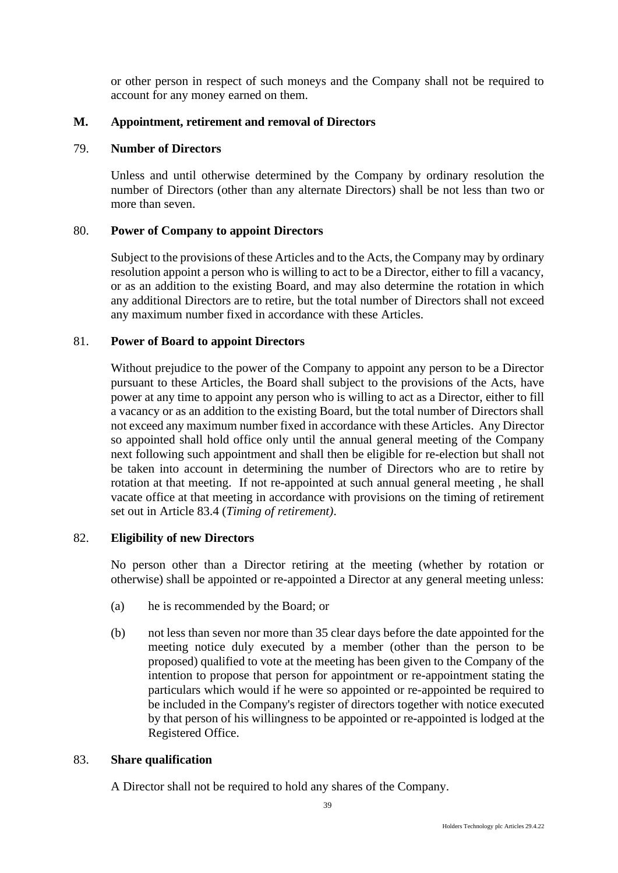or other person in respect of such moneys and the Company shall not be required to account for any money earned on them.

# **M. Appointment, retirement and removal of Directors**

# 79. **Number of Directors**

Unless and until otherwise determined by the Company by ordinary resolution the number of Directors (other than any alternate Directors) shall be not less than two or more than seven.

# 80. **Power of Company to appoint Directors**

Subject to the provisions of these Articles and to the Acts, the Company may by ordinary resolution appoint a person who is willing to act to be a Director, either to fill a vacancy, or as an addition to the existing Board, and may also determine the rotation in which any additional Directors are to retire, but the total number of Directors shall not exceed any maximum number fixed in accordance with these Articles.

# 81. **Power of Board to appoint Directors**

Without prejudice to the power of the Company to appoint any person to be a Director pursuant to these Articles, the Board shall subject to the provisions of the Acts, have power at any time to appoint any person who is willing to act as a Director, either to fill a vacancy or as an addition to the existing Board, but the total number of Directors shall not exceed any maximum number fixed in accordance with these Articles. Any Director so appointed shall hold office only until the annual general meeting of the Company next following such appointment and shall then be eligible for re-election but shall not be taken into account in determining the number of Directors who are to retire by rotation at that meeting. If not re-appointed at such annual general meeting , he shall vacate office at that meeting in accordance with provisions on the timing of retirement set out in Article 83.4 (*Timing of retirement)*.

### 82. **Eligibility of new Directors**

No person other than a Director retiring at the meeting (whether by rotation or otherwise) shall be appointed or re-appointed a Director at any general meeting unless:

- (a) he is recommended by the Board; or
- (b) not less than seven nor more than 35 clear days before the date appointed for the meeting notice duly executed by a member (other than the person to be proposed) qualified to vote at the meeting has been given to the Company of the intention to propose that person for appointment or re-appointment stating the particulars which would if he were so appointed or re-appointed be required to be included in the Company's register of directors together with notice executed by that person of his willingness to be appointed or re-appointed is lodged at the Registered Office.

### 83. **Share qualification**

A Director shall not be required to hold any shares of the Company.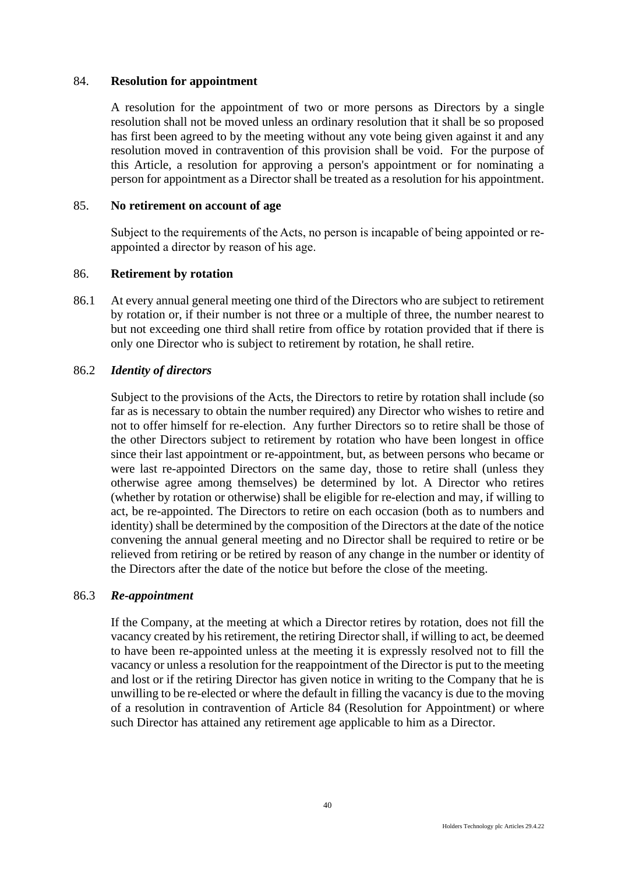#### 84. **Resolution for appointment**

A resolution for the appointment of two or more persons as Directors by a single resolution shall not be moved unless an ordinary resolution that it shall be so proposed has first been agreed to by the meeting without any vote being given against it and any resolution moved in contravention of this provision shall be void. For the purpose of this Article, a resolution for approving a person's appointment or for nominating a person for appointment as a Director shall be treated as a resolution for his appointment.

# 85. **No retirement on account of age**

Subject to the requirements of the Acts, no person is incapable of being appointed or reappointed a director by reason of his age.

#### 86. **Retirement by rotation**

86.1 At every annual general meeting one third of the Directors who are subject to retirement by rotation or, if their number is not three or a multiple of three, the number nearest to but not exceeding one third shall retire from office by rotation provided that if there is only one Director who is subject to retirement by rotation, he shall retire.

#### 86.2 *Identity of directors*

Subject to the provisions of the Acts, the Directors to retire by rotation shall include (so far as is necessary to obtain the number required) any Director who wishes to retire and not to offer himself for re-election. Any further Directors so to retire shall be those of the other Directors subject to retirement by rotation who have been longest in office since their last appointment or re-appointment, but, as between persons who became or were last re-appointed Directors on the same day, those to retire shall (unless they otherwise agree among themselves) be determined by lot. A Director who retires (whether by rotation or otherwise) shall be eligible for re-election and may, if willing to act, be re-appointed. The Directors to retire on each occasion (both as to numbers and identity) shall be determined by the composition of the Directors at the date of the notice convening the annual general meeting and no Director shall be required to retire or be relieved from retiring or be retired by reason of any change in the number or identity of the Directors after the date of the notice but before the close of the meeting.

#### 86.3 *Re-appointment*

If the Company, at the meeting at which a Director retires by rotation, does not fill the vacancy created by his retirement, the retiring Director shall, if willing to act, be deemed to have been re-appointed unless at the meeting it is expressly resolved not to fill the vacancy or unless a resolution for the reappointment of the Director is put to the meeting and lost or if the retiring Director has given notice in writing to the Company that he is unwilling to be re-elected or where the default in filling the vacancy is due to the moving of a resolution in contravention of Article 84 (Resolution for Appointment) or where such Director has attained any retirement age applicable to him as a Director.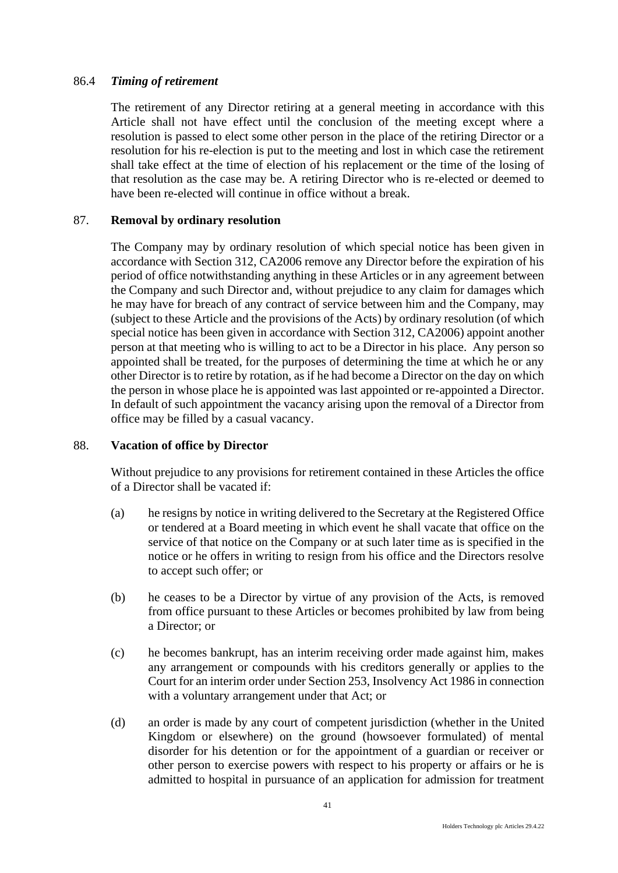### 86.4 *Timing of retirement*

The retirement of any Director retiring at a general meeting in accordance with this Article shall not have effect until the conclusion of the meeting except where a resolution is passed to elect some other person in the place of the retiring Director or a resolution for his re-election is put to the meeting and lost in which case the retirement shall take effect at the time of election of his replacement or the time of the losing of that resolution as the case may be. A retiring Director who is re-elected or deemed to have been re-elected will continue in office without a break.

### 87. **Removal by ordinary resolution**

The Company may by ordinary resolution of which special notice has been given in accordance with Section 312, CA2006 remove any Director before the expiration of his period of office notwithstanding anything in these Articles or in any agreement between the Company and such Director and, without prejudice to any claim for damages which he may have for breach of any contract of service between him and the Company, may (subject to these Article and the provisions of the Acts) by ordinary resolution (of which special notice has been given in accordance with Section 312, CA2006) appoint another person at that meeting who is willing to act to be a Director in his place. Any person so appointed shall be treated, for the purposes of determining the time at which he or any other Director is to retire by rotation, as if he had become a Director on the day on which the person in whose place he is appointed was last appointed or re-appointed a Director. In default of such appointment the vacancy arising upon the removal of a Director from office may be filled by a casual vacancy.

### 88. **Vacation of office by Director**

Without prejudice to any provisions for retirement contained in these Articles the office of a Director shall be vacated if:

- (a) he resigns by notice in writing delivered to the Secretary at the Registered Office or tendered at a Board meeting in which event he shall vacate that office on the service of that notice on the Company or at such later time as is specified in the notice or he offers in writing to resign from his office and the Directors resolve to accept such offer; or
- (b) he ceases to be a Director by virtue of any provision of the Acts, is removed from office pursuant to these Articles or becomes prohibited by law from being a Director; or
- (c) he becomes bankrupt, has an interim receiving order made against him, makes any arrangement or compounds with his creditors generally or applies to the Court for an interim order under Section 253, Insolvency Act 1986 in connection with a voluntary arrangement under that Act; or
- (d) an order is made by any court of competent jurisdiction (whether in the United Kingdom or elsewhere) on the ground (howsoever formulated) of mental disorder for his detention or for the appointment of a guardian or receiver or other person to exercise powers with respect to his property or affairs or he is admitted to hospital in pursuance of an application for admission for treatment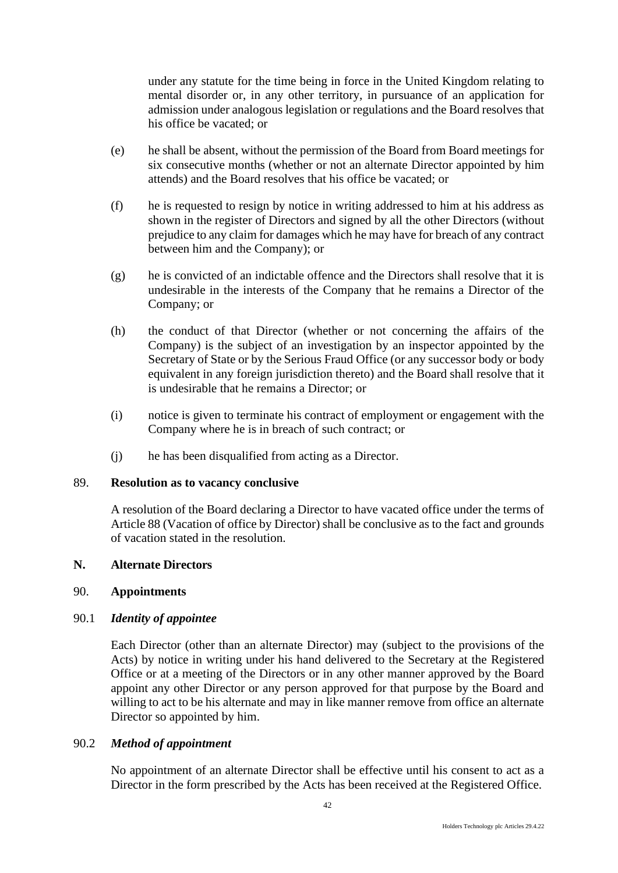under any statute for the time being in force in the United Kingdom relating to mental disorder or, in any other territory, in pursuance of an application for admission under analogous legislation or regulations and the Board resolves that his office be vacated; or

- (e) he shall be absent, without the permission of the Board from Board meetings for six consecutive months (whether or not an alternate Director appointed by him attends) and the Board resolves that his office be vacated; or
- (f) he is requested to resign by notice in writing addressed to him at his address as shown in the register of Directors and signed by all the other Directors (without prejudice to any claim for damages which he may have for breach of any contract between him and the Company); or
- (g) he is convicted of an indictable offence and the Directors shall resolve that it is undesirable in the interests of the Company that he remains a Director of the Company; or
- (h) the conduct of that Director (whether or not concerning the affairs of the Company) is the subject of an investigation by an inspector appointed by the Secretary of State or by the Serious Fraud Office (or any successor body or body equivalent in any foreign jurisdiction thereto) and the Board shall resolve that it is undesirable that he remains a Director; or
- (i) notice is given to terminate his contract of employment or engagement with the Company where he is in breach of such contract; or
- (j) he has been disqualified from acting as a Director.

### 89. **Resolution as to vacancy conclusive**

A resolution of the Board declaring a Director to have vacated office under the terms of Article 88 (Vacation of office by Director) shall be conclusive as to the fact and grounds of vacation stated in the resolution.

# **N. Alternate Directors**

### 90. **Appointments**

### 90.1 *Identity of appointee*

Each Director (other than an alternate Director) may (subject to the provisions of the Acts) by notice in writing under his hand delivered to the Secretary at the Registered Office or at a meeting of the Directors or in any other manner approved by the Board appoint any other Director or any person approved for that purpose by the Board and willing to act to be his alternate and may in like manner remove from office an alternate Director so appointed by him.

## 90.2 *Method of appointment*

No appointment of an alternate Director shall be effective until his consent to act as a Director in the form prescribed by the Acts has been received at the Registered Office.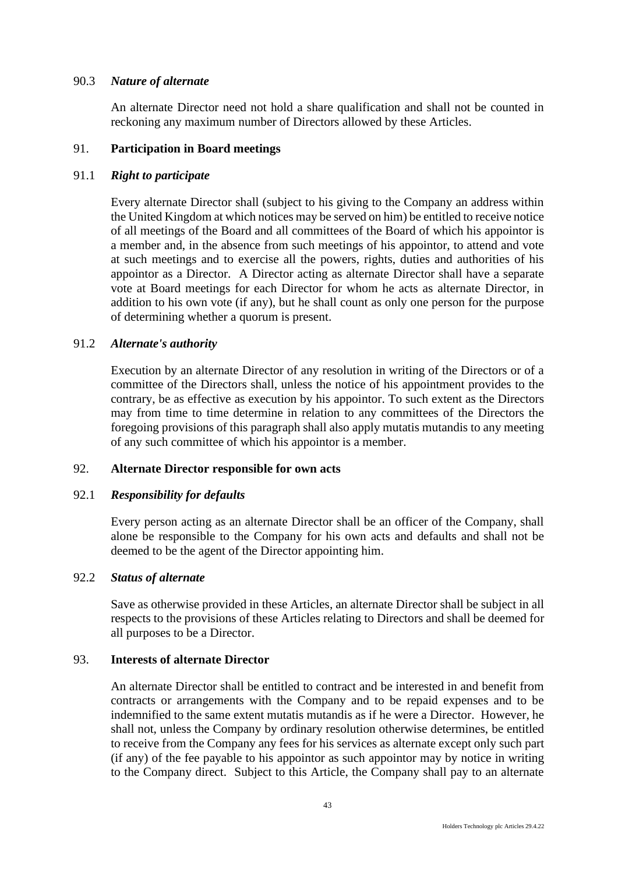## 90.3 *Nature of alternate*

An alternate Director need not hold a share qualification and shall not be counted in reckoning any maximum number of Directors allowed by these Articles.

# 91. **Participation in Board meetings**

# 91.1 *Right to participate*

Every alternate Director shall (subject to his giving to the Company an address within the United Kingdom at which notices may be served on him) be entitled to receive notice of all meetings of the Board and all committees of the Board of which his appointor is a member and, in the absence from such meetings of his appointor, to attend and vote at such meetings and to exercise all the powers, rights, duties and authorities of his appointor as a Director. A Director acting as alternate Director shall have a separate vote at Board meetings for each Director for whom he acts as alternate Director, in addition to his own vote (if any), but he shall count as only one person for the purpose of determining whether a quorum is present.

# 91.2 *Alternate's authority*

Execution by an alternate Director of any resolution in writing of the Directors or of a committee of the Directors shall, unless the notice of his appointment provides to the contrary, be as effective as execution by his appointor. To such extent as the Directors may from time to time determine in relation to any committees of the Directors the foregoing provisions of this paragraph shall also apply mutatis mutandis to any meeting of any such committee of which his appointor is a member.

### 92. **Alternate Director responsible for own acts**

### 92.1 *Responsibility for defaults*

Every person acting as an alternate Director shall be an officer of the Company, shall alone be responsible to the Company for his own acts and defaults and shall not be deemed to be the agent of the Director appointing him.

### 92.2 *Status of alternate*

Save as otherwise provided in these Articles, an alternate Director shall be subject in all respects to the provisions of these Articles relating to Directors and shall be deemed for all purposes to be a Director.

## 93. **Interests of alternate Director**

An alternate Director shall be entitled to contract and be interested in and benefit from contracts or arrangements with the Company and to be repaid expenses and to be indemnified to the same extent mutatis mutandis as if he were a Director. However, he shall not, unless the Company by ordinary resolution otherwise determines, be entitled to receive from the Company any fees for his services as alternate except only such part (if any) of the fee payable to his appointor as such appointor may by notice in writing to the Company direct. Subject to this Article, the Company shall pay to an alternate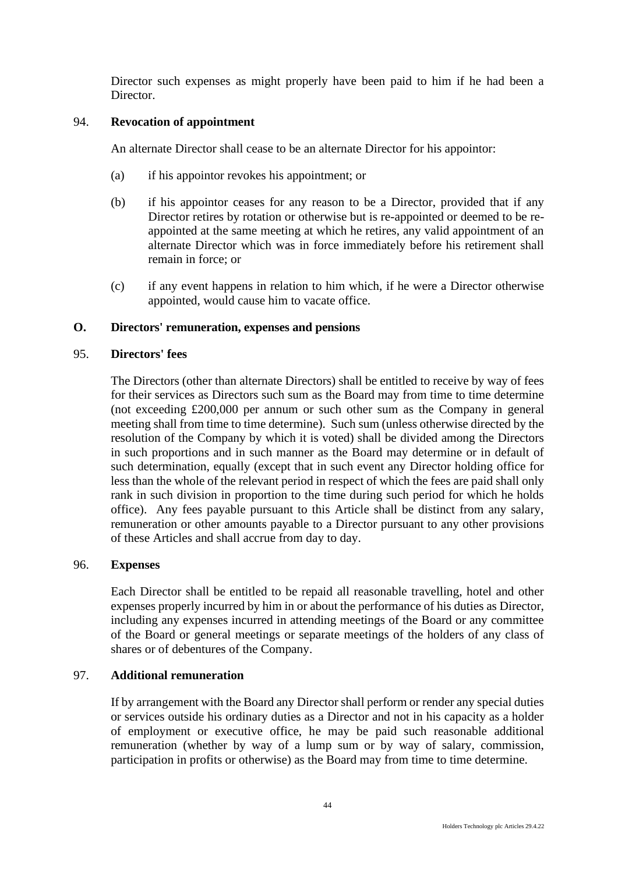Director such expenses as might properly have been paid to him if he had been a Director.

# 94. **Revocation of appointment**

An alternate Director shall cease to be an alternate Director for his appointor:

- (a) if his appointor revokes his appointment; or
- (b) if his appointor ceases for any reason to be a Director, provided that if any Director retires by rotation or otherwise but is re-appointed or deemed to be reappointed at the same meeting at which he retires, any valid appointment of an alternate Director which was in force immediately before his retirement shall remain in force; or
- (c) if any event happens in relation to him which, if he were a Director otherwise appointed, would cause him to vacate office.

# **O. Directors' remuneration, expenses and pensions**

#### 95. **Directors' fees**

The Directors (other than alternate Directors) shall be entitled to receive by way of fees for their services as Directors such sum as the Board may from time to time determine (not exceeding £200,000 per annum or such other sum as the Company in general meeting shall from time to time determine). Such sum (unless otherwise directed by the resolution of the Company by which it is voted) shall be divided among the Directors in such proportions and in such manner as the Board may determine or in default of such determination, equally (except that in such event any Director holding office for less than the whole of the relevant period in respect of which the fees are paid shall only rank in such division in proportion to the time during such period for which he holds office). Any fees payable pursuant to this Article shall be distinct from any salary, remuneration or other amounts payable to a Director pursuant to any other provisions of these Articles and shall accrue from day to day.

### 96. **Expenses**

Each Director shall be entitled to be repaid all reasonable travelling, hotel and other expenses properly incurred by him in or about the performance of his duties as Director, including any expenses incurred in attending meetings of the Board or any committee of the Board or general meetings or separate meetings of the holders of any class of shares or of debentures of the Company.

# 97. **Additional remuneration**

If by arrangement with the Board any Director shall perform or render any special duties or services outside his ordinary duties as a Director and not in his capacity as a holder of employment or executive office, he may be paid such reasonable additional remuneration (whether by way of a lump sum or by way of salary, commission, participation in profits or otherwise) as the Board may from time to time determine.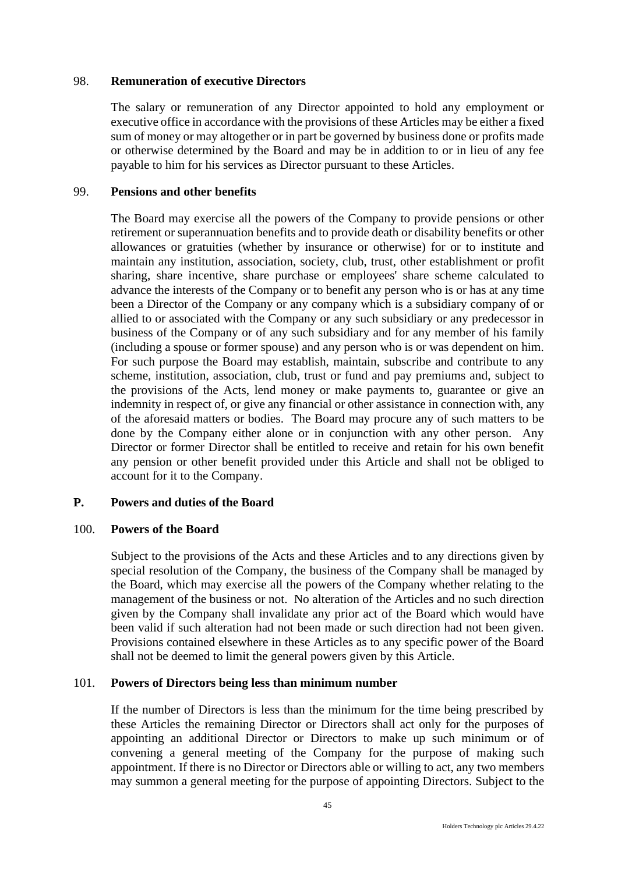#### 98. **Remuneration of executive Directors**

The salary or remuneration of any Director appointed to hold any employment or executive office in accordance with the provisions of these Articles may be either a fixed sum of money or may altogether or in part be governed by business done or profits made or otherwise determined by the Board and may be in addition to or in lieu of any fee payable to him for his services as Director pursuant to these Articles.

#### 99. **Pensions and other benefits**

The Board may exercise all the powers of the Company to provide pensions or other retirement or superannuation benefits and to provide death or disability benefits or other allowances or gratuities (whether by insurance or otherwise) for or to institute and maintain any institution, association, society, club, trust, other establishment or profit sharing, share incentive, share purchase or employees' share scheme calculated to advance the interests of the Company or to benefit any person who is or has at any time been a Director of the Company or any company which is a subsidiary company of or allied to or associated with the Company or any such subsidiary or any predecessor in business of the Company or of any such subsidiary and for any member of his family (including a spouse or former spouse) and any person who is or was dependent on him. For such purpose the Board may establish, maintain, subscribe and contribute to any scheme, institution, association, club, trust or fund and pay premiums and, subject to the provisions of the Acts, lend money or make payments to, guarantee or give an indemnity in respect of, or give any financial or other assistance in connection with, any of the aforesaid matters or bodies. The Board may procure any of such matters to be done by the Company either alone or in conjunction with any other person. Any Director or former Director shall be entitled to receive and retain for his own benefit any pension or other benefit provided under this Article and shall not be obliged to account for it to the Company.

### **P. Powers and duties of the Board**

#### 100. **Powers of the Board**

Subject to the provisions of the Acts and these Articles and to any directions given by special resolution of the Company, the business of the Company shall be managed by the Board, which may exercise all the powers of the Company whether relating to the management of the business or not. No alteration of the Articles and no such direction given by the Company shall invalidate any prior act of the Board which would have been valid if such alteration had not been made or such direction had not been given. Provisions contained elsewhere in these Articles as to any specific power of the Board shall not be deemed to limit the general powers given by this Article.

#### 101. **Powers of Directors being less than minimum number**

If the number of Directors is less than the minimum for the time being prescribed by these Articles the remaining Director or Directors shall act only for the purposes of appointing an additional Director or Directors to make up such minimum or of convening a general meeting of the Company for the purpose of making such appointment. If there is no Director or Directors able or willing to act, any two members may summon a general meeting for the purpose of appointing Directors. Subject to the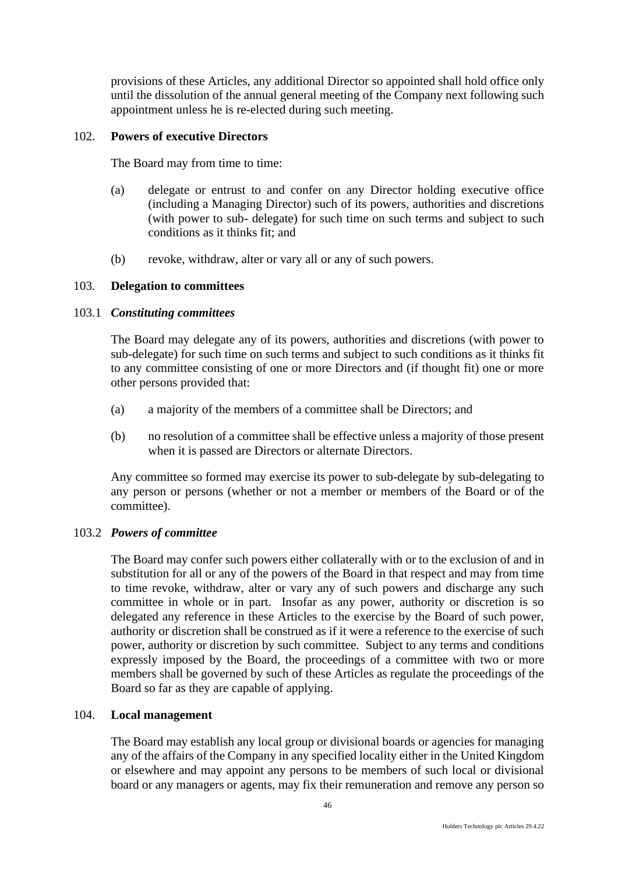provisions of these Articles, any additional Director so appointed shall hold office only until the dissolution of the annual general meeting of the Company next following such appointment unless he is re-elected during such meeting.

#### 102. **Powers of executive Directors**

The Board may from time to time:

- (a) delegate or entrust to and confer on any Director holding executive office (including a Managing Director) such of its powers, authorities and discretions (with power to sub- delegate) for such time on such terms and subject to such conditions as it thinks fit; and
- (b) revoke, withdraw, alter or vary all or any of such powers.

#### 103. **Delegation to committees**

#### 103.1 *Constituting committees*

The Board may delegate any of its powers, authorities and discretions (with power to sub-delegate) for such time on such terms and subject to such conditions as it thinks fit to any committee consisting of one or more Directors and (if thought fit) one or more other persons provided that:

- (a) a majority of the members of a committee shall be Directors; and
- (b) no resolution of a committee shall be effective unless a majority of those present when it is passed are Directors or alternate Directors.

Any committee so formed may exercise its power to sub-delegate by sub-delegating to any person or persons (whether or not a member or members of the Board or of the committee).

### 103.2 *Powers of committee*

The Board may confer such powers either collaterally with or to the exclusion of and in substitution for all or any of the powers of the Board in that respect and may from time to time revoke, withdraw, alter or vary any of such powers and discharge any such committee in whole or in part. Insofar as any power, authority or discretion is so delegated any reference in these Articles to the exercise by the Board of such power, authority or discretion shall be construed as if it were a reference to the exercise of such power, authority or discretion by such committee. Subject to any terms and conditions expressly imposed by the Board, the proceedings of a committee with two or more members shall be governed by such of these Articles as regulate the proceedings of the Board so far as they are capable of applying.

### 104. **Local management**

The Board may establish any local group or divisional boards or agencies for managing any of the affairs of the Company in any specified locality either in the United Kingdom or elsewhere and may appoint any persons to be members of such local or divisional board or any managers or agents, may fix their remuneration and remove any person so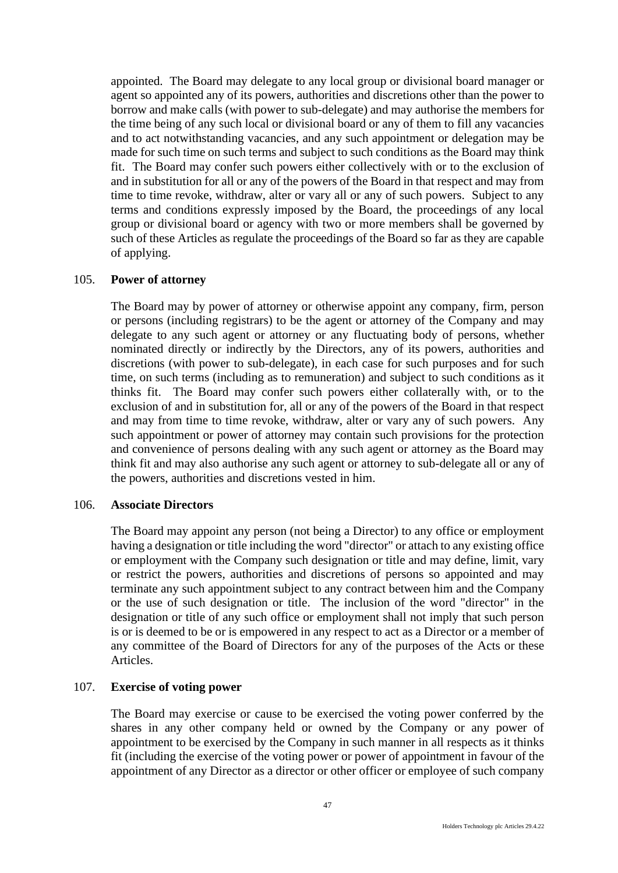appointed. The Board may delegate to any local group or divisional board manager or agent so appointed any of its powers, authorities and discretions other than the power to borrow and make calls (with power to sub-delegate) and may authorise the members for the time being of any such local or divisional board or any of them to fill any vacancies and to act notwithstanding vacancies, and any such appointment or delegation may be made for such time on such terms and subject to such conditions as the Board may think fit. The Board may confer such powers either collectively with or to the exclusion of and in substitution for all or any of the powers of the Board in that respect and may from time to time revoke, withdraw, alter or vary all or any of such powers. Subject to any terms and conditions expressly imposed by the Board, the proceedings of any local group or divisional board or agency with two or more members shall be governed by such of these Articles as regulate the proceedings of the Board so far as they are capable of applying.

### 105. **Power of attorney**

The Board may by power of attorney or otherwise appoint any company, firm, person or persons (including registrars) to be the agent or attorney of the Company and may delegate to any such agent or attorney or any fluctuating body of persons, whether nominated directly or indirectly by the Directors, any of its powers, authorities and discretions (with power to sub-delegate), in each case for such purposes and for such time, on such terms (including as to remuneration) and subject to such conditions as it thinks fit. The Board may confer such powers either collaterally with, or to the exclusion of and in substitution for, all or any of the powers of the Board in that respect and may from time to time revoke, withdraw, alter or vary any of such powers. Any such appointment or power of attorney may contain such provisions for the protection and convenience of persons dealing with any such agent or attorney as the Board may think fit and may also authorise any such agent or attorney to sub-delegate all or any of the powers, authorities and discretions vested in him.

#### 106. **Associate Directors**

The Board may appoint any person (not being a Director) to any office or employment having a designation or title including the word "director" or attach to any existing office or employment with the Company such designation or title and may define, limit, vary or restrict the powers, authorities and discretions of persons so appointed and may terminate any such appointment subject to any contract between him and the Company or the use of such designation or title. The inclusion of the word "director" in the designation or title of any such office or employment shall not imply that such person is or is deemed to be or is empowered in any respect to act as a Director or a member of any committee of the Board of Directors for any of the purposes of the Acts or these Articles.

#### 107. **Exercise of voting power**

The Board may exercise or cause to be exercised the voting power conferred by the shares in any other company held or owned by the Company or any power of appointment to be exercised by the Company in such manner in all respects as it thinks fit (including the exercise of the voting power or power of appointment in favour of the appointment of any Director as a director or other officer or employee of such company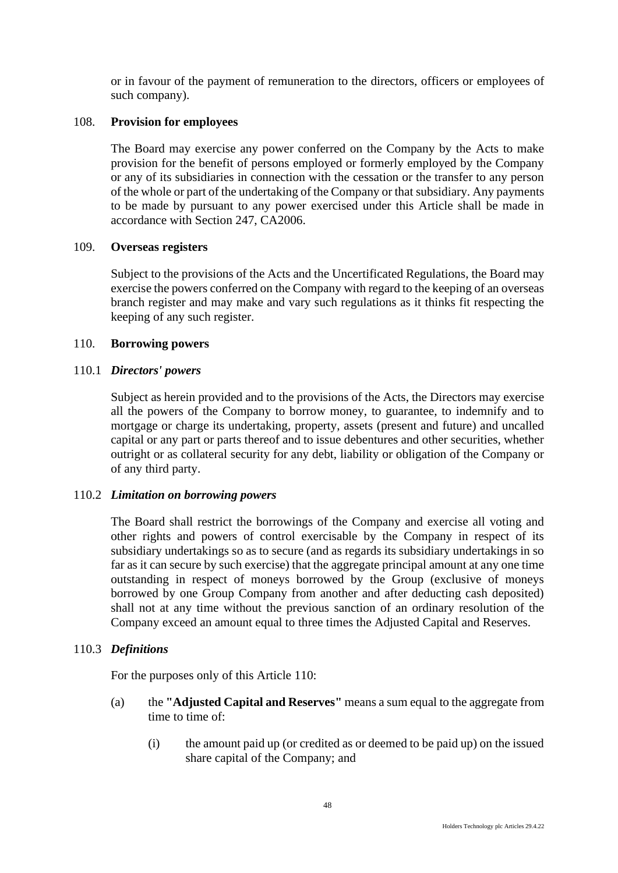or in favour of the payment of remuneration to the directors, officers or employees of such company).

# 108. **Provision for employees**

The Board may exercise any power conferred on the Company by the Acts to make provision for the benefit of persons employed or formerly employed by the Company or any of its subsidiaries in connection with the cessation or the transfer to any person of the whole or part of the undertaking of the Company or that subsidiary. Any payments to be made by pursuant to any power exercised under this Article shall be made in accordance with Section 247, CA2006.

### 109. **Overseas registers**

Subject to the provisions of the Acts and the Uncertificated Regulations, the Board may exercise the powers conferred on the Company with regard to the keeping of an overseas branch register and may make and vary such regulations as it thinks fit respecting the keeping of any such register.

#### 110. **Borrowing powers**

#### 110.1 *Directors' powers*

Subject as herein provided and to the provisions of the Acts, the Directors may exercise all the powers of the Company to borrow money, to guarantee, to indemnify and to mortgage or charge its undertaking, property, assets (present and future) and uncalled capital or any part or parts thereof and to issue debentures and other securities, whether outright or as collateral security for any debt, liability or obligation of the Company or of any third party.

### 110.2 *Limitation on borrowing powers*

The Board shall restrict the borrowings of the Company and exercise all voting and other rights and powers of control exercisable by the Company in respect of its subsidiary undertakings so as to secure (and as regards its subsidiary undertakings in so far as it can secure by such exercise) that the aggregate principal amount at any one time outstanding in respect of moneys borrowed by the Group (exclusive of moneys borrowed by one Group Company from another and after deducting cash deposited) shall not at any time without the previous sanction of an ordinary resolution of the Company exceed an amount equal to three times the Adjusted Capital and Reserves.

### 110.3 *Definitions*

For the purposes only of this Article 110:

- (a) the **"Adjusted Capital and Reserves"** means a sum equal to the aggregate from time to time of:
	- (i) the amount paid up (or credited as or deemed to be paid up) on the issued share capital of the Company; and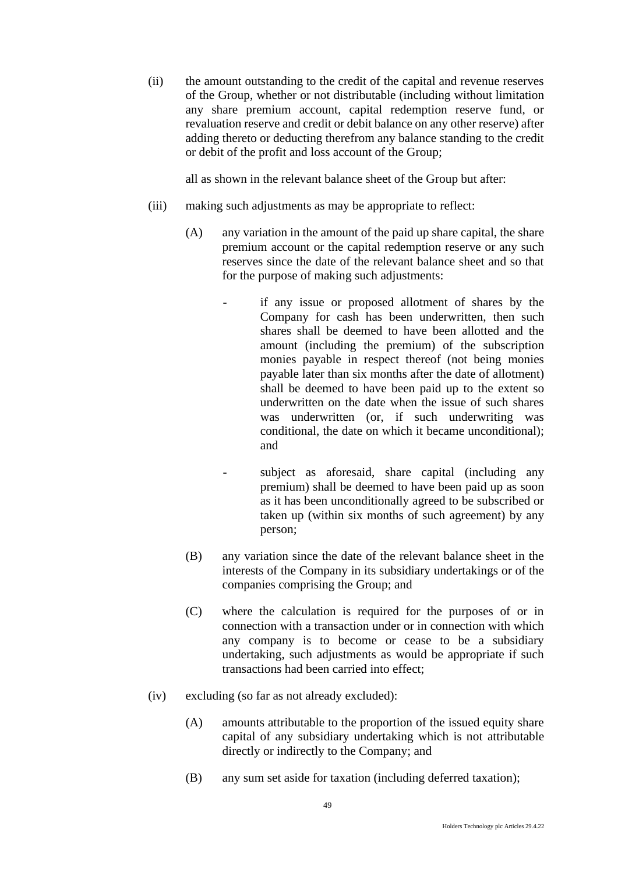(ii) the amount outstanding to the credit of the capital and revenue reserves of the Group, whether or not distributable (including without limitation any share premium account, capital redemption reserve fund, or revaluation reserve and credit or debit balance on any other reserve) after adding thereto or deducting therefrom any balance standing to the credit or debit of the profit and loss account of the Group;

all as shown in the relevant balance sheet of the Group but after:

- (iii) making such adjustments as may be appropriate to reflect:
	- (A) any variation in the amount of the paid up share capital, the share premium account or the capital redemption reserve or any such reserves since the date of the relevant balance sheet and so that for the purpose of making such adjustments:
		- if any issue or proposed allotment of shares by the Company for cash has been underwritten, then such shares shall be deemed to have been allotted and the amount (including the premium) of the subscription monies payable in respect thereof (not being monies payable later than six months after the date of allotment) shall be deemed to have been paid up to the extent so underwritten on the date when the issue of such shares was underwritten (or, if such underwriting was conditional, the date on which it became unconditional); and
		- subject as aforesaid, share capital (including any premium) shall be deemed to have been paid up as soon as it has been unconditionally agreed to be subscribed or taken up (within six months of such agreement) by any person;
	- (B) any variation since the date of the relevant balance sheet in the interests of the Company in its subsidiary undertakings or of the companies comprising the Group; and
	- (C) where the calculation is required for the purposes of or in connection with a transaction under or in connection with which any company is to become or cease to be a subsidiary undertaking, such adjustments as would be appropriate if such transactions had been carried into effect;
- (iv) excluding (so far as not already excluded):
	- (A) amounts attributable to the proportion of the issued equity share capital of any subsidiary undertaking which is not attributable directly or indirectly to the Company; and
	- (B) any sum set aside for taxation (including deferred taxation);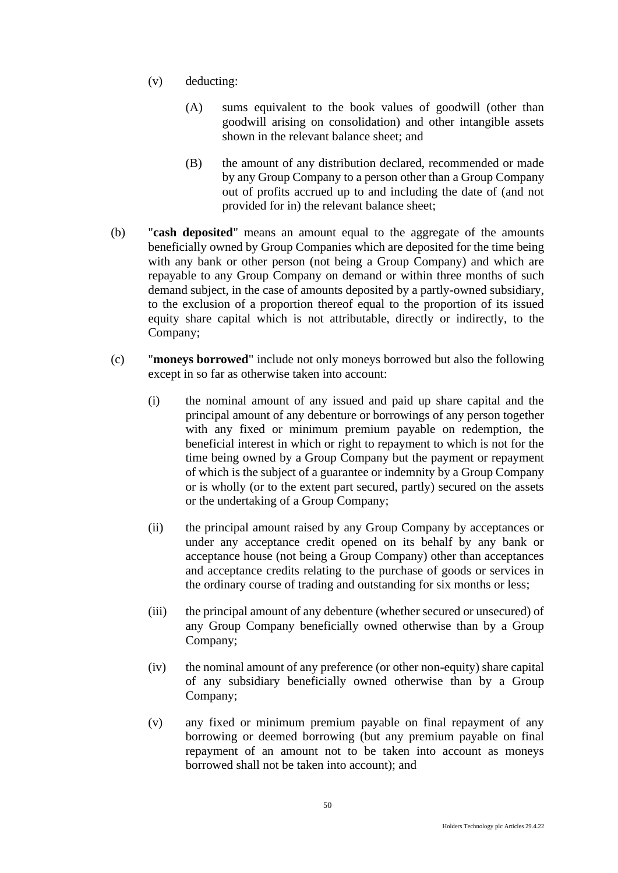- (v) deducting:
	- (A) sums equivalent to the book values of goodwill (other than goodwill arising on consolidation) and other intangible assets shown in the relevant balance sheet; and
	- (B) the amount of any distribution declared, recommended or made by any Group Company to a person other than a Group Company out of profits accrued up to and including the date of (and not provided for in) the relevant balance sheet;
- (b) "**cash deposited**" means an amount equal to the aggregate of the amounts beneficially owned by Group Companies which are deposited for the time being with any bank or other person (not being a Group Company) and which are repayable to any Group Company on demand or within three months of such demand subject, in the case of amounts deposited by a partly-owned subsidiary, to the exclusion of a proportion thereof equal to the proportion of its issued equity share capital which is not attributable, directly or indirectly, to the Company;
- (c) "**moneys borrowed**" include not only moneys borrowed but also the following except in so far as otherwise taken into account:
	- (i) the nominal amount of any issued and paid up share capital and the principal amount of any debenture or borrowings of any person together with any fixed or minimum premium payable on redemption, the beneficial interest in which or right to repayment to which is not for the time being owned by a Group Company but the payment or repayment of which is the subject of a guarantee or indemnity by a Group Company or is wholly (or to the extent part secured, partly) secured on the assets or the undertaking of a Group Company;
	- (ii) the principal amount raised by any Group Company by acceptances or under any acceptance credit opened on its behalf by any bank or acceptance house (not being a Group Company) other than acceptances and acceptance credits relating to the purchase of goods or services in the ordinary course of trading and outstanding for six months or less;
	- (iii) the principal amount of any debenture (whether secured or unsecured) of any Group Company beneficially owned otherwise than by a Group Company;
	- (iv) the nominal amount of any preference (or other non-equity) share capital of any subsidiary beneficially owned otherwise than by a Group Company;
	- (v) any fixed or minimum premium payable on final repayment of any borrowing or deemed borrowing (but any premium payable on final repayment of an amount not to be taken into account as moneys borrowed shall not be taken into account); and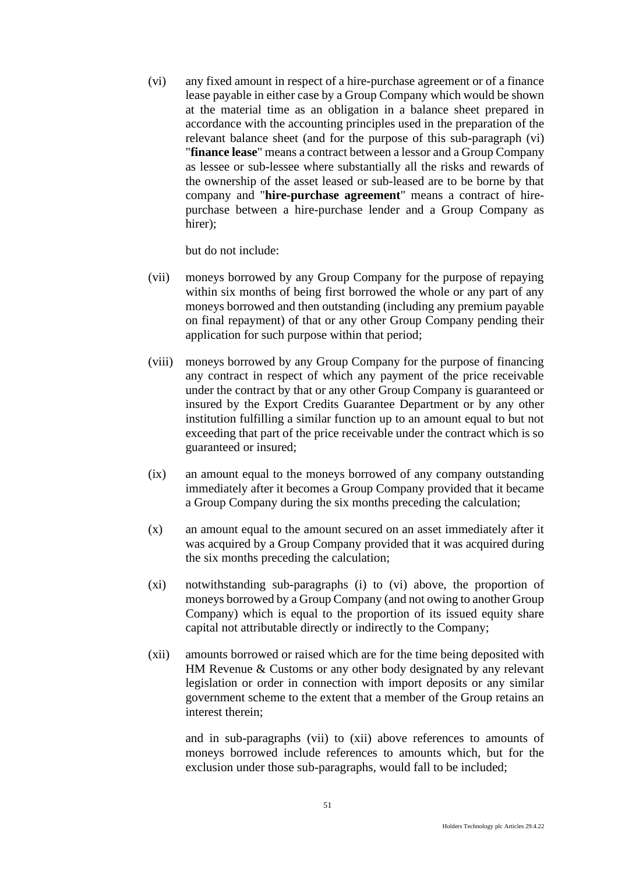(vi) any fixed amount in respect of a hire-purchase agreement or of a finance lease payable in either case by a Group Company which would be shown at the material time as an obligation in a balance sheet prepared in accordance with the accounting principles used in the preparation of the relevant balance sheet (and for the purpose of this sub-paragraph (vi) "**finance lease**" means a contract between a lessor and a Group Company as lessee or sub-lessee where substantially all the risks and rewards of the ownership of the asset leased or sub-leased are to be borne by that company and "**hire-purchase agreement**" means a contract of hirepurchase between a hire-purchase lender and a Group Company as hirer):

but do not include:

- (vii) moneys borrowed by any Group Company for the purpose of repaying within six months of being first borrowed the whole or any part of any moneys borrowed and then outstanding (including any premium payable on final repayment) of that or any other Group Company pending their application for such purpose within that period;
- (viii) moneys borrowed by any Group Company for the purpose of financing any contract in respect of which any payment of the price receivable under the contract by that or any other Group Company is guaranteed or insured by the Export Credits Guarantee Department or by any other institution fulfilling a similar function up to an amount equal to but not exceeding that part of the price receivable under the contract which is so guaranteed or insured;
- (ix) an amount equal to the moneys borrowed of any company outstanding immediately after it becomes a Group Company provided that it became a Group Company during the six months preceding the calculation;
- (x) an amount equal to the amount secured on an asset immediately after it was acquired by a Group Company provided that it was acquired during the six months preceding the calculation;
- (xi) notwithstanding sub-paragraphs (i) to (vi) above, the proportion of moneys borrowed by a Group Company (and not owing to another Group Company) which is equal to the proportion of its issued equity share capital not attributable directly or indirectly to the Company;
- (xii) amounts borrowed or raised which are for the time being deposited with HM Revenue & Customs or any other body designated by any relevant legislation or order in connection with import deposits or any similar government scheme to the extent that a member of the Group retains an interest therein;

and in sub-paragraphs (vii) to (xii) above references to amounts of moneys borrowed include references to amounts which, but for the exclusion under those sub-paragraphs, would fall to be included;

51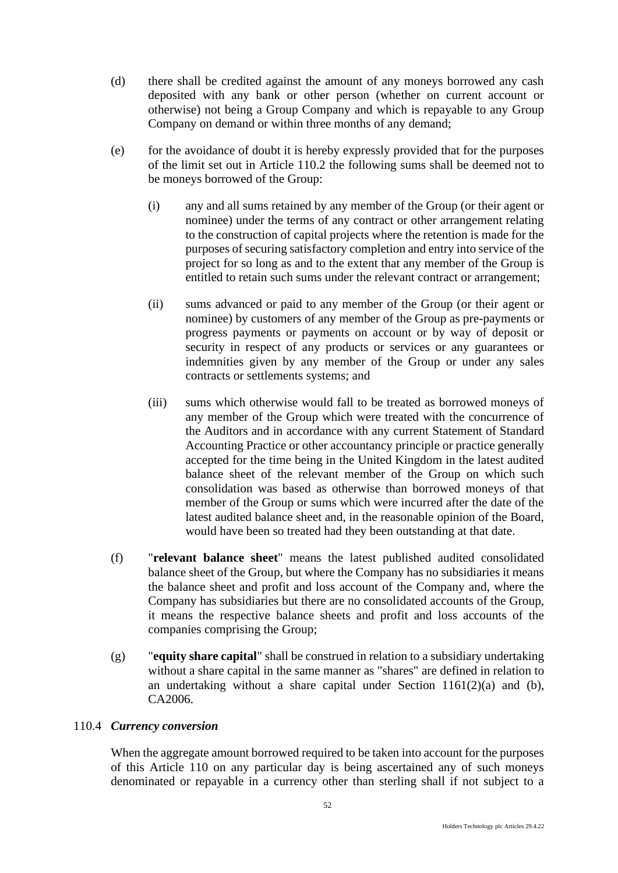- (d) there shall be credited against the amount of any moneys borrowed any cash deposited with any bank or other person (whether on current account or otherwise) not being a Group Company and which is repayable to any Group Company on demand or within three months of any demand;
- (e) for the avoidance of doubt it is hereby expressly provided that for the purposes of the limit set out in Article 110.2 the following sums shall be deemed not to be moneys borrowed of the Group:
	- (i) any and all sums retained by any member of the Group (or their agent or nominee) under the terms of any contract or other arrangement relating to the construction of capital projects where the retention is made for the purposes of securing satisfactory completion and entry into service of the project for so long as and to the extent that any member of the Group is entitled to retain such sums under the relevant contract or arrangement;
	- (ii) sums advanced or paid to any member of the Group (or their agent or nominee) by customers of any member of the Group as pre-payments or progress payments or payments on account or by way of deposit or security in respect of any products or services or any guarantees or indemnities given by any member of the Group or under any sales contracts or settlements systems; and
	- (iii) sums which otherwise would fall to be treated as borrowed moneys of any member of the Group which were treated with the concurrence of the Auditors and in accordance with any current Statement of Standard Accounting Practice or other accountancy principle or practice generally accepted for the time being in the United Kingdom in the latest audited balance sheet of the relevant member of the Group on which such consolidation was based as otherwise than borrowed moneys of that member of the Group or sums which were incurred after the date of the latest audited balance sheet and, in the reasonable opinion of the Board, would have been so treated had they been outstanding at that date.
- (f) "**relevant balance sheet**" means the latest published audited consolidated balance sheet of the Group, but where the Company has no subsidiaries it means the balance sheet and profit and loss account of the Company and, where the Company has subsidiaries but there are no consolidated accounts of the Group, it means the respective balance sheets and profit and loss accounts of the companies comprising the Group;
- (g) "**equity share capital**" shall be construed in relation to a subsidiary undertaking without a share capital in the same manner as "shares" are defined in relation to an undertaking without a share capital under Section 1161(2)(a) and (b), CA2006.

### 110.4 *Currency conversion*

When the aggregate amount borrowed required to be taken into account for the purposes of this Article 110 on any particular day is being ascertained any of such moneys denominated or repayable in a currency other than sterling shall if not subject to a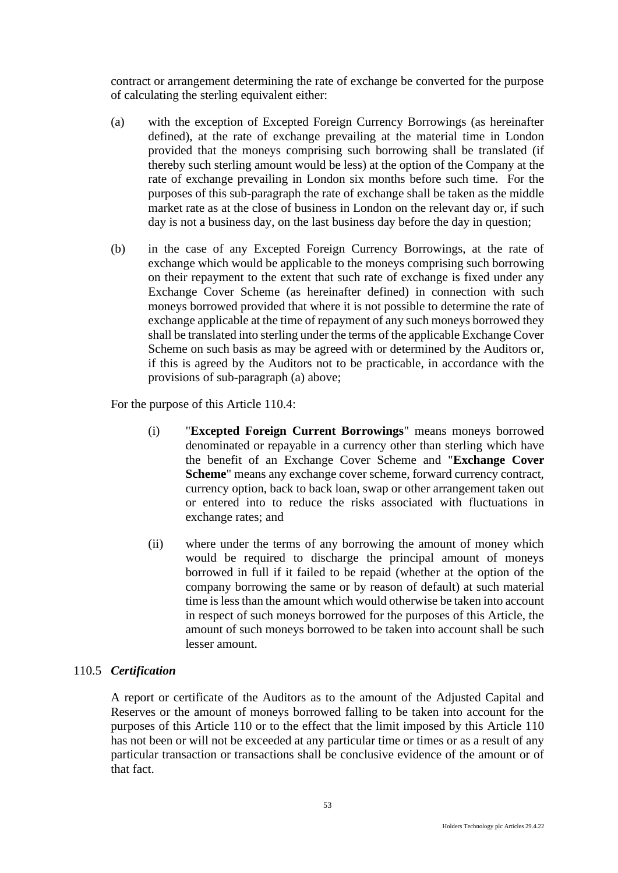contract or arrangement determining the rate of exchange be converted for the purpose of calculating the sterling equivalent either:

- (a) with the exception of Excepted Foreign Currency Borrowings (as hereinafter defined), at the rate of exchange prevailing at the material time in London provided that the moneys comprising such borrowing shall be translated (if thereby such sterling amount would be less) at the option of the Company at the rate of exchange prevailing in London six months before such time. For the purposes of this sub-paragraph the rate of exchange shall be taken as the middle market rate as at the close of business in London on the relevant day or, if such day is not a business day, on the last business day before the day in question;
- (b) in the case of any Excepted Foreign Currency Borrowings, at the rate of exchange which would be applicable to the moneys comprising such borrowing on their repayment to the extent that such rate of exchange is fixed under any Exchange Cover Scheme (as hereinafter defined) in connection with such moneys borrowed provided that where it is not possible to determine the rate of exchange applicable at the time of repayment of any such moneys borrowed they shall be translated into sterling under the terms of the applicable Exchange Cover Scheme on such basis as may be agreed with or determined by the Auditors or, if this is agreed by the Auditors not to be practicable, in accordance with the provisions of sub-paragraph (a) above;

For the purpose of this Article 110.4:

- (i) "**Excepted Foreign Current Borrowings**" means moneys borrowed denominated or repayable in a currency other than sterling which have the benefit of an Exchange Cover Scheme and "**Exchange Cover Scheme**" means any exchange cover scheme, forward currency contract, currency option, back to back loan, swap or other arrangement taken out or entered into to reduce the risks associated with fluctuations in exchange rates; and
- (ii) where under the terms of any borrowing the amount of money which would be required to discharge the principal amount of moneys borrowed in full if it failed to be repaid (whether at the option of the company borrowing the same or by reason of default) at such material time is less than the amount which would otherwise be taken into account in respect of such moneys borrowed for the purposes of this Article, the amount of such moneys borrowed to be taken into account shall be such lesser amount.

### 110.5 *Certification*

A report or certificate of the Auditors as to the amount of the Adjusted Capital and Reserves or the amount of moneys borrowed falling to be taken into account for the purposes of this Article 110 or to the effect that the limit imposed by this Article 110 has not been or will not be exceeded at any particular time or times or as a result of any particular transaction or transactions shall be conclusive evidence of the amount or of that fact.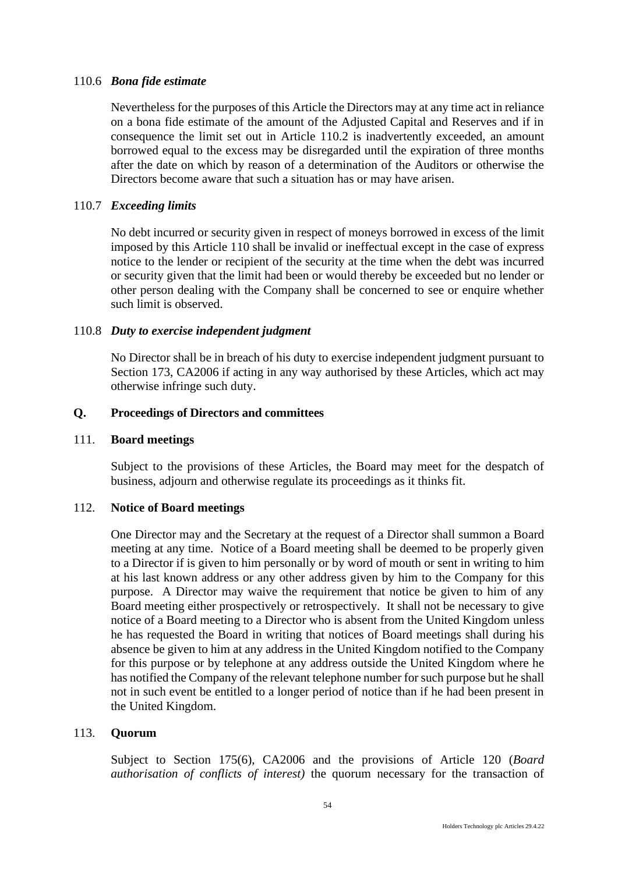#### 110.6 *Bona fide estimate*

Nevertheless for the purposes of this Article the Directors may at any time act in reliance on a bona fide estimate of the amount of the Adjusted Capital and Reserves and if in consequence the limit set out in Article 110.2 is inadvertently exceeded, an amount borrowed equal to the excess may be disregarded until the expiration of three months after the date on which by reason of a determination of the Auditors or otherwise the Directors become aware that such a situation has or may have arisen.

### 110.7 *Exceeding limits*

No debt incurred or security given in respect of moneys borrowed in excess of the limit imposed by this Article 110 shall be invalid or ineffectual except in the case of express notice to the lender or recipient of the security at the time when the debt was incurred or security given that the limit had been or would thereby be exceeded but no lender or other person dealing with the Company shall be concerned to see or enquire whether such limit is observed.

#### 110.8 *Duty to exercise independent judgment*

No Director shall be in breach of his duty to exercise independent judgment pursuant to Section 173, CA2006 if acting in any way authorised by these Articles, which act may otherwise infringe such duty.

#### **Q. Proceedings of Directors and committees**

#### 111. **Board meetings**

Subject to the provisions of these Articles, the Board may meet for the despatch of business, adjourn and otherwise regulate its proceedings as it thinks fit.

#### 112. **Notice of Board meetings**

One Director may and the Secretary at the request of a Director shall summon a Board meeting at any time. Notice of a Board meeting shall be deemed to be properly given to a Director if is given to him personally or by word of mouth or sent in writing to him at his last known address or any other address given by him to the Company for this purpose. A Director may waive the requirement that notice be given to him of any Board meeting either prospectively or retrospectively. It shall not be necessary to give notice of a Board meeting to a Director who is absent from the United Kingdom unless he has requested the Board in writing that notices of Board meetings shall during his absence be given to him at any address in the United Kingdom notified to the Company for this purpose or by telephone at any address outside the United Kingdom where he has notified the Company of the relevant telephone number for such purpose but he shall not in such event be entitled to a longer period of notice than if he had been present in the United Kingdom.

#### 113. **Quorum**

Subject to Section 175(6), CA2006 and the provisions of Article 120 (*Board authorisation of conflicts of interest)* the quorum necessary for the transaction of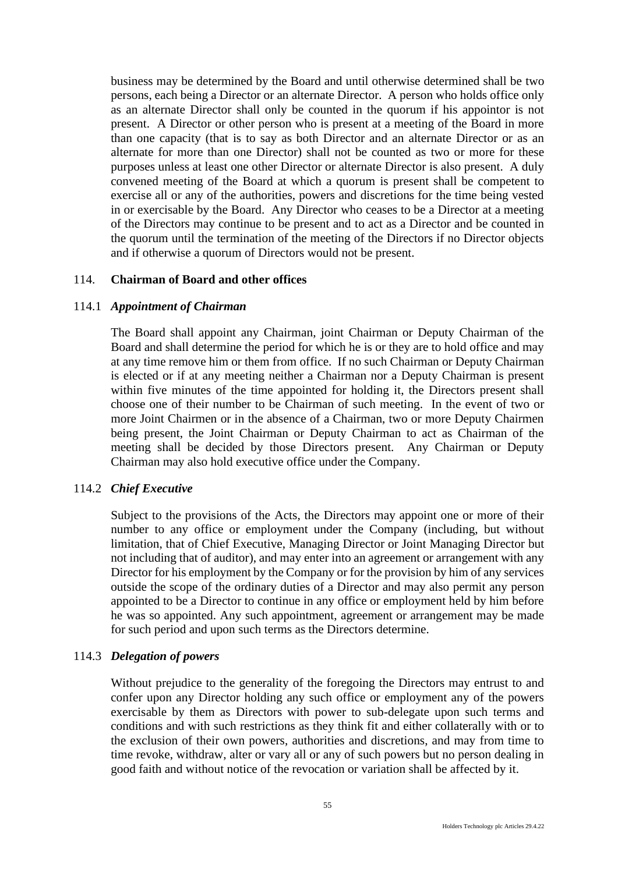business may be determined by the Board and until otherwise determined shall be two persons, each being a Director or an alternate Director. A person who holds office only as an alternate Director shall only be counted in the quorum if his appointor is not present. A Director or other person who is present at a meeting of the Board in more than one capacity (that is to say as both Director and an alternate Director or as an alternate for more than one Director) shall not be counted as two or more for these purposes unless at least one other Director or alternate Director is also present. A duly convened meeting of the Board at which a quorum is present shall be competent to exercise all or any of the authorities, powers and discretions for the time being vested in or exercisable by the Board. Any Director who ceases to be a Director at a meeting of the Directors may continue to be present and to act as a Director and be counted in the quorum until the termination of the meeting of the Directors if no Director objects and if otherwise a quorum of Directors would not be present.

#### 114. **Chairman of Board and other offices**

#### 114.1 *Appointment of Chairman*

The Board shall appoint any Chairman, joint Chairman or Deputy Chairman of the Board and shall determine the period for which he is or they are to hold office and may at any time remove him or them from office. If no such Chairman or Deputy Chairman is elected or if at any meeting neither a Chairman nor a Deputy Chairman is present within five minutes of the time appointed for holding it, the Directors present shall choose one of their number to be Chairman of such meeting. In the event of two or more Joint Chairmen or in the absence of a Chairman, two or more Deputy Chairmen being present, the Joint Chairman or Deputy Chairman to act as Chairman of the meeting shall be decided by those Directors present. Any Chairman or Deputy Chairman may also hold executive office under the Company.

### 114.2 *Chief Executive*

Subject to the provisions of the Acts, the Directors may appoint one or more of their number to any office or employment under the Company (including, but without limitation, that of Chief Executive, Managing Director or Joint Managing Director but not including that of auditor), and may enter into an agreement or arrangement with any Director for his employment by the Company or for the provision by him of any services outside the scope of the ordinary duties of a Director and may also permit any person appointed to be a Director to continue in any office or employment held by him before he was so appointed. Any such appointment, agreement or arrangement may be made for such period and upon such terms as the Directors determine.

#### 114.3 *Delegation of powers*

Without prejudice to the generality of the foregoing the Directors may entrust to and confer upon any Director holding any such office or employment any of the powers exercisable by them as Directors with power to sub-delegate upon such terms and conditions and with such restrictions as they think fit and either collaterally with or to the exclusion of their own powers, authorities and discretions, and may from time to time revoke, withdraw, alter or vary all or any of such powers but no person dealing in good faith and without notice of the revocation or variation shall be affected by it.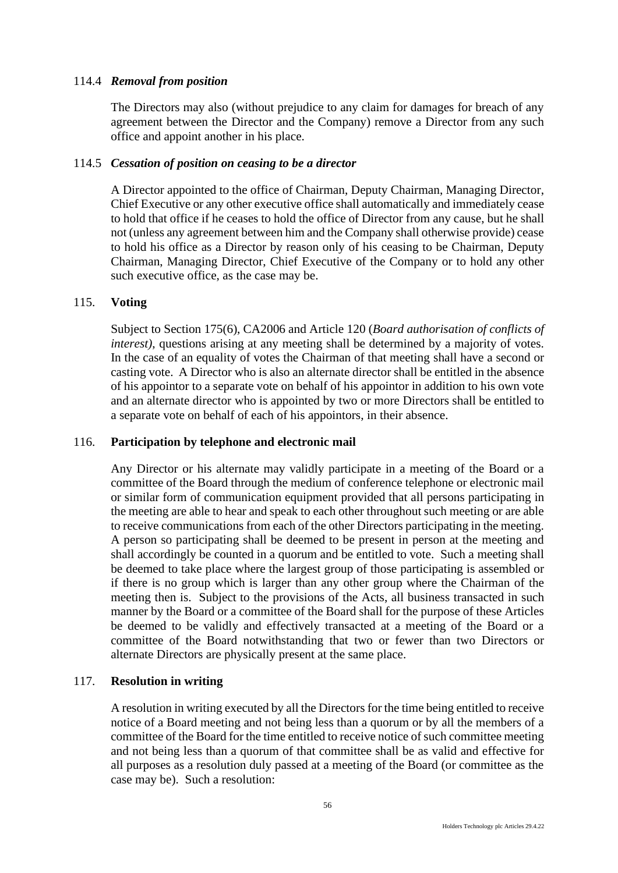# 114.4 *Removal from position*

The Directors may also (without prejudice to any claim for damages for breach of any agreement between the Director and the Company) remove a Director from any such office and appoint another in his place.

### 114.5 *Cessation of position on ceasing to be a director*

A Director appointed to the office of Chairman, Deputy Chairman, Managing Director, Chief Executive or any other executive office shall automatically and immediately cease to hold that office if he ceases to hold the office of Director from any cause, but he shall not (unless any agreement between him and the Company shall otherwise provide) cease to hold his office as a Director by reason only of his ceasing to be Chairman, Deputy Chairman, Managing Director, Chief Executive of the Company or to hold any other such executive office, as the case may be.

#### 115. **Voting**

Subject to Section 175(6), CA2006 and Article 120 (*Board authorisation of conflicts of interest)*, questions arising at any meeting shall be determined by a majority of votes. In the case of an equality of votes the Chairman of that meeting shall have a second or casting vote. A Director who is also an alternate director shall be entitled in the absence of his appointor to a separate vote on behalf of his appointor in addition to his own vote and an alternate director who is appointed by two or more Directors shall be entitled to a separate vote on behalf of each of his appointors, in their absence.

#### 116. **Participation by telephone and electronic mail**

Any Director or his alternate may validly participate in a meeting of the Board or a committee of the Board through the medium of conference telephone or electronic mail or similar form of communication equipment provided that all persons participating in the meeting are able to hear and speak to each other throughout such meeting or are able to receive communications from each of the other Directors participating in the meeting. A person so participating shall be deemed to be present in person at the meeting and shall accordingly be counted in a quorum and be entitled to vote. Such a meeting shall be deemed to take place where the largest group of those participating is assembled or if there is no group which is larger than any other group where the Chairman of the meeting then is. Subject to the provisions of the Acts, all business transacted in such manner by the Board or a committee of the Board shall for the purpose of these Articles be deemed to be validly and effectively transacted at a meeting of the Board or a committee of the Board notwithstanding that two or fewer than two Directors or alternate Directors are physically present at the same place.

### 117. **Resolution in writing**

A resolution in writing executed by all the Directors for the time being entitled to receive notice of a Board meeting and not being less than a quorum or by all the members of a committee of the Board for the time entitled to receive notice of such committee meeting and not being less than a quorum of that committee shall be as valid and effective for all purposes as a resolution duly passed at a meeting of the Board (or committee as the case may be). Such a resolution: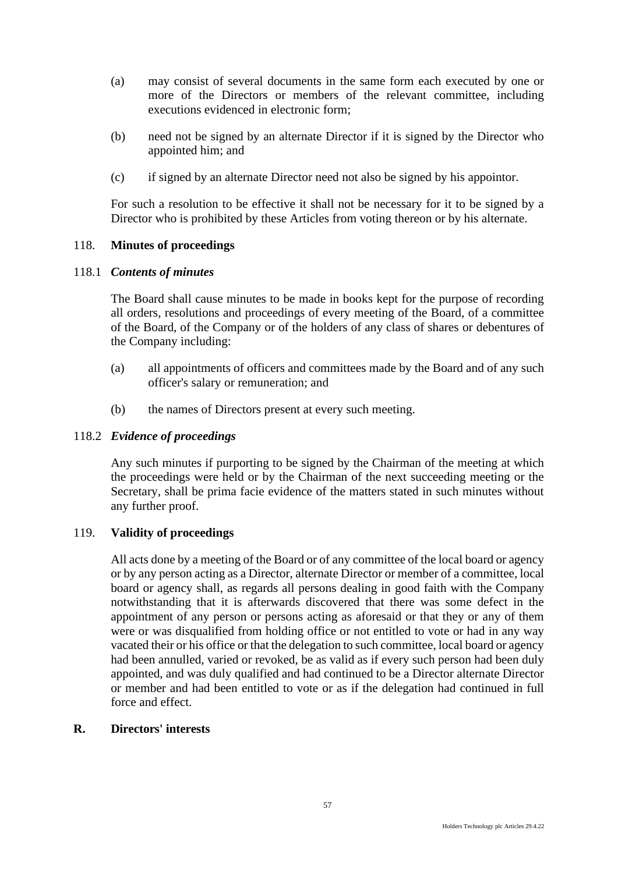- (a) may consist of several documents in the same form each executed by one or more of the Directors or members of the relevant committee, including executions evidenced in electronic form;
- (b) need not be signed by an alternate Director if it is signed by the Director who appointed him; and
- (c) if signed by an alternate Director need not also be signed by his appointor.

For such a resolution to be effective it shall not be necessary for it to be signed by a Director who is prohibited by these Articles from voting thereon or by his alternate.

# 118. **Minutes of proceedings**

### 118.1 *Contents of minutes*

The Board shall cause minutes to be made in books kept for the purpose of recording all orders, resolutions and proceedings of every meeting of the Board, of a committee of the Board, of the Company or of the holders of any class of shares or debentures of the Company including:

- (a) all appointments of officers and committees made by the Board and of any such officer's salary or remuneration; and
- (b) the names of Directors present at every such meeting.

#### 118.2 *Evidence of proceedings*

Any such minutes if purporting to be signed by the Chairman of the meeting at which the proceedings were held or by the Chairman of the next succeeding meeting or the Secretary, shall be prima facie evidence of the matters stated in such minutes without any further proof.

### 119. **Validity of proceedings**

All acts done by a meeting of the Board or of any committee of the local board or agency or by any person acting as a Director, alternate Director or member of a committee, local board or agency shall, as regards all persons dealing in good faith with the Company notwithstanding that it is afterwards discovered that there was some defect in the appointment of any person or persons acting as aforesaid or that they or any of them were or was disqualified from holding office or not entitled to vote or had in any way vacated their or his office or that the delegation to such committee, local board or agency had been annulled, varied or revoked, be as valid as if every such person had been duly appointed, and was duly qualified and had continued to be a Director alternate Director or member and had been entitled to vote or as if the delegation had continued in full force and effect.

# **R. Directors' interests**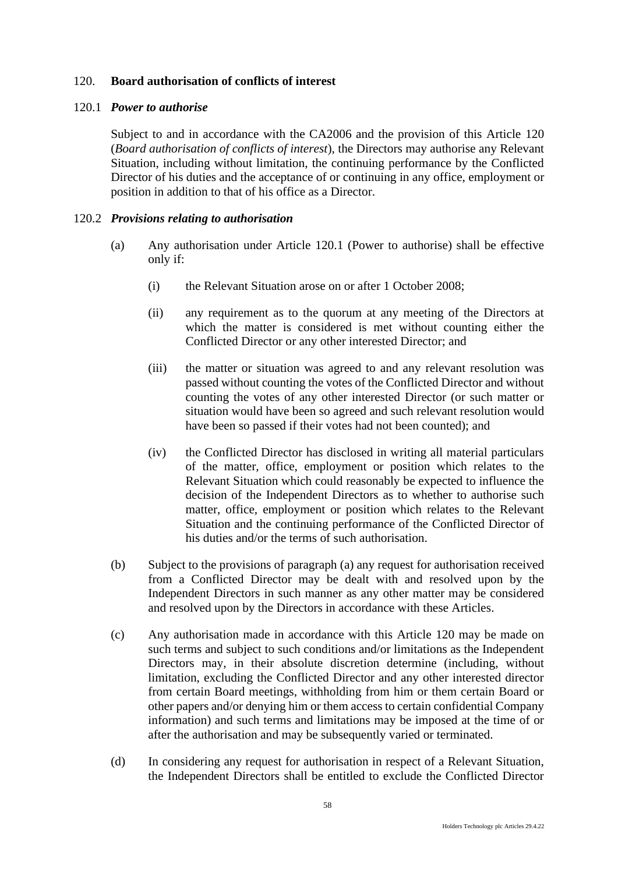### 120. **Board authorisation of conflicts of interest**

#### 120.1 *Power to authorise*

Subject to and in accordance with the CA2006 and the provision of this Article 120 (*Board authorisation of conflicts of interest*), the Directors may authorise any Relevant Situation, including without limitation, the continuing performance by the Conflicted Director of his duties and the acceptance of or continuing in any office, employment or position in addition to that of his office as a Director.

#### 120.2 *Provisions relating to authorisation*

- (a) Any authorisation under Article 120.1 (Power to authorise) shall be effective only if:
	- (i) the Relevant Situation arose on or after 1 October 2008;
	- (ii) any requirement as to the quorum at any meeting of the Directors at which the matter is considered is met without counting either the Conflicted Director or any other interested Director; and
	- (iii) the matter or situation was agreed to and any relevant resolution was passed without counting the votes of the Conflicted Director and without counting the votes of any other interested Director (or such matter or situation would have been so agreed and such relevant resolution would have been so passed if their votes had not been counted); and
	- (iv) the Conflicted Director has disclosed in writing all material particulars of the matter, office, employment or position which relates to the Relevant Situation which could reasonably be expected to influence the decision of the Independent Directors as to whether to authorise such matter, office, employment or position which relates to the Relevant Situation and the continuing performance of the Conflicted Director of his duties and/or the terms of such authorisation.
- (b) Subject to the provisions of paragraph (a) any request for authorisation received from a Conflicted Director may be dealt with and resolved upon by the Independent Directors in such manner as any other matter may be considered and resolved upon by the Directors in accordance with these Articles.
- (c) Any authorisation made in accordance with this Article 120 may be made on such terms and subject to such conditions and/or limitations as the Independent Directors may, in their absolute discretion determine (including, without limitation, excluding the Conflicted Director and any other interested director from certain Board meetings, withholding from him or them certain Board or other papers and/or denying him or them access to certain confidential Company information) and such terms and limitations may be imposed at the time of or after the authorisation and may be subsequently varied or terminated.
- (d) In considering any request for authorisation in respect of a Relevant Situation, the Independent Directors shall be entitled to exclude the Conflicted Director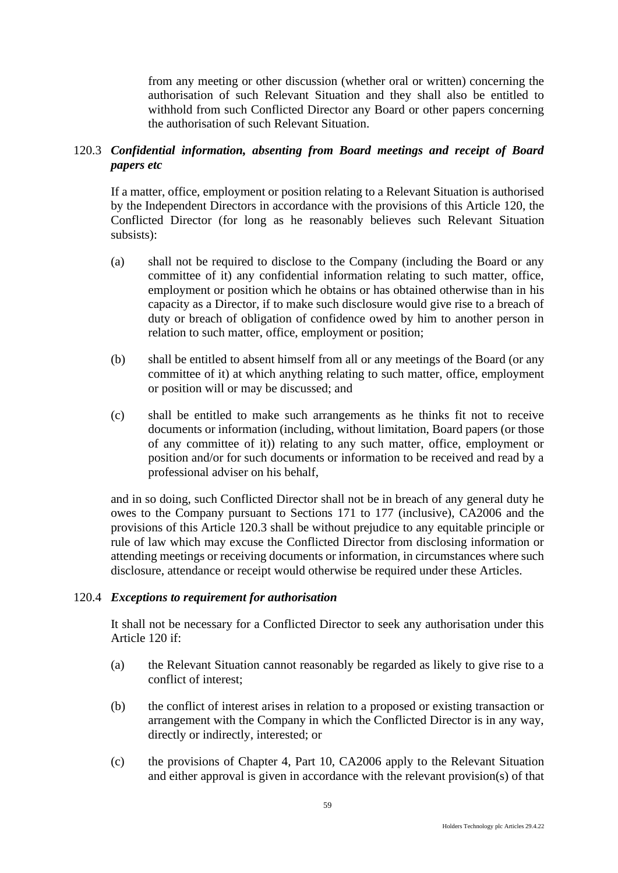from any meeting or other discussion (whether oral or written) concerning the authorisation of such Relevant Situation and they shall also be entitled to withhold from such Conflicted Director any Board or other papers concerning the authorisation of such Relevant Situation.

# 120.3 *Confidential information, absenting from Board meetings and receipt of Board papers etc*

If a matter, office, employment or position relating to a Relevant Situation is authorised by the Independent Directors in accordance with the provisions of this Article 120, the Conflicted Director (for long as he reasonably believes such Relevant Situation subsists):

- (a) shall not be required to disclose to the Company (including the Board or any committee of it) any confidential information relating to such matter, office, employment or position which he obtains or has obtained otherwise than in his capacity as a Director, if to make such disclosure would give rise to a breach of duty or breach of obligation of confidence owed by him to another person in relation to such matter, office, employment or position;
- (b) shall be entitled to absent himself from all or any meetings of the Board (or any committee of it) at which anything relating to such matter, office, employment or position will or may be discussed; and
- (c) shall be entitled to make such arrangements as he thinks fit not to receive documents or information (including, without limitation, Board papers (or those of any committee of it)) relating to any such matter, office, employment or position and/or for such documents or information to be received and read by a professional adviser on his behalf,

and in so doing, such Conflicted Director shall not be in breach of any general duty he owes to the Company pursuant to Sections 171 to 177 (inclusive), CA2006 and the provisions of this Article 120.3 shall be without prejudice to any equitable principle or rule of law which may excuse the Conflicted Director from disclosing information or attending meetings or receiving documents or information, in circumstances where such disclosure, attendance or receipt would otherwise be required under these Articles.

# 120.4 *Exceptions to requirement for authorisation*

It shall not be necessary for a Conflicted Director to seek any authorisation under this Article 120 if:

- (a) the Relevant Situation cannot reasonably be regarded as likely to give rise to a conflict of interest;
- (b) the conflict of interest arises in relation to a proposed or existing transaction or arrangement with the Company in which the Conflicted Director is in any way, directly or indirectly, interested; or
- (c) the provisions of Chapter 4, Part 10, CA2006 apply to the Relevant Situation and either approval is given in accordance with the relevant provision(s) of that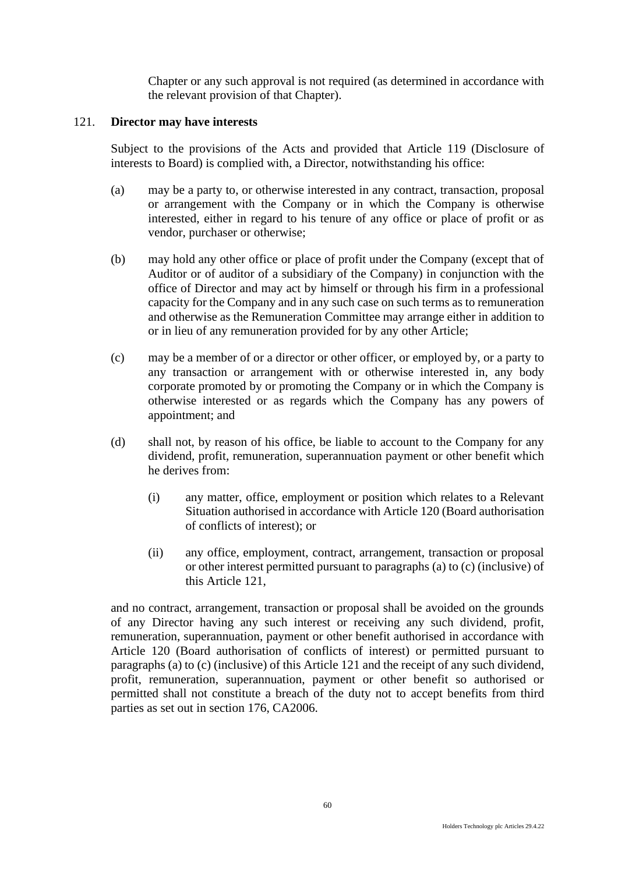Chapter or any such approval is not required (as determined in accordance with the relevant provision of that Chapter).

### 121. **Director may have interests**

Subject to the provisions of the Acts and provided that Article 119 (Disclosure of interests to Board) is complied with, a Director, notwithstanding his office:

- (a) may be a party to, or otherwise interested in any contract, transaction, proposal or arrangement with the Company or in which the Company is otherwise interested, either in regard to his tenure of any office or place of profit or as vendor, purchaser or otherwise;
- (b) may hold any other office or place of profit under the Company (except that of Auditor or of auditor of a subsidiary of the Company) in conjunction with the office of Director and may act by himself or through his firm in a professional capacity for the Company and in any such case on such terms as to remuneration and otherwise as the Remuneration Committee may arrange either in addition to or in lieu of any remuneration provided for by any other Article;
- (c) may be a member of or a director or other officer, or employed by, or a party to any transaction or arrangement with or otherwise interested in, any body corporate promoted by or promoting the Company or in which the Company is otherwise interested or as regards which the Company has any powers of appointment; and
- (d) shall not, by reason of his office, be liable to account to the Company for any dividend, profit, remuneration, superannuation payment or other benefit which he derives from:
	- (i) any matter, office, employment or position which relates to a Relevant Situation authorised in accordance with Article 120 (Board authorisation of conflicts of interest); or
	- (ii) any office, employment, contract, arrangement, transaction or proposal or other interest permitted pursuant to paragraphs (a) to (c) (inclusive) of this Article 121,

and no contract, arrangement, transaction or proposal shall be avoided on the grounds of any Director having any such interest or receiving any such dividend, profit, remuneration, superannuation, payment or other benefit authorised in accordance with Article 120 (Board authorisation of conflicts of interest) or permitted pursuant to paragraphs (a) to (c) (inclusive) of this Article 121 and the receipt of any such dividend, profit, remuneration, superannuation, payment or other benefit so authorised or permitted shall not constitute a breach of the duty not to accept benefits from third parties as set out in section 176, CA2006.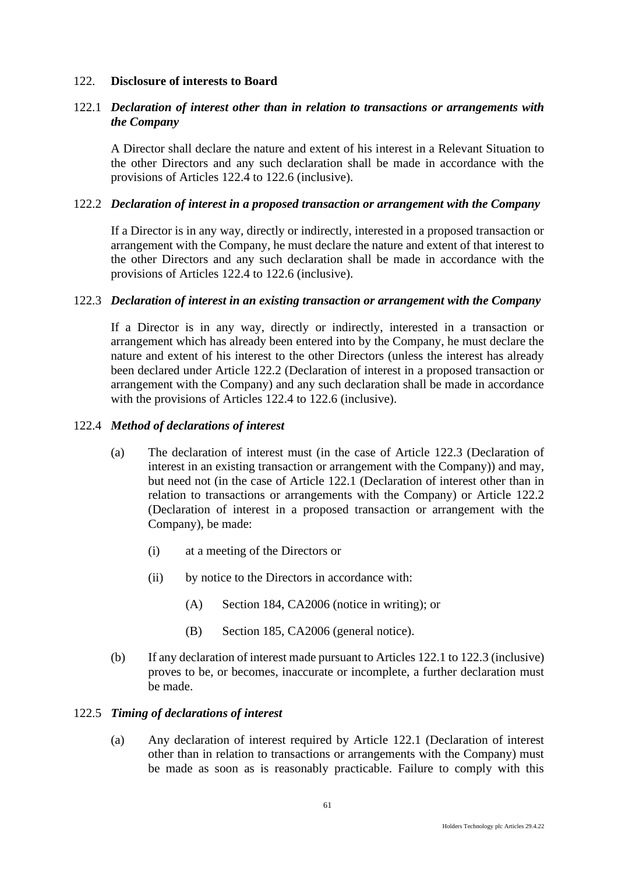#### 122. **Disclosure of interests to Board**

## 122.1 *Declaration of interest other than in relation to transactions or arrangements with the Company*

A Director shall declare the nature and extent of his interest in a Relevant Situation to the other Directors and any such declaration shall be made in accordance with the provisions of Articles 122.4 to 122.6 (inclusive).

#### 122.2 *Declaration of interest in a proposed transaction or arrangement with the Company*

If a Director is in any way, directly or indirectly, interested in a proposed transaction or arrangement with the Company, he must declare the nature and extent of that interest to the other Directors and any such declaration shall be made in accordance with the provisions of Articles 122.4 to 122.6 (inclusive).

#### 122.3 *Declaration of interest in an existing transaction or arrangement with the Company*

If a Director is in any way, directly or indirectly, interested in a transaction or arrangement which has already been entered into by the Company, he must declare the nature and extent of his interest to the other Directors (unless the interest has already been declared under Article 122.2 (Declaration of interest in a proposed transaction or arrangement with the Company) and any such declaration shall be made in accordance with the provisions of Articles 122.4 to 122.6 (inclusive).

#### 122.4 *Method of declarations of interest*

- (a) The declaration of interest must (in the case of Article 122.3 (Declaration of interest in an existing transaction or arrangement with the Company)) and may, but need not (in the case of Article 122.1 (Declaration of interest other than in relation to transactions or arrangements with the Company) or Article 122.2 (Declaration of interest in a proposed transaction or arrangement with the Company), be made:
	- (i) at a meeting of the Directors or
	- (ii) by notice to the Directors in accordance with:
		- (A) Section 184, CA2006 (notice in writing); or
		- (B) Section 185, CA2006 (general notice).
- (b) If any declaration of interest made pursuant to Articles 122.1 to 122.3 (inclusive) proves to be, or becomes, inaccurate or incomplete, a further declaration must be made.

#### 122.5 *Timing of declarations of interest*

(a) Any declaration of interest required by Article 122.1 (Declaration of interest other than in relation to transactions or arrangements with the Company) must be made as soon as is reasonably practicable. Failure to comply with this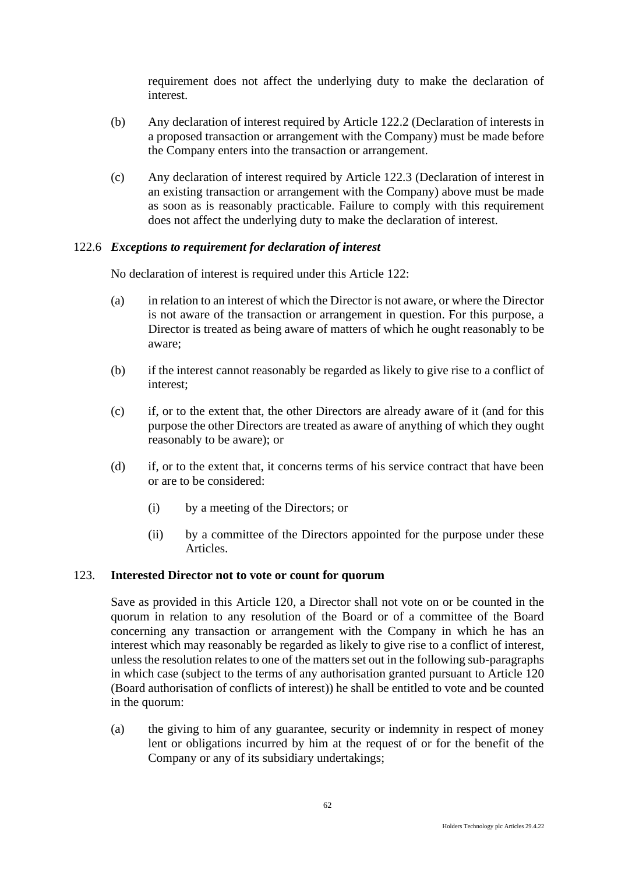requirement does not affect the underlying duty to make the declaration of interest.

- (b) Any declaration of interest required by Article 122.2 (Declaration of interests in a proposed transaction or arrangement with the Company) must be made before the Company enters into the transaction or arrangement.
- (c) Any declaration of interest required by Article 122.3 (Declaration of interest in an existing transaction or arrangement with the Company) above must be made as soon as is reasonably practicable. Failure to comply with this requirement does not affect the underlying duty to make the declaration of interest.

### 122.6 *Exceptions to requirement for declaration of interest*

No declaration of interest is required under this Article 122:

- (a) in relation to an interest of which the Director is not aware, or where the Director is not aware of the transaction or arrangement in question. For this purpose, a Director is treated as being aware of matters of which he ought reasonably to be aware;
- (b) if the interest cannot reasonably be regarded as likely to give rise to a conflict of interest;
- (c) if, or to the extent that, the other Directors are already aware of it (and for this purpose the other Directors are treated as aware of anything of which they ought reasonably to be aware); or
- (d) if, or to the extent that, it concerns terms of his service contract that have been or are to be considered:
	- (i) by a meeting of the Directors; or
	- (ii) by a committee of the Directors appointed for the purpose under these Articles.

### 123. **Interested Director not to vote or count for quorum**

Save as provided in this Article 120, a Director shall not vote on or be counted in the quorum in relation to any resolution of the Board or of a committee of the Board concerning any transaction or arrangement with the Company in which he has an interest which may reasonably be regarded as likely to give rise to a conflict of interest, unless the resolution relates to one of the matters set out in the following sub-paragraphs in which case (subject to the terms of any authorisation granted pursuant to Article 120 (Board authorisation of conflicts of interest)) he shall be entitled to vote and be counted in the quorum:

(a) the giving to him of any guarantee, security or indemnity in respect of money lent or obligations incurred by him at the request of or for the benefit of the Company or any of its subsidiary undertakings;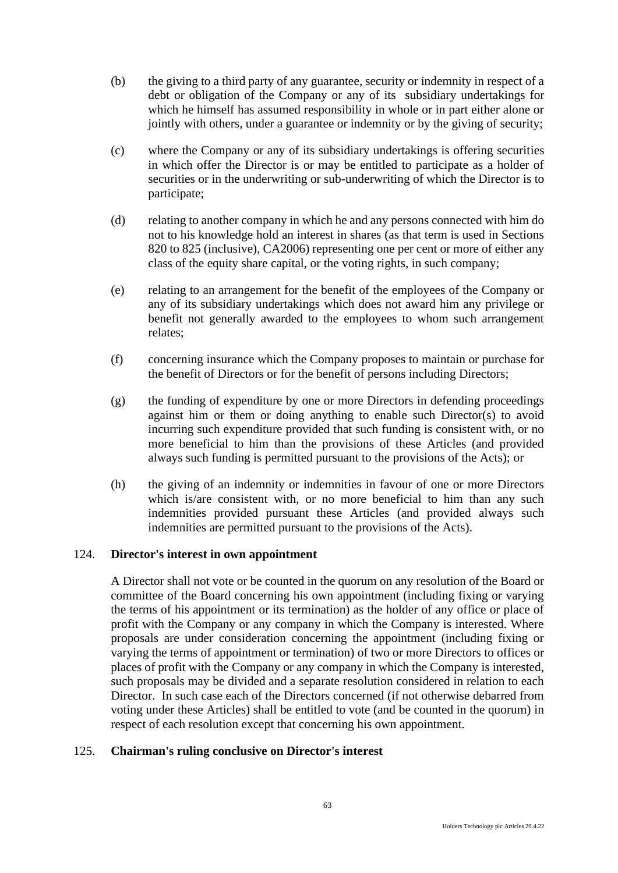- (b) the giving to a third party of any guarantee, security or indemnity in respect of a debt or obligation of the Company or any of its subsidiary undertakings for which he himself has assumed responsibility in whole or in part either alone or jointly with others, under a guarantee or indemnity or by the giving of security;
- (c) where the Company or any of its subsidiary undertakings is offering securities in which offer the Director is or may be entitled to participate as a holder of securities or in the underwriting or sub-underwriting of which the Director is to participate;
- (d) relating to another company in which he and any persons connected with him do not to his knowledge hold an interest in shares (as that term is used in Sections 820 to 825 (inclusive), CA2006) representing one per cent or more of either any class of the equity share capital, or the voting rights, in such company;
- (e) relating to an arrangement for the benefit of the employees of the Company or any of its subsidiary undertakings which does not award him any privilege or benefit not generally awarded to the employees to whom such arrangement relates;
- (f) concerning insurance which the Company proposes to maintain or purchase for the benefit of Directors or for the benefit of persons including Directors;
- (g) the funding of expenditure by one or more Directors in defending proceedings against him or them or doing anything to enable such Director(s) to avoid incurring such expenditure provided that such funding is consistent with, or no more beneficial to him than the provisions of these Articles (and provided always such funding is permitted pursuant to the provisions of the Acts); or
- (h) the giving of an indemnity or indemnities in favour of one or more Directors which is/are consistent with, or no more beneficial to him than any such indemnities provided pursuant these Articles (and provided always such indemnities are permitted pursuant to the provisions of the Acts).

## 124. **Director's interest in own appointment**

A Director shall not vote or be counted in the quorum on any resolution of the Board or committee of the Board concerning his own appointment (including fixing or varying the terms of his appointment or its termination) as the holder of any office or place of profit with the Company or any company in which the Company is interested. Where proposals are under consideration concerning the appointment (including fixing or varying the terms of appointment or termination) of two or more Directors to offices or places of profit with the Company or any company in which the Company is interested, such proposals may be divided and a separate resolution considered in relation to each Director. In such case each of the Directors concerned (if not otherwise debarred from voting under these Articles) shall be entitled to vote (and be counted in the quorum) in respect of each resolution except that concerning his own appointment.

#### 125. **Chairman's ruling conclusive on Director's interest**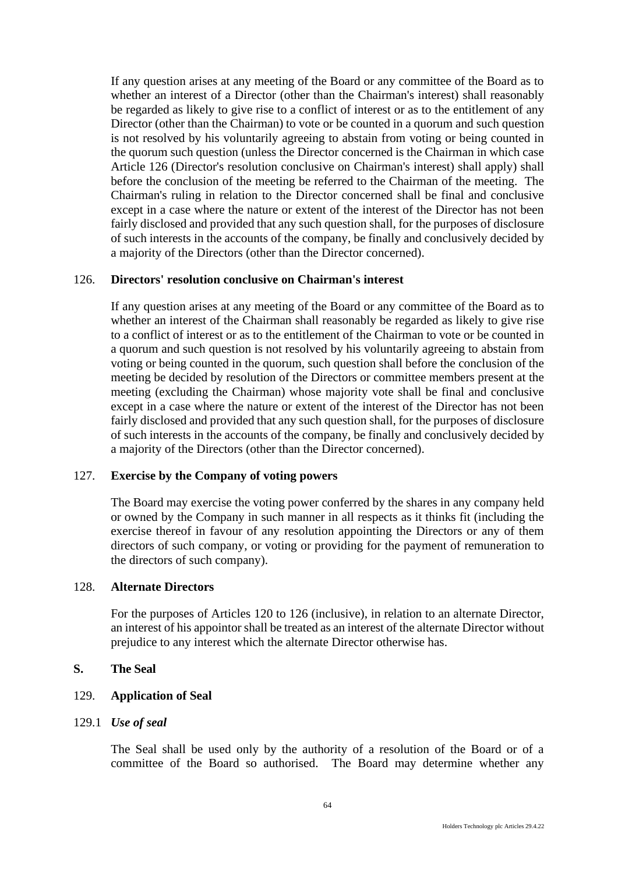If any question arises at any meeting of the Board or any committee of the Board as to whether an interest of a Director (other than the Chairman's interest) shall reasonably be regarded as likely to give rise to a conflict of interest or as to the entitlement of any Director (other than the Chairman) to vote or be counted in a quorum and such question is not resolved by his voluntarily agreeing to abstain from voting or being counted in the quorum such question (unless the Director concerned is the Chairman in which case Article 126 (Director's resolution conclusive on Chairman's interest) shall apply) shall before the conclusion of the meeting be referred to the Chairman of the meeting. The Chairman's ruling in relation to the Director concerned shall be final and conclusive except in a case where the nature or extent of the interest of the Director has not been fairly disclosed and provided that any such question shall, for the purposes of disclosure of such interests in the accounts of the company, be finally and conclusively decided by a majority of the Directors (other than the Director concerned).

### 126. **Directors' resolution conclusive on Chairman's interest**

If any question arises at any meeting of the Board or any committee of the Board as to whether an interest of the Chairman shall reasonably be regarded as likely to give rise to a conflict of interest or as to the entitlement of the Chairman to vote or be counted in a quorum and such question is not resolved by his voluntarily agreeing to abstain from voting or being counted in the quorum, such question shall before the conclusion of the meeting be decided by resolution of the Directors or committee members present at the meeting (excluding the Chairman) whose majority vote shall be final and conclusive except in a case where the nature or extent of the interest of the Director has not been fairly disclosed and provided that any such question shall, for the purposes of disclosure of such interests in the accounts of the company, be finally and conclusively decided by a majority of the Directors (other than the Director concerned).

#### 127. **Exercise by the Company of voting powers**

The Board may exercise the voting power conferred by the shares in any company held or owned by the Company in such manner in all respects as it thinks fit (including the exercise thereof in favour of any resolution appointing the Directors or any of them directors of such company, or voting or providing for the payment of remuneration to the directors of such company).

# 128. **Alternate Directors**

For the purposes of Articles 120 to 126 (inclusive), in relation to an alternate Director, an interest of his appointor shall be treated as an interest of the alternate Director without prejudice to any interest which the alternate Director otherwise has.

#### **S. The Seal**

### 129. **Application of Seal**

#### 129.1 *Use of seal*

The Seal shall be used only by the authority of a resolution of the Board or of a committee of the Board so authorised. The Board may determine whether any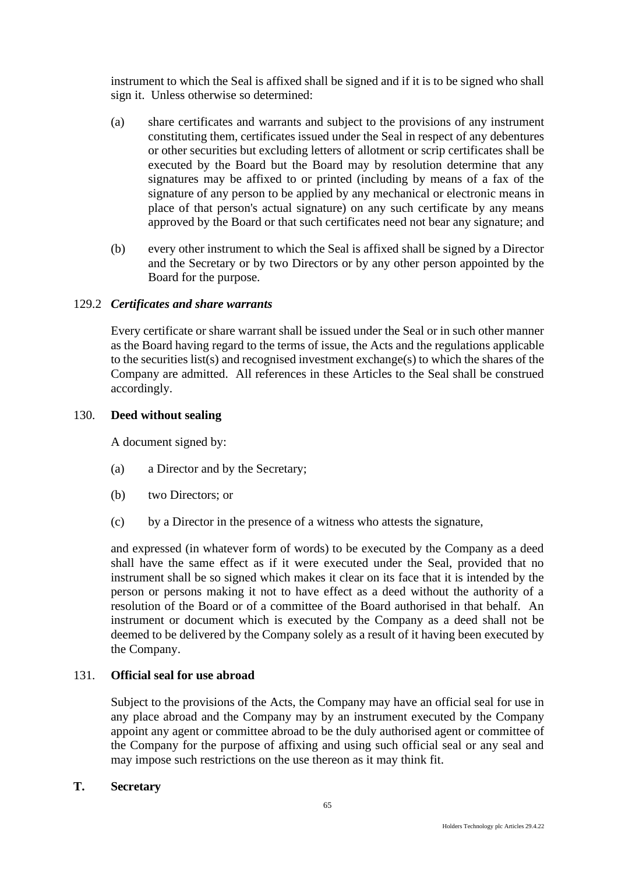instrument to which the Seal is affixed shall be signed and if it is to be signed who shall sign it. Unless otherwise so determined:

- (a) share certificates and warrants and subject to the provisions of any instrument constituting them, certificates issued under the Seal in respect of any debentures or other securities but excluding letters of allotment or scrip certificates shall be executed by the Board but the Board may by resolution determine that any signatures may be affixed to or printed (including by means of a fax of the signature of any person to be applied by any mechanical or electronic means in place of that person's actual signature) on any such certificate by any means approved by the Board or that such certificates need not bear any signature; and
- (b) every other instrument to which the Seal is affixed shall be signed by a Director and the Secretary or by two Directors or by any other person appointed by the Board for the purpose.

# 129.2 *Certificates and share warrants*

Every certificate or share warrant shall be issued under the Seal or in such other manner as the Board having regard to the terms of issue, the Acts and the regulations applicable to the securities list(s) and recognised investment exchange(s) to which the shares of the Company are admitted. All references in these Articles to the Seal shall be construed accordingly.

### 130. **Deed without sealing**

A document signed by:

- (a) a Director and by the Secretary;
- (b) two Directors; or
- (c) by a Director in the presence of a witness who attests the signature,

and expressed (in whatever form of words) to be executed by the Company as a deed shall have the same effect as if it were executed under the Seal, provided that no instrument shall be so signed which makes it clear on its face that it is intended by the person or persons making it not to have effect as a deed without the authority of a resolution of the Board or of a committee of the Board authorised in that behalf. An instrument or document which is executed by the Company as a deed shall not be deemed to be delivered by the Company solely as a result of it having been executed by the Company.

# 131. **Official seal for use abroad**

Subject to the provisions of the Acts, the Company may have an official seal for use in any place abroad and the Company may by an instrument executed by the Company appoint any agent or committee abroad to be the duly authorised agent or committee of the Company for the purpose of affixing and using such official seal or any seal and may impose such restrictions on the use thereon as it may think fit.

### **T. Secretary**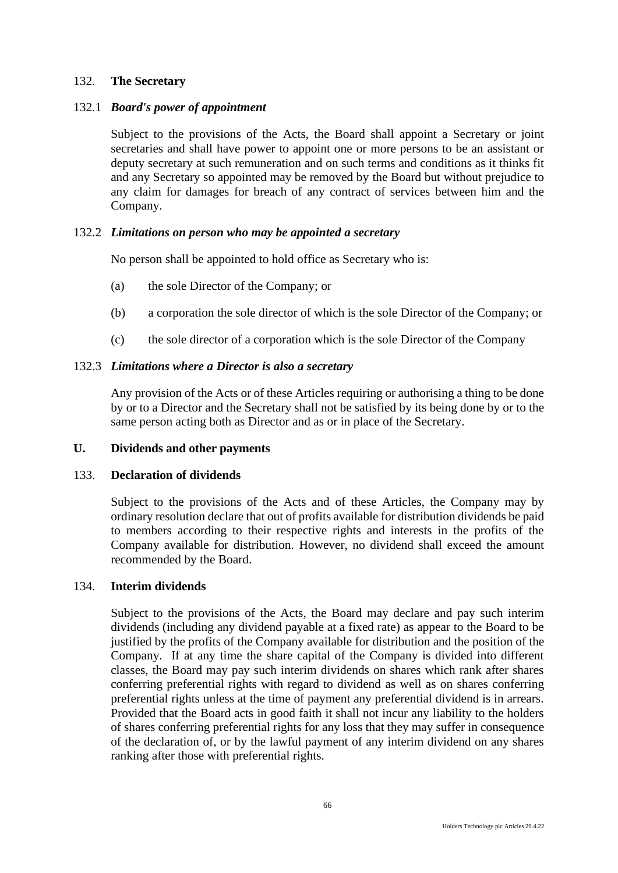## 132. **The Secretary**

# 132.1 *Board's power of appointment*

Subject to the provisions of the Acts, the Board shall appoint a Secretary or joint secretaries and shall have power to appoint one or more persons to be an assistant or deputy secretary at such remuneration and on such terms and conditions as it thinks fit and any Secretary so appointed may be removed by the Board but without prejudice to any claim for damages for breach of any contract of services between him and the Company.

# 132.2 *Limitations on person who may be appointed a secretary*

No person shall be appointed to hold office as Secretary who is:

- (a) the sole Director of the Company; or
- (b) a corporation the sole director of which is the sole Director of the Company; or
- (c) the sole director of a corporation which is the sole Director of the Company

# 132.3 *Limitations where a Director is also a secretary*

Any provision of the Acts or of these Articles requiring or authorising a thing to be done by or to a Director and the Secretary shall not be satisfied by its being done by or to the same person acting both as Director and as or in place of the Secretary.

# **U. Dividends and other payments**

### 133. **Declaration of dividends**

Subject to the provisions of the Acts and of these Articles, the Company may by ordinary resolution declare that out of profits available for distribution dividends be paid to members according to their respective rights and interests in the profits of the Company available for distribution. However, no dividend shall exceed the amount recommended by the Board.

### 134. **Interim dividends**

Subject to the provisions of the Acts, the Board may declare and pay such interim dividends (including any dividend payable at a fixed rate) as appear to the Board to be justified by the profits of the Company available for distribution and the position of the Company. If at any time the share capital of the Company is divided into different classes, the Board may pay such interim dividends on shares which rank after shares conferring preferential rights with regard to dividend as well as on shares conferring preferential rights unless at the time of payment any preferential dividend is in arrears. Provided that the Board acts in good faith it shall not incur any liability to the holders of shares conferring preferential rights for any loss that they may suffer in consequence of the declaration of, or by the lawful payment of any interim dividend on any shares ranking after those with preferential rights.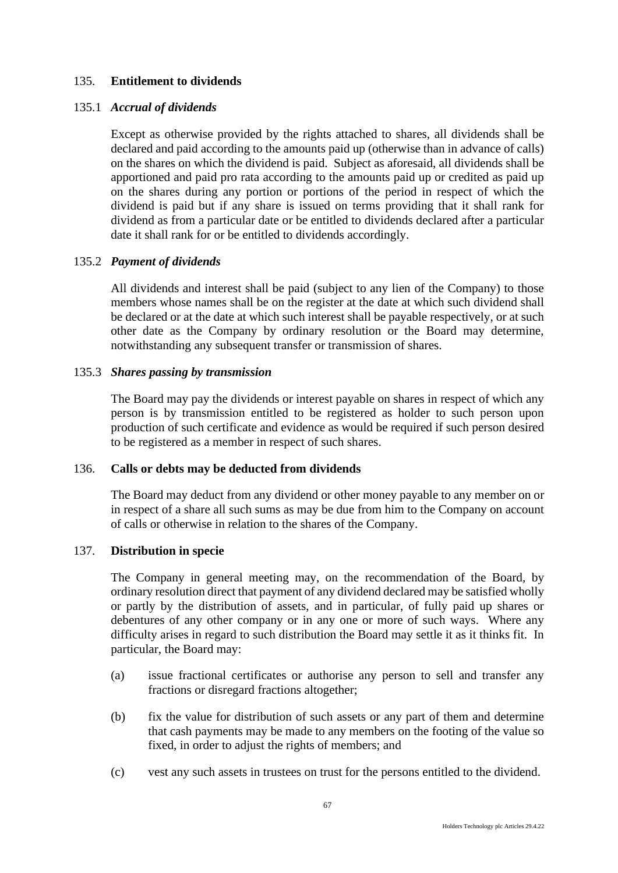# 135. **Entitlement to dividends**

## 135.1 *Accrual of dividends*

Except as otherwise provided by the rights attached to shares, all dividends shall be declared and paid according to the amounts paid up (otherwise than in advance of calls) on the shares on which the dividend is paid. Subject as aforesaid, all dividends shall be apportioned and paid pro rata according to the amounts paid up or credited as paid up on the shares during any portion or portions of the period in respect of which the dividend is paid but if any share is issued on terms providing that it shall rank for dividend as from a particular date or be entitled to dividends declared after a particular date it shall rank for or be entitled to dividends accordingly.

# 135.2 *Payment of dividends*

All dividends and interest shall be paid (subject to any lien of the Company) to those members whose names shall be on the register at the date at which such dividend shall be declared or at the date at which such interest shall be payable respectively, or at such other date as the Company by ordinary resolution or the Board may determine, notwithstanding any subsequent transfer or transmission of shares.

### 135.3 *Shares passing by transmission*

The Board may pay the dividends or interest payable on shares in respect of which any person is by transmission entitled to be registered as holder to such person upon production of such certificate and evidence as would be required if such person desired to be registered as a member in respect of such shares.

### 136. **Calls or debts may be deducted from dividends**

The Board may deduct from any dividend or other money payable to any member on or in respect of a share all such sums as may be due from him to the Company on account of calls or otherwise in relation to the shares of the Company.

# 137. **Distribution in specie**

The Company in general meeting may, on the recommendation of the Board, by ordinary resolution direct that payment of any dividend declared may be satisfied wholly or partly by the distribution of assets, and in particular, of fully paid up shares or debentures of any other company or in any one or more of such ways. Where any difficulty arises in regard to such distribution the Board may settle it as it thinks fit. In particular, the Board may:

- (a) issue fractional certificates or authorise any person to sell and transfer any fractions or disregard fractions altogether;
- (b) fix the value for distribution of such assets or any part of them and determine that cash payments may be made to any members on the footing of the value so fixed, in order to adjust the rights of members; and
- (c) vest any such assets in trustees on trust for the persons entitled to the dividend.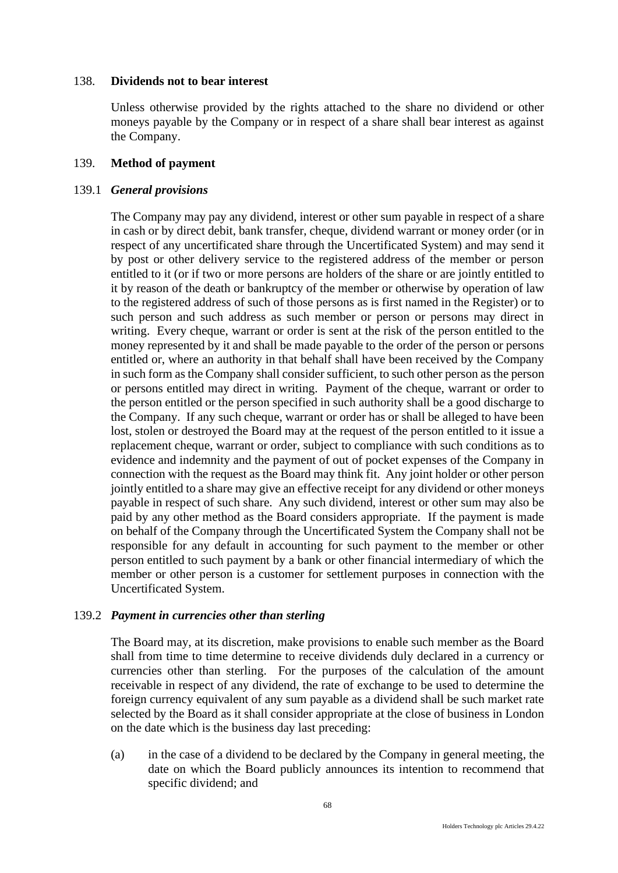### 138. **Dividends not to bear interest**

Unless otherwise provided by the rights attached to the share no dividend or other moneys payable by the Company or in respect of a share shall bear interest as against the Company.

### 139. **Method of payment**

### 139.1 *General provisions*

The Company may pay any dividend, interest or other sum payable in respect of a share in cash or by direct debit, bank transfer, cheque, dividend warrant or money order (or in respect of any uncertificated share through the Uncertificated System) and may send it by post or other delivery service to the registered address of the member or person entitled to it (or if two or more persons are holders of the share or are jointly entitled to it by reason of the death or bankruptcy of the member or otherwise by operation of law to the registered address of such of those persons as is first named in the Register) or to such person and such address as such member or person or persons may direct in writing. Every cheque, warrant or order is sent at the risk of the person entitled to the money represented by it and shall be made payable to the order of the person or persons entitled or, where an authority in that behalf shall have been received by the Company in such form as the Company shall consider sufficient, to such other person as the person or persons entitled may direct in writing. Payment of the cheque, warrant or order to the person entitled or the person specified in such authority shall be a good discharge to the Company. If any such cheque, warrant or order has or shall be alleged to have been lost, stolen or destroyed the Board may at the request of the person entitled to it issue a replacement cheque, warrant or order, subject to compliance with such conditions as to evidence and indemnity and the payment of out of pocket expenses of the Company in connection with the request as the Board may think fit. Any joint holder or other person jointly entitled to a share may give an effective receipt for any dividend or other moneys payable in respect of such share. Any such dividend, interest or other sum may also be paid by any other method as the Board considers appropriate. If the payment is made on behalf of the Company through the Uncertificated System the Company shall not be responsible for any default in accounting for such payment to the member or other person entitled to such payment by a bank or other financial intermediary of which the member or other person is a customer for settlement purposes in connection with the Uncertificated System.

## 139.2 *Payment in currencies other than sterling*

The Board may, at its discretion, make provisions to enable such member as the Board shall from time to time determine to receive dividends duly declared in a currency or currencies other than sterling. For the purposes of the calculation of the amount receivable in respect of any dividend, the rate of exchange to be used to determine the foreign currency equivalent of any sum payable as a dividend shall be such market rate selected by the Board as it shall consider appropriate at the close of business in London on the date which is the business day last preceding:

(a) in the case of a dividend to be declared by the Company in general meeting, the date on which the Board publicly announces its intention to recommend that specific dividend; and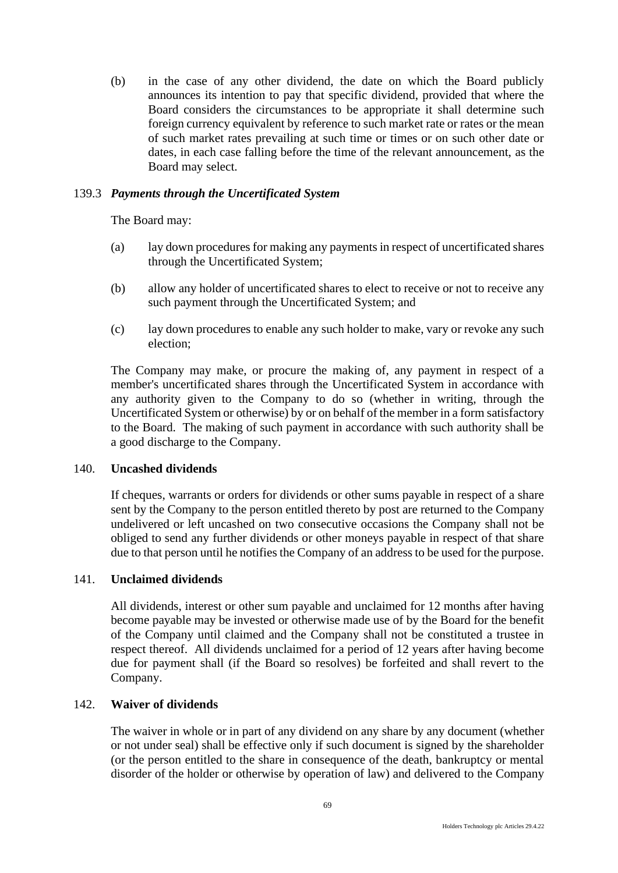(b) in the case of any other dividend, the date on which the Board publicly announces its intention to pay that specific dividend, provided that where the Board considers the circumstances to be appropriate it shall determine such foreign currency equivalent by reference to such market rate or rates or the mean of such market rates prevailing at such time or times or on such other date or dates, in each case falling before the time of the relevant announcement, as the Board may select.

# 139.3 *Payments through the Uncertificated System*

The Board may:

- (a) lay down procedures for making any payments in respect of uncertificated shares through the Uncertificated System;
- (b) allow any holder of uncertificated shares to elect to receive or not to receive any such payment through the Uncertificated System; and
- (c) lay down procedures to enable any such holder to make, vary or revoke any such election;

The Company may make, or procure the making of, any payment in respect of a member's uncertificated shares through the Uncertificated System in accordance with any authority given to the Company to do so (whether in writing, through the Uncertificated System or otherwise) by or on behalf of the member in a form satisfactory to the Board. The making of such payment in accordance with such authority shall be a good discharge to the Company.

## 140. **Uncashed dividends**

If cheques, warrants or orders for dividends or other sums payable in respect of a share sent by the Company to the person entitled thereto by post are returned to the Company undelivered or left uncashed on two consecutive occasions the Company shall not be obliged to send any further dividends or other moneys payable in respect of that share due to that person until he notifies the Company of an address to be used for the purpose.

## 141. **Unclaimed dividends**

All dividends, interest or other sum payable and unclaimed for 12 months after having become payable may be invested or otherwise made use of by the Board for the benefit of the Company until claimed and the Company shall not be constituted a trustee in respect thereof. All dividends unclaimed for a period of 12 years after having become due for payment shall (if the Board so resolves) be forfeited and shall revert to the Company.

### 142. **Waiver of dividends**

The waiver in whole or in part of any dividend on any share by any document (whether or not under seal) shall be effective only if such document is signed by the shareholder (or the person entitled to the share in consequence of the death, bankruptcy or mental disorder of the holder or otherwise by operation of law) and delivered to the Company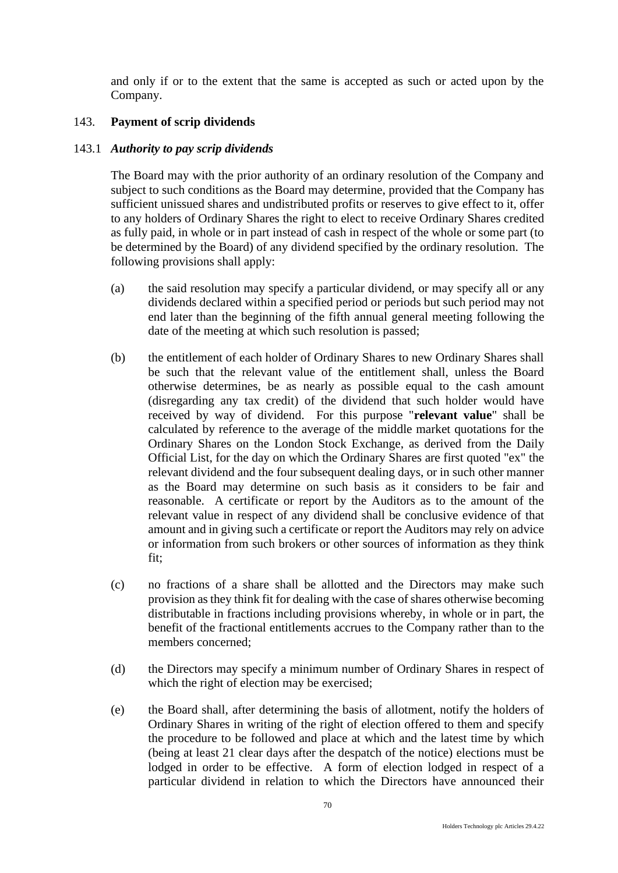and only if or to the extent that the same is accepted as such or acted upon by the Company.

# 143. **Payment of scrip dividends**

## 143.1 *Authority to pay scrip dividends*

The Board may with the prior authority of an ordinary resolution of the Company and subject to such conditions as the Board may determine, provided that the Company has sufficient unissued shares and undistributed profits or reserves to give effect to it, offer to any holders of Ordinary Shares the right to elect to receive Ordinary Shares credited as fully paid, in whole or in part instead of cash in respect of the whole or some part (to be determined by the Board) of any dividend specified by the ordinary resolution. The following provisions shall apply:

- (a) the said resolution may specify a particular dividend, or may specify all or any dividends declared within a specified period or periods but such period may not end later than the beginning of the fifth annual general meeting following the date of the meeting at which such resolution is passed;
- (b) the entitlement of each holder of Ordinary Shares to new Ordinary Shares shall be such that the relevant value of the entitlement shall, unless the Board otherwise determines, be as nearly as possible equal to the cash amount (disregarding any tax credit) of the dividend that such holder would have received by way of dividend. For this purpose "**relevant value**" shall be calculated by reference to the average of the middle market quotations for the Ordinary Shares on the London Stock Exchange, as derived from the Daily Official List, for the day on which the Ordinary Shares are first quoted "ex" the relevant dividend and the four subsequent dealing days, or in such other manner as the Board may determine on such basis as it considers to be fair and reasonable. A certificate or report by the Auditors as to the amount of the relevant value in respect of any dividend shall be conclusive evidence of that amount and in giving such a certificate or report the Auditors may rely on advice or information from such brokers or other sources of information as they think fit;
- (c) no fractions of a share shall be allotted and the Directors may make such provision as they think fit for dealing with the case of shares otherwise becoming distributable in fractions including provisions whereby, in whole or in part, the benefit of the fractional entitlements accrues to the Company rather than to the members concerned;
- (d) the Directors may specify a minimum number of Ordinary Shares in respect of which the right of election may be exercised;
- (e) the Board shall, after determining the basis of allotment, notify the holders of Ordinary Shares in writing of the right of election offered to them and specify the procedure to be followed and place at which and the latest time by which (being at least 21 clear days after the despatch of the notice) elections must be lodged in order to be effective. A form of election lodged in respect of a particular dividend in relation to which the Directors have announced their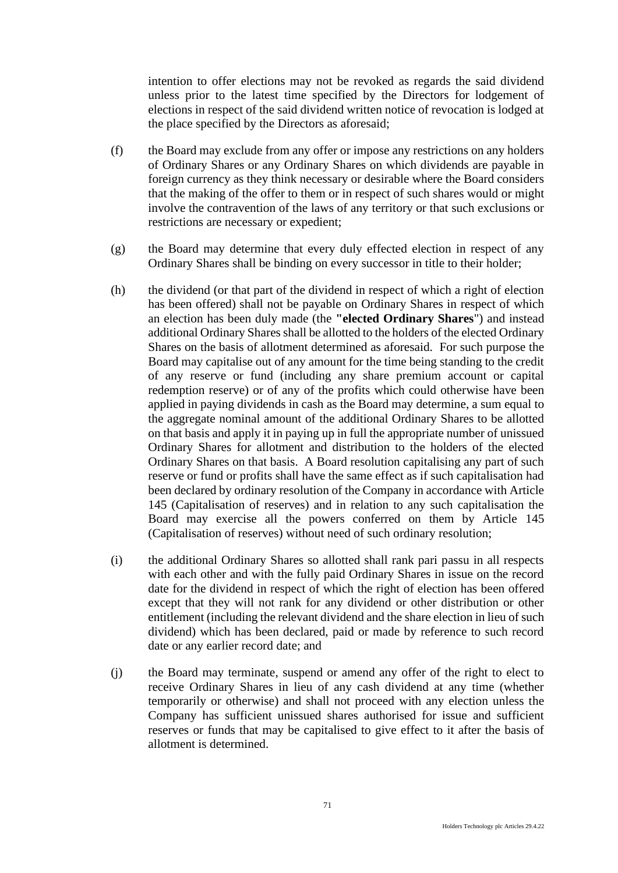intention to offer elections may not be revoked as regards the said dividend unless prior to the latest time specified by the Directors for lodgement of elections in respect of the said dividend written notice of revocation is lodged at the place specified by the Directors as aforesaid;

- (f) the Board may exclude from any offer or impose any restrictions on any holders of Ordinary Shares or any Ordinary Shares on which dividends are payable in foreign currency as they think necessary or desirable where the Board considers that the making of the offer to them or in respect of such shares would or might involve the contravention of the laws of any territory or that such exclusions or restrictions are necessary or expedient;
- (g) the Board may determine that every duly effected election in respect of any Ordinary Shares shall be binding on every successor in title to their holder;
- (h) the dividend (or that part of the dividend in respect of which a right of election has been offered) shall not be payable on Ordinary Shares in respect of which an election has been duly made (the **"elected Ordinary Shares**") and instead additional Ordinary Shares shall be allotted to the holders of the elected Ordinary Shares on the basis of allotment determined as aforesaid. For such purpose the Board may capitalise out of any amount for the time being standing to the credit of any reserve or fund (including any share premium account or capital redemption reserve) or of any of the profits which could otherwise have been applied in paying dividends in cash as the Board may determine, a sum equal to the aggregate nominal amount of the additional Ordinary Shares to be allotted on that basis and apply it in paying up in full the appropriate number of unissued Ordinary Shares for allotment and distribution to the holders of the elected Ordinary Shares on that basis. A Board resolution capitalising any part of such reserve or fund or profits shall have the same effect as if such capitalisation had been declared by ordinary resolution of the Company in accordance with Article 145 (Capitalisation of reserves) and in relation to any such capitalisation the Board may exercise all the powers conferred on them by Article 145 (Capitalisation of reserves) without need of such ordinary resolution;
- (i) the additional Ordinary Shares so allotted shall rank pari passu in all respects with each other and with the fully paid Ordinary Shares in issue on the record date for the dividend in respect of which the right of election has been offered except that they will not rank for any dividend or other distribution or other entitlement (including the relevant dividend and the share election in lieu of such dividend) which has been declared, paid or made by reference to such record date or any earlier record date; and
- (j) the Board may terminate, suspend or amend any offer of the right to elect to receive Ordinary Shares in lieu of any cash dividend at any time (whether temporarily or otherwise) and shall not proceed with any election unless the Company has sufficient unissued shares authorised for issue and sufficient reserves or funds that may be capitalised to give effect to it after the basis of allotment is determined.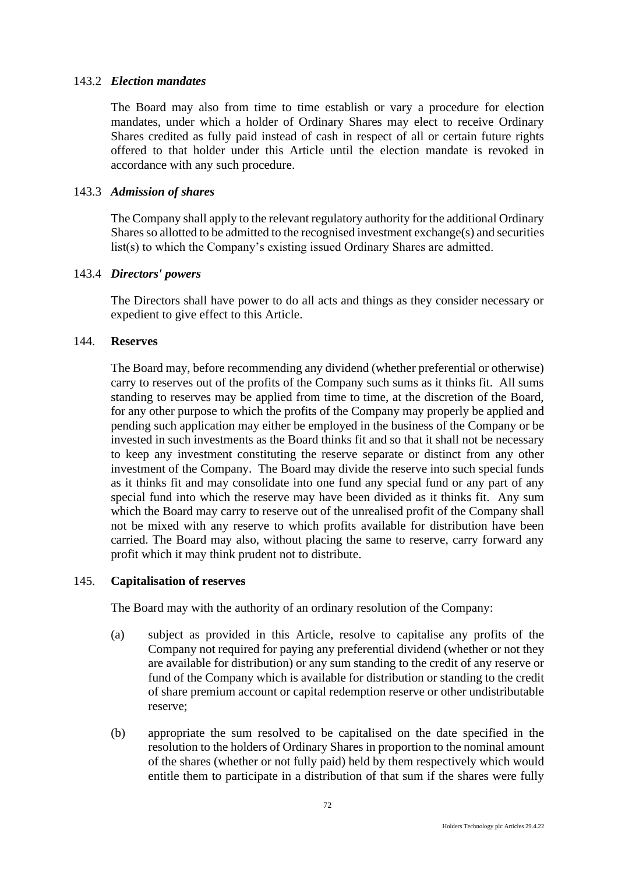## 143.2 *Election mandates*

The Board may also from time to time establish or vary a procedure for election mandates, under which a holder of Ordinary Shares may elect to receive Ordinary Shares credited as fully paid instead of cash in respect of all or certain future rights offered to that holder under this Article until the election mandate is revoked in accordance with any such procedure.

## 143.3 *Admission of shares*

The Company shall apply to the relevant regulatory authority for the additional Ordinary Shares so allotted to be admitted to the recognised investment exchange(s) and securities list(s) to which the Company's existing issued Ordinary Shares are admitted.

#### 143.4 *Directors' powers*

The Directors shall have power to do all acts and things as they consider necessary or expedient to give effect to this Article.

### 144. **Reserves**

The Board may, before recommending any dividend (whether preferential or otherwise) carry to reserves out of the profits of the Company such sums as it thinks fit. All sums standing to reserves may be applied from time to time, at the discretion of the Board, for any other purpose to which the profits of the Company may properly be applied and pending such application may either be employed in the business of the Company or be invested in such investments as the Board thinks fit and so that it shall not be necessary to keep any investment constituting the reserve separate or distinct from any other investment of the Company. The Board may divide the reserve into such special funds as it thinks fit and may consolidate into one fund any special fund or any part of any special fund into which the reserve may have been divided as it thinks fit. Any sum which the Board may carry to reserve out of the unrealised profit of the Company shall not be mixed with any reserve to which profits available for distribution have been carried. The Board may also, without placing the same to reserve, carry forward any profit which it may think prudent not to distribute.

## 145. **Capitalisation of reserves**

The Board may with the authority of an ordinary resolution of the Company:

- (a) subject as provided in this Article, resolve to capitalise any profits of the Company not required for paying any preferential dividend (whether or not they are available for distribution) or any sum standing to the credit of any reserve or fund of the Company which is available for distribution or standing to the credit of share premium account or capital redemption reserve or other undistributable reserve;
- (b) appropriate the sum resolved to be capitalised on the date specified in the resolution to the holders of Ordinary Shares in proportion to the nominal amount of the shares (whether or not fully paid) held by them respectively which would entitle them to participate in a distribution of that sum if the shares were fully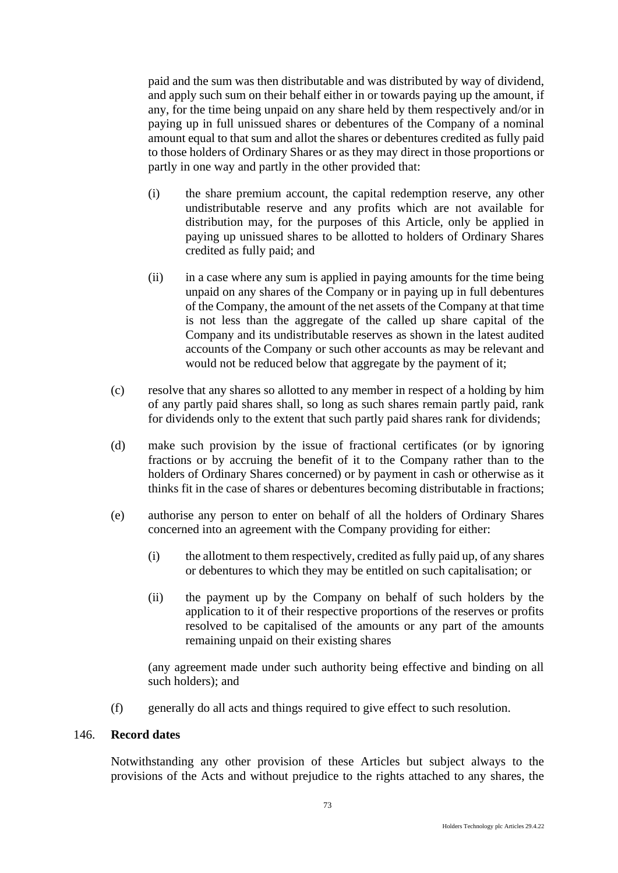paid and the sum was then distributable and was distributed by way of dividend, and apply such sum on their behalf either in or towards paying up the amount, if any, for the time being unpaid on any share held by them respectively and/or in paying up in full unissued shares or debentures of the Company of a nominal amount equal to that sum and allot the shares or debentures credited as fully paid to those holders of Ordinary Shares or as they may direct in those proportions or partly in one way and partly in the other provided that:

- (i) the share premium account, the capital redemption reserve, any other undistributable reserve and any profits which are not available for distribution may, for the purposes of this Article, only be applied in paying up unissued shares to be allotted to holders of Ordinary Shares credited as fully paid; and
- (ii) in a case where any sum is applied in paying amounts for the time being unpaid on any shares of the Company or in paying up in full debentures of the Company, the amount of the net assets of the Company at that time is not less than the aggregate of the called up share capital of the Company and its undistributable reserves as shown in the latest audited accounts of the Company or such other accounts as may be relevant and would not be reduced below that aggregate by the payment of it;
- (c) resolve that any shares so allotted to any member in respect of a holding by him of any partly paid shares shall, so long as such shares remain partly paid, rank for dividends only to the extent that such partly paid shares rank for dividends;
- (d) make such provision by the issue of fractional certificates (or by ignoring fractions or by accruing the benefit of it to the Company rather than to the holders of Ordinary Shares concerned) or by payment in cash or otherwise as it thinks fit in the case of shares or debentures becoming distributable in fractions;
- (e) authorise any person to enter on behalf of all the holders of Ordinary Shares concerned into an agreement with the Company providing for either:
	- (i) the allotment to them respectively, credited as fully paid up, of any shares or debentures to which they may be entitled on such capitalisation; or
	- (ii) the payment up by the Company on behalf of such holders by the application to it of their respective proportions of the reserves or profits resolved to be capitalised of the amounts or any part of the amounts remaining unpaid on their existing shares

(any agreement made under such authority being effective and binding on all such holders); and

(f) generally do all acts and things required to give effect to such resolution.

# 146. **Record dates**

Notwithstanding any other provision of these Articles but subject always to the provisions of the Acts and without prejudice to the rights attached to any shares, the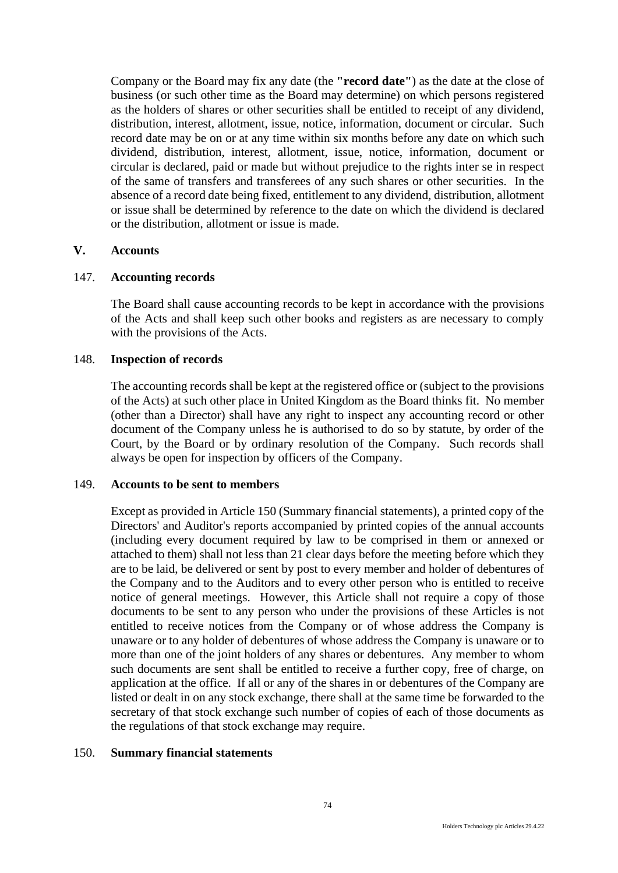Company or the Board may fix any date (the **"record date"**) as the date at the close of business (or such other time as the Board may determine) on which persons registered as the holders of shares or other securities shall be entitled to receipt of any dividend, distribution, interest, allotment, issue, notice, information, document or circular. Such record date may be on or at any time within six months before any date on which such dividend, distribution, interest, allotment, issue, notice, information, document or circular is declared, paid or made but without prejudice to the rights inter se in respect of the same of transfers and transferees of any such shares or other securities. In the absence of a record date being fixed, entitlement to any dividend, distribution, allotment or issue shall be determined by reference to the date on which the dividend is declared or the distribution, allotment or issue is made.

## **V. Accounts**

## 147. **Accounting records**

The Board shall cause accounting records to be kept in accordance with the provisions of the Acts and shall keep such other books and registers as are necessary to comply with the provisions of the Acts.

### 148. **Inspection of records**

The accounting records shall be kept at the registered office or (subject to the provisions of the Acts) at such other place in United Kingdom as the Board thinks fit. No member (other than a Director) shall have any right to inspect any accounting record or other document of the Company unless he is authorised to do so by statute, by order of the Court, by the Board or by ordinary resolution of the Company. Such records shall always be open for inspection by officers of the Company.

#### 149. **Accounts to be sent to members**

Except as provided in Article 150 (Summary financial statements), a printed copy of the Directors' and Auditor's reports accompanied by printed copies of the annual accounts (including every document required by law to be comprised in them or annexed or attached to them) shall not less than 21 clear days before the meeting before which they are to be laid, be delivered or sent by post to every member and holder of debentures of the Company and to the Auditors and to every other person who is entitled to receive notice of general meetings. However, this Article shall not require a copy of those documents to be sent to any person who under the provisions of these Articles is not entitled to receive notices from the Company or of whose address the Company is unaware or to any holder of debentures of whose address the Company is unaware or to more than one of the joint holders of any shares or debentures. Any member to whom such documents are sent shall be entitled to receive a further copy, free of charge, on application at the office. If all or any of the shares in or debentures of the Company are listed or dealt in on any stock exchange, there shall at the same time be forwarded to the secretary of that stock exchange such number of copies of each of those documents as the regulations of that stock exchange may require.

#### 150. **Summary financial statements**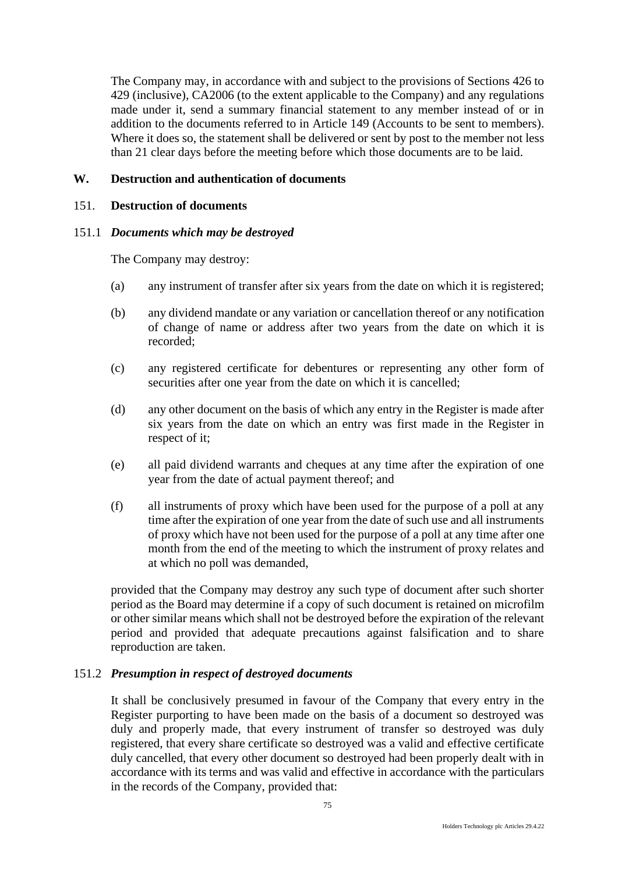The Company may, in accordance with and subject to the provisions of Sections 426 to 429 (inclusive), CA2006 (to the extent applicable to the Company) and any regulations made under it, send a summary financial statement to any member instead of or in addition to the documents referred to in Article 149 (Accounts to be sent to members). Where it does so, the statement shall be delivered or sent by post to the member not less than 21 clear days before the meeting before which those documents are to be laid.

# **W. Destruction and authentication of documents**

## 151. **Destruction of documents**

## 151.1 *Documents which may be destroyed*

The Company may destroy:

- (a) any instrument of transfer after six years from the date on which it is registered;
- (b) any dividend mandate or any variation or cancellation thereof or any notification of change of name or address after two years from the date on which it is recorded;
- (c) any registered certificate for debentures or representing any other form of securities after one year from the date on which it is cancelled;
- (d) any other document on the basis of which any entry in the Register is made after six years from the date on which an entry was first made in the Register in respect of it;
- (e) all paid dividend warrants and cheques at any time after the expiration of one year from the date of actual payment thereof; and
- (f) all instruments of proxy which have been used for the purpose of a poll at any time after the expiration of one year from the date of such use and all instruments of proxy which have not been used for the purpose of a poll at any time after one month from the end of the meeting to which the instrument of proxy relates and at which no poll was demanded,

provided that the Company may destroy any such type of document after such shorter period as the Board may determine if a copy of such document is retained on microfilm or other similar means which shall not be destroyed before the expiration of the relevant period and provided that adequate precautions against falsification and to share reproduction are taken.

## 151.2 *Presumption in respect of destroyed documents*

It shall be conclusively presumed in favour of the Company that every entry in the Register purporting to have been made on the basis of a document so destroyed was duly and properly made, that every instrument of transfer so destroyed was duly registered, that every share certificate so destroyed was a valid and effective certificate duly cancelled, that every other document so destroyed had been properly dealt with in accordance with its terms and was valid and effective in accordance with the particulars in the records of the Company, provided that: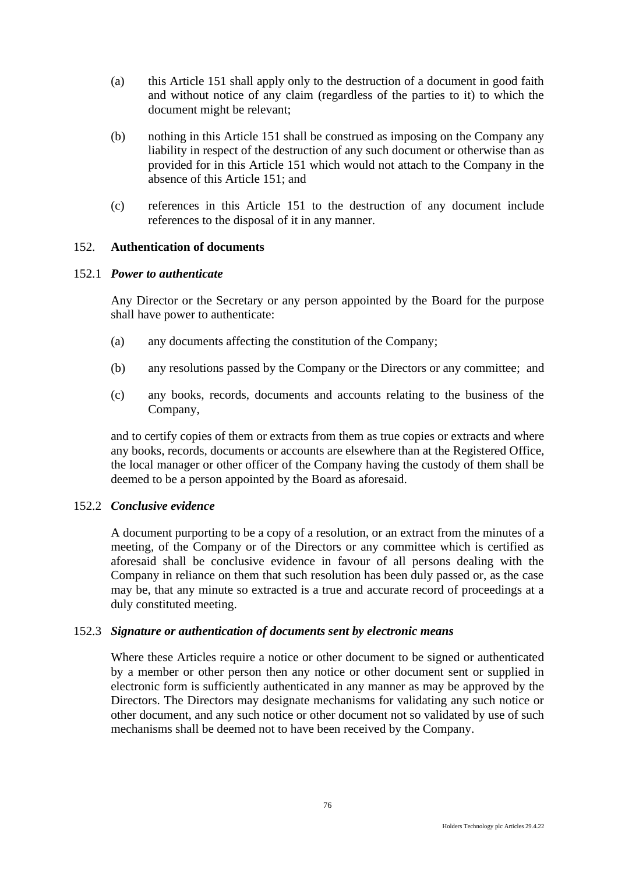- (a) this Article 151 shall apply only to the destruction of a document in good faith and without notice of any claim (regardless of the parties to it) to which the document might be relevant;
- (b) nothing in this Article 151 shall be construed as imposing on the Company any liability in respect of the destruction of any such document or otherwise than as provided for in this Article 151 which would not attach to the Company in the absence of this Article 151; and
- (c) references in this Article 151 to the destruction of any document include references to the disposal of it in any manner.

## 152. **Authentication of documents**

## 152.1 *Power to authenticate*

Any Director or the Secretary or any person appointed by the Board for the purpose shall have power to authenticate:

- (a) any documents affecting the constitution of the Company;
- (b) any resolutions passed by the Company or the Directors or any committee; and
- (c) any books, records, documents and accounts relating to the business of the Company,

and to certify copies of them or extracts from them as true copies or extracts and where any books, records, documents or accounts are elsewhere than at the Registered Office, the local manager or other officer of the Company having the custody of them shall be deemed to be a person appointed by the Board as aforesaid.

## 152.2 *Conclusive evidence*

A document purporting to be a copy of a resolution, or an extract from the minutes of a meeting, of the Company or of the Directors or any committee which is certified as aforesaid shall be conclusive evidence in favour of all persons dealing with the Company in reliance on them that such resolution has been duly passed or, as the case may be, that any minute so extracted is a true and accurate record of proceedings at a duly constituted meeting.

## 152.3 *Signature or authentication of documents sent by electronic means*

Where these Articles require a notice or other document to be signed or authenticated by a member or other person then any notice or other document sent or supplied in electronic form is sufficiently authenticated in any manner as may be approved by the Directors. The Directors may designate mechanisms for validating any such notice or other document, and any such notice or other document not so validated by use of such mechanisms shall be deemed not to have been received by the Company.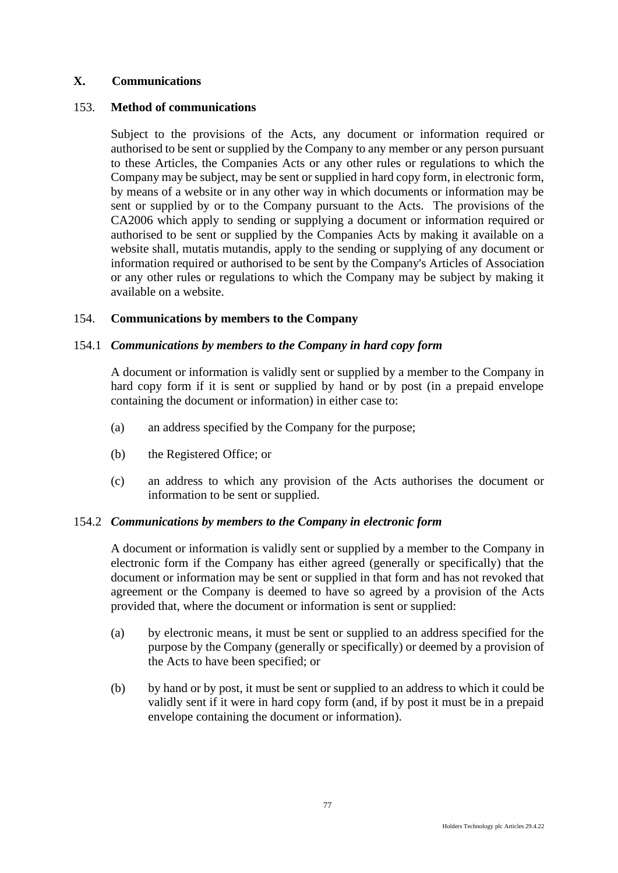# **X. Communications**

## 153. **Method of communications**

Subject to the provisions of the Acts, any document or information required or authorised to be sent or supplied by the Company to any member or any person pursuant to these Articles, the Companies Acts or any other rules or regulations to which the Company may be subject, may be sent or supplied in hard copy form, in electronic form, by means of a website or in any other way in which documents or information may be sent or supplied by or to the Company pursuant to the Acts. The provisions of the CA2006 which apply to sending or supplying a document or information required or authorised to be sent or supplied by the Companies Acts by making it available on a website shall, mutatis mutandis, apply to the sending or supplying of any document or information required or authorised to be sent by the Company's Articles of Association or any other rules or regulations to which the Company may be subject by making it available on a website.

# 154. **Communications by members to the Company**

# 154.1 *Communications by members to the Company in hard copy form*

A document or information is validly sent or supplied by a member to the Company in hard copy form if it is sent or supplied by hand or by post (in a prepaid envelope containing the document or information) in either case to:

- (a) an address specified by the Company for the purpose;
- (b) the Registered Office; or
- (c) an address to which any provision of the Acts authorises the document or information to be sent or supplied.

## 154.2 *Communications by members to the Company in electronic form*

A document or information is validly sent or supplied by a member to the Company in electronic form if the Company has either agreed (generally or specifically) that the document or information may be sent or supplied in that form and has not revoked that agreement or the Company is deemed to have so agreed by a provision of the Acts provided that, where the document or information is sent or supplied:

- (a) by electronic means, it must be sent or supplied to an address specified for the purpose by the Company (generally or specifically) or deemed by a provision of the Acts to have been specified; or
- (b) by hand or by post, it must be sent or supplied to an address to which it could be validly sent if it were in hard copy form (and, if by post it must be in a prepaid envelope containing the document or information).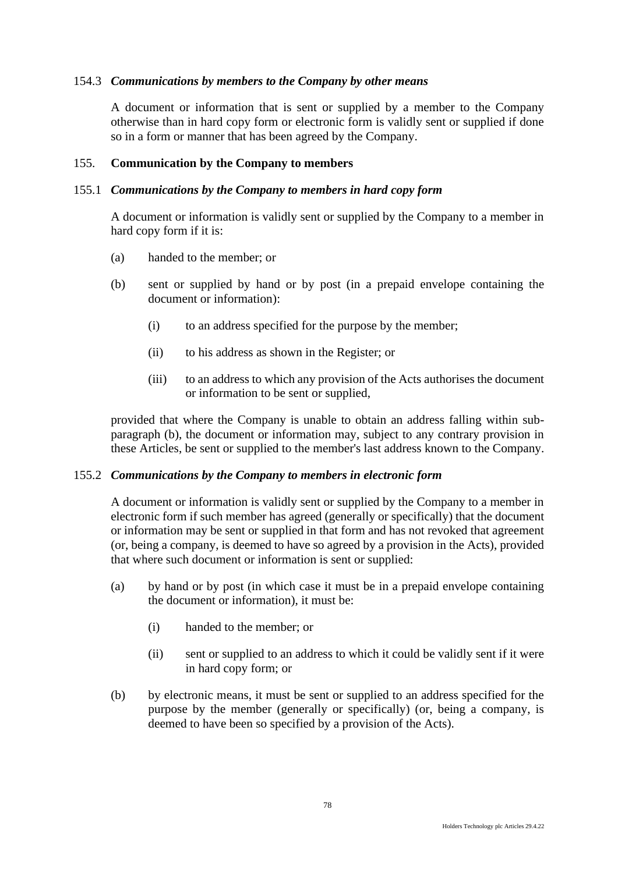## 154.3 *Communications by members to the Company by other means*

A document or information that is sent or supplied by a member to the Company otherwise than in hard copy form or electronic form is validly sent or supplied if done so in a form or manner that has been agreed by the Company.

### 155. **Communication by the Company to members**

### 155.1 *Communications by the Company to members in hard copy form*

A document or information is validly sent or supplied by the Company to a member in hard copy form if it is:

- (a) handed to the member; or
- (b) sent or supplied by hand or by post (in a prepaid envelope containing the document or information):
	- (i) to an address specified for the purpose by the member;
	- (ii) to his address as shown in the Register; or
	- (iii) to an address to which any provision of the Acts authorises the document or information to be sent or supplied,

provided that where the Company is unable to obtain an address falling within subparagraph (b), the document or information may, subject to any contrary provision in these Articles, be sent or supplied to the member's last address known to the Company.

#### 155.2 *Communications by the Company to members in electronic form*

A document or information is validly sent or supplied by the Company to a member in electronic form if such member has agreed (generally or specifically) that the document or information may be sent or supplied in that form and has not revoked that agreement (or, being a company, is deemed to have so agreed by a provision in the Acts), provided that where such document or information is sent or supplied:

- (a) by hand or by post (in which case it must be in a prepaid envelope containing the document or information), it must be:
	- (i) handed to the member; or
	- (ii) sent or supplied to an address to which it could be validly sent if it were in hard copy form; or
- (b) by electronic means, it must be sent or supplied to an address specified for the purpose by the member (generally or specifically) (or, being a company, is deemed to have been so specified by a provision of the Acts).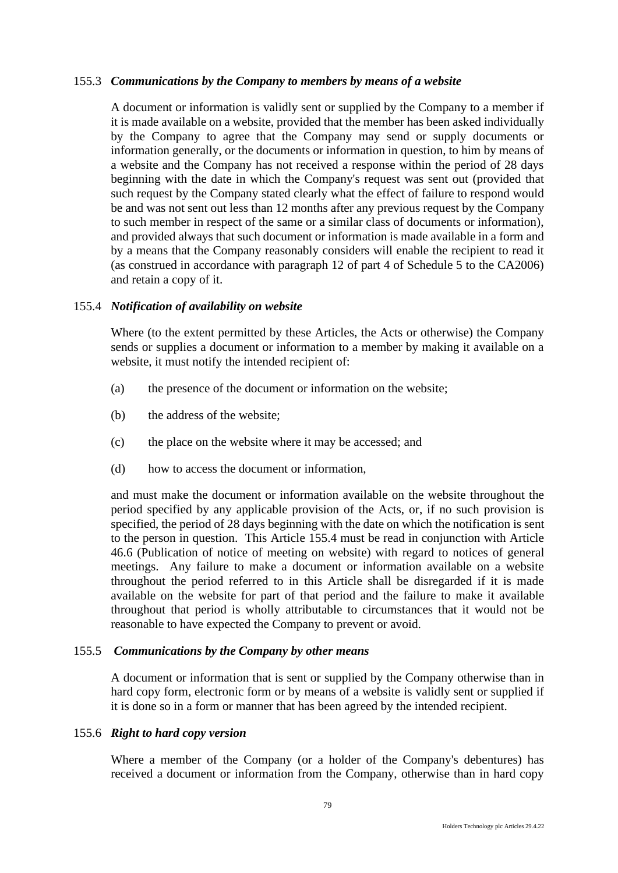## 155.3 *Communications by the Company to members by means of a website*

A document or information is validly sent or supplied by the Company to a member if it is made available on a website, provided that the member has been asked individually by the Company to agree that the Company may send or supply documents or information generally, or the documents or information in question, to him by means of a website and the Company has not received a response within the period of 28 days beginning with the date in which the Company's request was sent out (provided that such request by the Company stated clearly what the effect of failure to respond would be and was not sent out less than 12 months after any previous request by the Company to such member in respect of the same or a similar class of documents or information), and provided always that such document or information is made available in a form and by a means that the Company reasonably considers will enable the recipient to read it (as construed in accordance with paragraph 12 of part 4 of Schedule 5 to the CA2006) and retain a copy of it.

## <span id="page-83-0"></span>155.4 *Notification of availability on website*

Where (to the extent permitted by these Articles, the Acts or otherwise) the Company sends or supplies a document or information to a member by making it available on a website, it must notify the intended recipient of:

- (a) the presence of the document or information on the website;
- (b) the address of the website;
- (c) the place on the website where it may be accessed; and
- (d) how to access the document or information,

and must make the document or information available on the website throughout the period specified by any applicable provision of the Acts, or, if no such provision is specified, the period of 28 days beginning with the date on which the notification is sent to the person in question. This Article [155.4](#page-83-0) must be read in conjunction with Article 46.6 (Publication of notice of meeting on website) with regard to notices of general meetings. Any failure to make a document or information available on a website throughout the period referred to in this Article shall be disregarded if it is made available on the website for part of that period and the failure to make it available throughout that period is wholly attributable to circumstances that it would not be reasonable to have expected the Company to prevent or avoid.

## 155.5 *Communications by the Company by other means*

A document or information that is sent or supplied by the Company otherwise than in hard copy form, electronic form or by means of a website is validly sent or supplied if it is done so in a form or manner that has been agreed by the intended recipient.

## 155.6 *Right to hard copy version*

Where a member of the Company (or a holder of the Company's debentures) has received a document or information from the Company, otherwise than in hard copy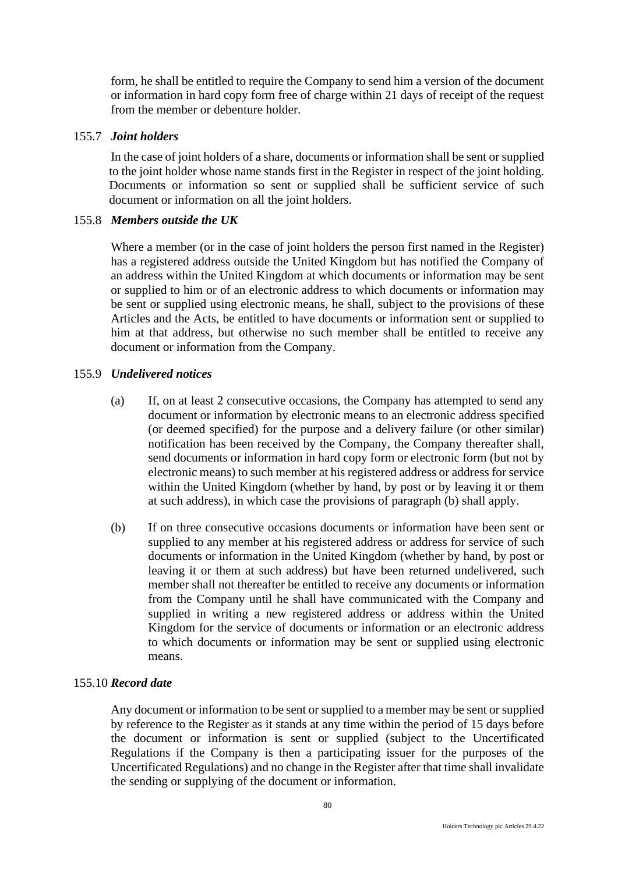form, he shall be entitled to require the Company to send him a version of the document or information in hard copy form free of charge within 21 days of receipt of the request from the member or debenture holder.

### 155.7 *Joint holders*

In the case of joint holders of a share, documents or information shall be sent or supplied to the joint holder whose name stands first in the Register in respect of the joint holding. Documents or information so sent or supplied shall be sufficient service of such document or information on all the joint holders.

### 155.8 *Members outside the UK*

Where a member (or in the case of joint holders the person first named in the Register) has a registered address outside the United Kingdom but has notified the Company of an address within the United Kingdom at which documents or information may be sent or supplied to him or of an electronic address to which documents or information may be sent or supplied using electronic means, he shall, subject to the provisions of these Articles and the Acts, be entitled to have documents or information sent or supplied to him at that address, but otherwise no such member shall be entitled to receive any document or information from the Company.

### 155.9 *Undelivered notices*

- (a) If, on at least 2 consecutive occasions, the Company has attempted to send any document or information by electronic means to an electronic address specified (or deemed specified) for the purpose and a delivery failure (or other similar) notification has been received by the Company, the Company thereafter shall, send documents or information in hard copy form or electronic form (but not by electronic means) to such member at his registered address or address for service within the United Kingdom (whether by hand, by post or by leaving it or them at such address), in which case the provisions of paragraph (b) shall apply.
- (b) If on three consecutive occasions documents or information have been sent or supplied to any member at his registered address or address for service of such documents or information in the United Kingdom (whether by hand, by post or leaving it or them at such address) but have been returned undelivered, such member shall not thereafter be entitled to receive any documents or information from the Company until he shall have communicated with the Company and supplied in writing a new registered address or address within the United Kingdom for the service of documents or information or an electronic address to which documents or information may be sent or supplied using electronic means.

#### 155.10 *Record date*

Any document or information to be sent or supplied to a member may be sent or supplied by reference to the Register as it stands at any time within the period of 15 days before the document or information is sent or supplied (subject to the Uncertificated Regulations if the Company is then a participating issuer for the purposes of the Uncertificated Regulations) and no change in the Register after that time shall invalidate the sending or supplying of the document or information.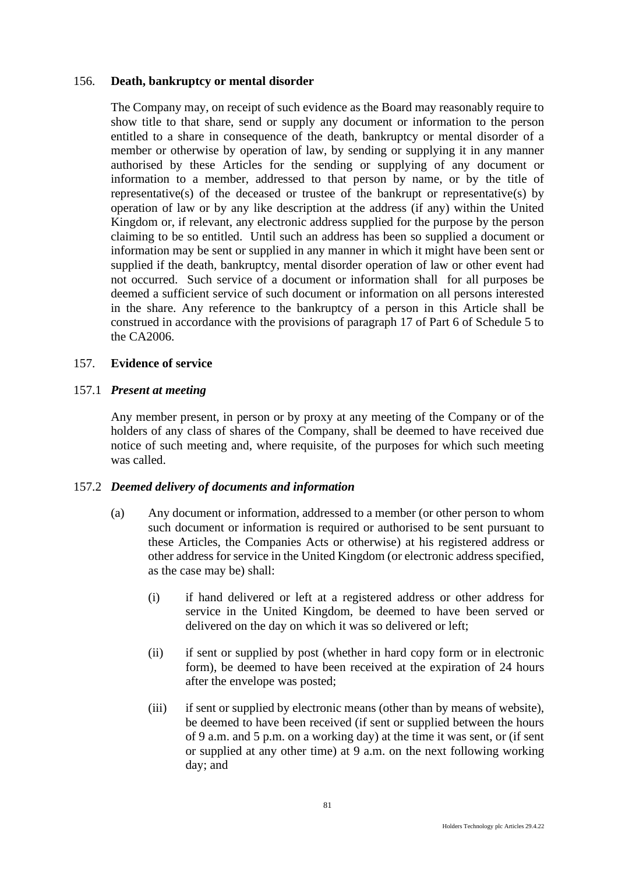### 156. **Death, bankruptcy or mental disorder**

The Company may, on receipt of such evidence as the Board may reasonably require to show title to that share, send or supply any document or information to the person entitled to a share in consequence of the death, bankruptcy or mental disorder of a member or otherwise by operation of law, by sending or supplying it in any manner authorised by these Articles for the sending or supplying of any document or information to a member, addressed to that person by name, or by the title of representative(s) of the deceased or trustee of the bankrupt or representative(s) by operation of law or by any like description at the address (if any) within the United Kingdom or, if relevant, any electronic address supplied for the purpose by the person claiming to be so entitled. Until such an address has been so supplied a document or information may be sent or supplied in any manner in which it might have been sent or supplied if the death, bankruptcy, mental disorder operation of law or other event had not occurred. Such service of a document or information shall for all purposes be deemed a sufficient service of such document or information on all persons interested in the share. Any reference to the bankruptcy of a person in this Article shall be construed in accordance with the provisions of paragraph 17 of Part 6 of Schedule 5 to the CA2006.

## 157. **Evidence of service**

## 157.1 *Present at meeting*

Any member present, in person or by proxy at any meeting of the Company or of the holders of any class of shares of the Company, shall be deemed to have received due notice of such meeting and, where requisite, of the purposes for which such meeting was called.

#### 157.2 *Deemed delivery of documents and information*

- (a) Any document or information, addressed to a member (or other person to whom such document or information is required or authorised to be sent pursuant to these Articles, the Companies Acts or otherwise) at his registered address or other address for service in the United Kingdom (or electronic address specified, as the case may be) shall:
	- (i) if hand delivered or left at a registered address or other address for service in the United Kingdom, be deemed to have been served or delivered on the day on which it was so delivered or left;
	- (ii) if sent or supplied by post (whether in hard copy form or in electronic form), be deemed to have been received at the expiration of 24 hours after the envelope was posted;
	- (iii) if sent or supplied by electronic means (other than by means of website), be deemed to have been received (if sent or supplied between the hours of 9 a.m. and 5 p.m. on a working day) at the time it was sent, or (if sent or supplied at any other time) at 9 a.m. on the next following working day; and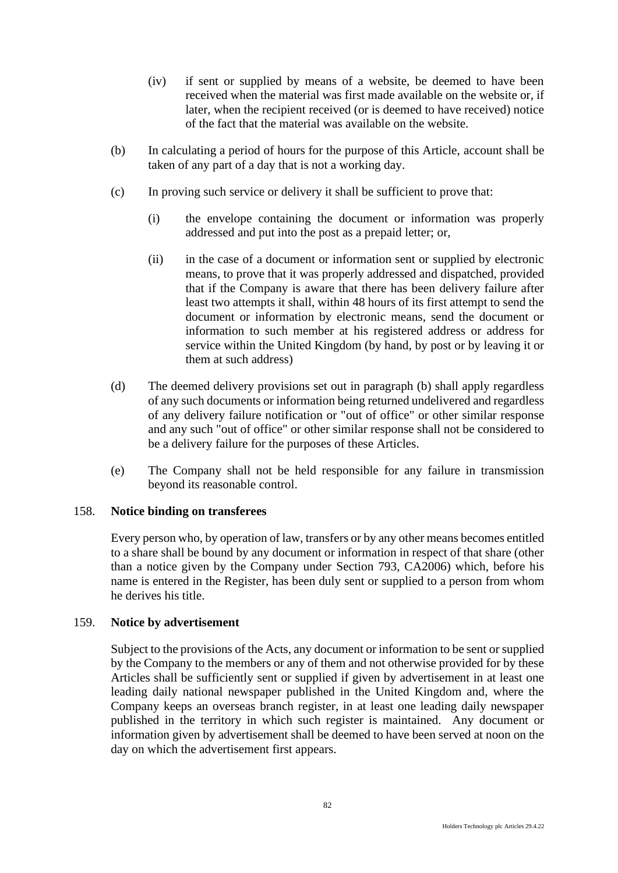- (iv) if sent or supplied by means of a website, be deemed to have been received when the material was first made available on the website or, if later, when the recipient received (or is deemed to have received) notice of the fact that the material was available on the website.
- (b) In calculating a period of hours for the purpose of this Article, account shall be taken of any part of a day that is not a working day.
- (c) In proving such service or delivery it shall be sufficient to prove that:
	- (i) the envelope containing the document or information was properly addressed and put into the post as a prepaid letter; or,
	- (ii) in the case of a document or information sent or supplied by electronic means, to prove that it was properly addressed and dispatched, provided that if the Company is aware that there has been delivery failure after least two attempts it shall, within 48 hours of its first attempt to send the document or information by electronic means, send the document or information to such member at his registered address or address for service within the United Kingdom (by hand, by post or by leaving it or them at such address)
- (d) The deemed delivery provisions set out in paragraph (b) shall apply regardless of any such documents or information being returned undelivered and regardless of any delivery failure notification or "out of office" or other similar response and any such "out of office" or other similar response shall not be considered to be a delivery failure for the purposes of these Articles.
- (e) The Company shall not be held responsible for any failure in transmission beyond its reasonable control.

## 158. **Notice binding on transferees**

Every person who, by operation of law, transfers or by any other means becomes entitled to a share shall be bound by any document or information in respect of that share (other than a notice given by the Company under Section 793, CA2006) which, before his name is entered in the Register, has been duly sent or supplied to a person from whom he derives his title.

## 159. **Notice by advertisement**

Subject to the provisions of the Acts, any document or information to be sent or supplied by the Company to the members or any of them and not otherwise provided for by these Articles shall be sufficiently sent or supplied if given by advertisement in at least one leading daily national newspaper published in the United Kingdom and, where the Company keeps an overseas branch register, in at least one leading daily newspaper published in the territory in which such register is maintained. Any document or information given by advertisement shall be deemed to have been served at noon on the day on which the advertisement first appears.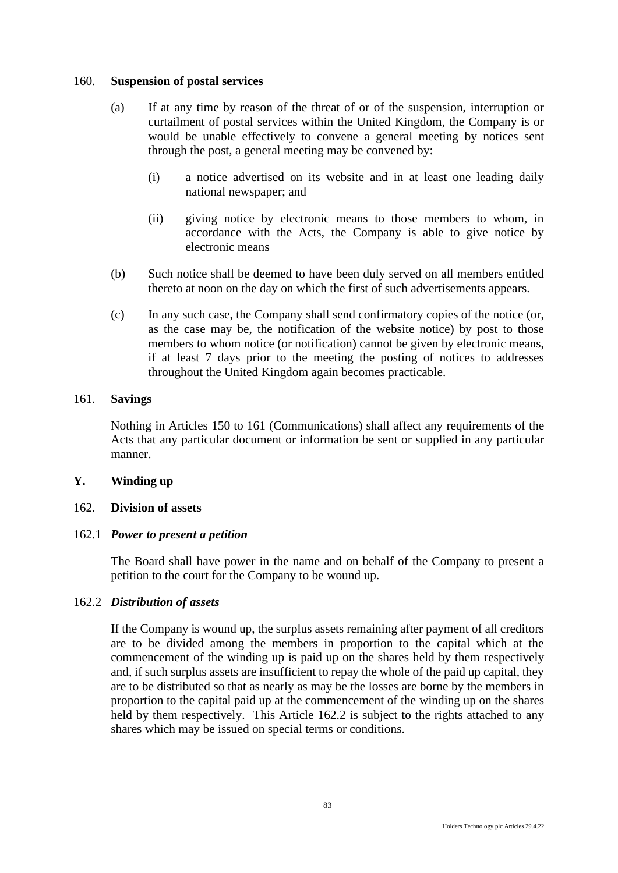### 160. **Suspension of postal services**

- (a) If at any time by reason of the threat of or of the suspension, interruption or curtailment of postal services within the United Kingdom, the Company is or would be unable effectively to convene a general meeting by notices sent through the post, a general meeting may be convened by:
	- (i) a notice advertised on its website and in at least one leading daily national newspaper; and
	- (ii) giving notice by electronic means to those members to whom, in accordance with the Acts, the Company is able to give notice by electronic means
- (b) Such notice shall be deemed to have been duly served on all members entitled thereto at noon on the day on which the first of such advertisements appears.
- (c) In any such case, the Company shall send confirmatory copies of the notice (or, as the case may be, the notification of the website notice) by post to those members to whom notice (or notification) cannot be given by electronic means, if at least 7 days prior to the meeting the posting of notices to addresses throughout the United Kingdom again becomes practicable.

### 161. **Savings**

Nothing in Articles 150 to 161 (Communications) shall affect any requirements of the Acts that any particular document or information be sent or supplied in any particular manner.

## **Y. Winding up**

## 162. **Division of assets**

## 162.1 *Power to present a petition*

The Board shall have power in the name and on behalf of the Company to present a petition to the court for the Company to be wound up.

## 162.2 *Distribution of assets*

If the Company is wound up, the surplus assets remaining after payment of all creditors are to be divided among the members in proportion to the capital which at the commencement of the winding up is paid up on the shares held by them respectively and, if such surplus assets are insufficient to repay the whole of the paid up capital, they are to be distributed so that as nearly as may be the losses are borne by the members in proportion to the capital paid up at the commencement of the winding up on the shares held by them respectively. This Article 162.2 is subject to the rights attached to any shares which may be issued on special terms or conditions.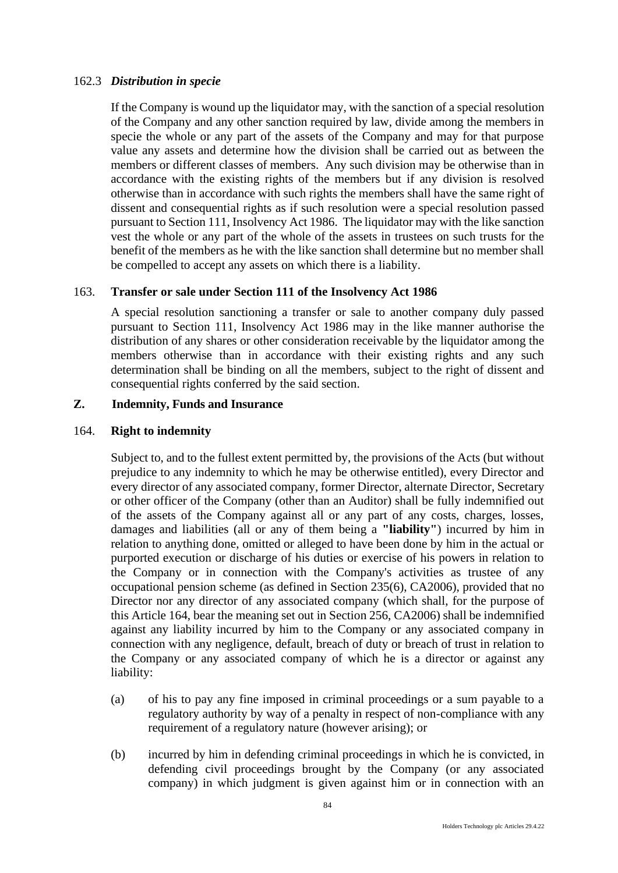### 162.3 *Distribution in specie*

If the Company is wound up the liquidator may, with the sanction of a special resolution of the Company and any other sanction required by law, divide among the members in specie the whole or any part of the assets of the Company and may for that purpose value any assets and determine how the division shall be carried out as between the members or different classes of members. Any such division may be otherwise than in accordance with the existing rights of the members but if any division is resolved otherwise than in accordance with such rights the members shall have the same right of dissent and consequential rights as if such resolution were a special resolution passed pursuant to Section 111, Insolvency Act 1986. The liquidator may with the like sanction vest the whole or any part of the whole of the assets in trustees on such trusts for the benefit of the members as he with the like sanction shall determine but no member shall be compelled to accept any assets on which there is a liability.

## 163. **Transfer or sale under Section 111 of the Insolvency Act 1986**

A special resolution sanctioning a transfer or sale to another company duly passed pursuant to Section 111, Insolvency Act 1986 may in the like manner authorise the distribution of any shares or other consideration receivable by the liquidator among the members otherwise than in accordance with their existing rights and any such determination shall be binding on all the members, subject to the right of dissent and consequential rights conferred by the said section.

# **Z. Indemnity, Funds and Insurance**

### 164. **Right to indemnity**

Subject to, and to the fullest extent permitted by, the provisions of the Acts (but without prejudice to any indemnity to which he may be otherwise entitled), every Director and every director of any associated company, former Director, alternate Director, Secretary or other officer of the Company (other than an Auditor) shall be fully indemnified out of the assets of the Company against all or any part of any costs, charges, losses, damages and liabilities (all or any of them being a **"liability"**) incurred by him in relation to anything done, omitted or alleged to have been done by him in the actual or purported execution or discharge of his duties or exercise of his powers in relation to the Company or in connection with the Company's activities as trustee of any occupational pension scheme (as defined in Section 235(6), CA2006), provided that no Director nor any director of any associated company (which shall, for the purpose of this Article 164, bear the meaning set out in Section 256, CA2006) shall be indemnified against any liability incurred by him to the Company or any associated company in connection with any negligence, default, breach of duty or breach of trust in relation to the Company or any associated company of which he is a director or against any liability:

- (a) of his to pay any fine imposed in criminal proceedings or a sum payable to a regulatory authority by way of a penalty in respect of non-compliance with any requirement of a regulatory nature (however arising); or
- (b) incurred by him in defending criminal proceedings in which he is convicted, in defending civil proceedings brought by the Company (or any associated company) in which judgment is given against him or in connection with an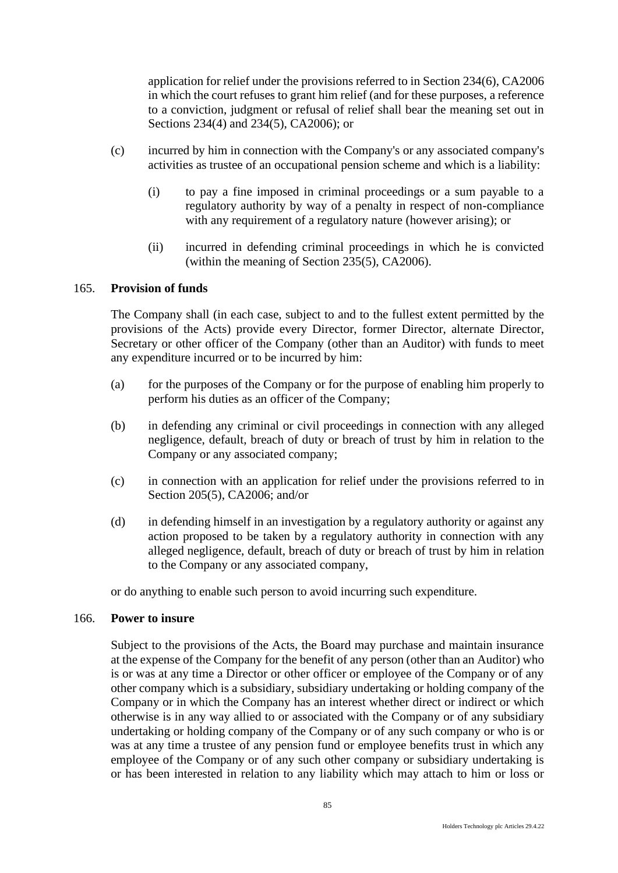application for relief under the provisions referred to in Section 234(6), CA2006 in which the court refuses to grant him relief (and for these purposes, a reference to a conviction, judgment or refusal of relief shall bear the meaning set out in Sections 234(4) and 234(5), CA2006); or

- (c) incurred by him in connection with the Company's or any associated company's activities as trustee of an occupational pension scheme and which is a liability:
	- (i) to pay a fine imposed in criminal proceedings or a sum payable to a regulatory authority by way of a penalty in respect of non-compliance with any requirement of a regulatory nature (however arising); or
	- (ii) incurred in defending criminal proceedings in which he is convicted (within the meaning of Section 235(5), CA2006).

### 165. **Provision of funds**

The Company shall (in each case, subject to and to the fullest extent permitted by the provisions of the Acts) provide every Director, former Director, alternate Director, Secretary or other officer of the Company (other than an Auditor) with funds to meet any expenditure incurred or to be incurred by him:

- (a) for the purposes of the Company or for the purpose of enabling him properly to perform his duties as an officer of the Company;
- (b) in defending any criminal or civil proceedings in connection with any alleged negligence, default, breach of duty or breach of trust by him in relation to the Company or any associated company;
- (c) in connection with an application for relief under the provisions referred to in Section 205(5), CA2006; and/or
- (d) in defending himself in an investigation by a regulatory authority or against any action proposed to be taken by a regulatory authority in connection with any alleged negligence, default, breach of duty or breach of trust by him in relation to the Company or any associated company,

or do anything to enable such person to avoid incurring such expenditure.

### 166. **Power to insure**

Subject to the provisions of the Acts, the Board may purchase and maintain insurance at the expense of the Company for the benefit of any person (other than an Auditor) who is or was at any time a Director or other officer or employee of the Company or of any other company which is a subsidiary, subsidiary undertaking or holding company of the Company or in which the Company has an interest whether direct or indirect or which otherwise is in any way allied to or associated with the Company or of any subsidiary undertaking or holding company of the Company or of any such company or who is or was at any time a trustee of any pension fund or employee benefits trust in which any employee of the Company or of any such other company or subsidiary undertaking is or has been interested in relation to any liability which may attach to him or loss or